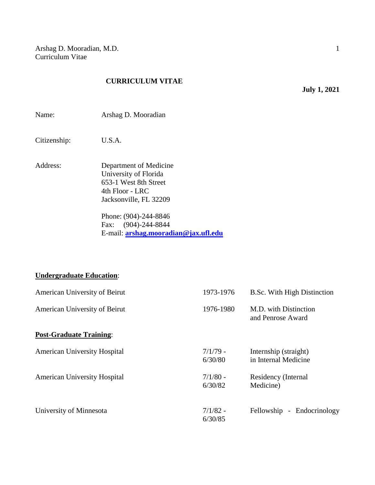## **CURRICULUM VITAE**

**July 1, 2021**

Name: Arshag D. Mooradian

Citizenship: U.S.A.

Address: Department of Medicine University of Florida 653-1 West 8th Street 4th Floor - LRC Jacksonville, FL 32209

> Phone: (904)-244-8846 Fax: (904)-244-8844 E-mail: **[arshag.mooradian@jax.ufl.edu](https://mail.slu.edu/cgi-bin/webmail.cgi?cmd=msg_new&h_from=arshag.mooradian@jax.ufl.edu&utoken=mooradad!40svd.slu.edu!3A143_!7E2-15eba62812f2a91e0edf00_0)**

### **Undergraduate Education**:

| American University of Beirut       | 1973-1976             | B.Sc. With High Distinction                   |
|-------------------------------------|-----------------------|-----------------------------------------------|
| American University of Beirut       | 1976-1980             | M.D. with Distinction<br>and Penrose Award    |
| <b>Post-Graduate Training:</b>      |                       |                                               |
| <b>American University Hospital</b> | $7/1/79$ -<br>6/30/80 | Internship (straight)<br>in Internal Medicine |
| <b>American University Hospital</b> | $7/1/80$ -<br>6/30/82 | Residency (Internal<br>Medicine)              |
| University of Minnesota             | $7/1/82 -$<br>6/30/85 | Endocrinology<br>Fellowship -                 |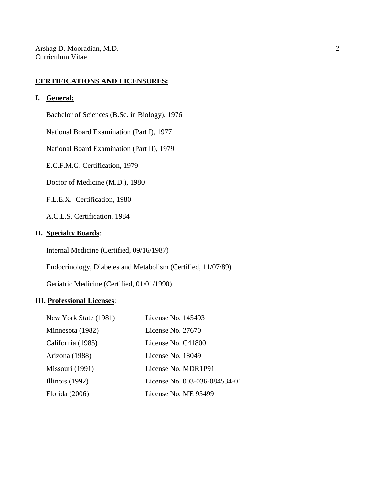### **CERTIFICATIONS AND LICENSURES:**

### **I. General:**

Bachelor of Sciences (B.Sc. in Biology), 1976

National Board Examination (Part I), 1977

National Board Examination (Part II), 1979

E.C.F.M.G. Certification, 1979

Doctor of Medicine (M.D.), 1980

F.L.E.X. Certification, 1980

A.C.L.S. Certification, 1984

### **II. Specialty Boards**:

Internal Medicine (Certified, 09/16/1987)

Endocrinology, Diabetes and Metabolism (Certified, 11/07/89)

Geriatric Medicine (Certified, 01/01/1990)

### **III. Professional Licenses**:

| New York State (1981) | License No. 145493            |
|-----------------------|-------------------------------|
| Minnesota (1982)      | License No. $27670$           |
| California (1985)     | License No. C41800            |
| Arizona (1988)        | License No. 18049             |
| Missouri (1991)       | License No. MDR1P91           |
| Illinois $(1992)$     | License No. 003-036-084534-01 |
| Florida (2006)        | License No. ME 95499          |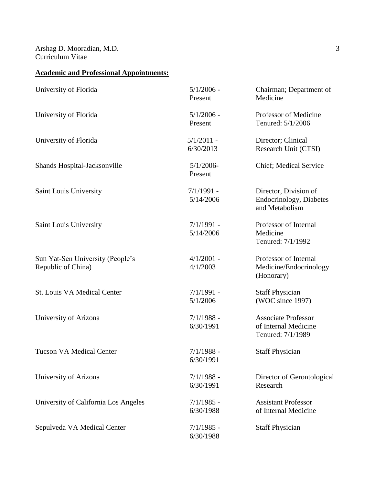# **Academic and Professional Appointments:**

| University of Florida                                  | $5/1/2006$ -<br>Present   | Chairman; Department of<br>Medicine                                     |
|--------------------------------------------------------|---------------------------|-------------------------------------------------------------------------|
| University of Florida                                  | $5/1/2006$ -<br>Present   | Professor of Medicine<br>Tenured: 5/1/2006                              |
| University of Florida                                  | $5/1/2011$ -<br>6/30/2013 | Director; Clinical<br>Research Unit (CTSI)                              |
| Shands Hospital-Jacksonville                           | $5/1/2006-$<br>Present    | Chief; Medical Service                                                  |
| Saint Louis University                                 | $7/1/1991 -$<br>5/14/2006 | Director, Division of<br>Endocrinology, Diabetes<br>and Metabolism      |
| Saint Louis University                                 | $7/1/1991$ -<br>5/14/2006 | Professor of Internal<br>Medicine<br>Tenured: 7/1/1992                  |
| Sun Yat-Sen University (People's<br>Republic of China) | $4/1/2001$ -<br>4/1/2003  | Professor of Internal<br>Medicine/Endocrinology<br>(Honorary)           |
| St. Louis VA Medical Center                            | $7/1/1991$ -<br>5/1/2006  | <b>Staff Physician</b><br>(WOC since 1997)                              |
| University of Arizona                                  | $7/1/1988$ -<br>6/30/1991 | <b>Associate Professor</b><br>of Internal Medicine<br>Tenured: 7/1/1989 |
| <b>Tucson VA Medical Center</b>                        | $7/1/1988$ -<br>6/30/1991 | <b>Staff Physician</b>                                                  |
| University of Arizona                                  | $7/1/1988$ -<br>6/30/1991 | Director of Gerontological<br>Research                                  |
| University of California Los Angeles                   | $7/1/1985$ -<br>6/30/1988 | <b>Assistant Professor</b><br>of Internal Medicine                      |
| Sepulveda VA Medical Center                            | $7/1/1985$ -<br>6/30/1988 | <b>Staff Physician</b>                                                  |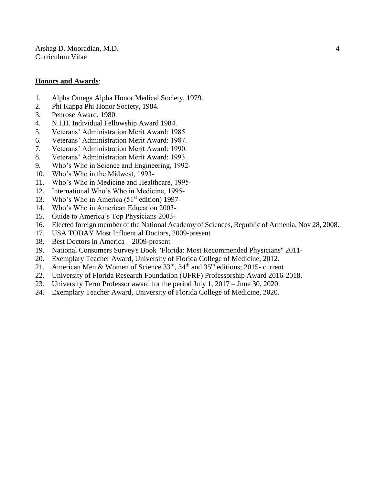### **Honors and Awards**:

- 1. Alpha Omega Alpha Honor Medical Society, 1979.
- 2. Phi Kappa Phi Honor Society, 1984.
- 3. Penrose Award, 1980.
- 4. N.I.H. Individual Fellowship Award 1984.
- 5. Veterans' Administration Merit Award: 1985
- 6. Veterans' Administration Merit Award: 1987.
- 7. Veterans' Administration Merit Award: 1990.
- 8. Veterans' Administration Merit Award: 1993.
- 9. Who's Who in Science and Engineering, 1992-
- 10. Who's Who in the Midwest, 1993-
- 11. Who's Who in Medicine and Healthcare, 1995-
- 12. International Who's Who in Medicine, 1995-
- 13. Who's Who in America  $(51<sup>st</sup>$  edition) 1997-
- 14. Who's Who in American Education 2003-
- 15. Guide to America's Top Physicians 2003-
- 16. Elected foreign member of the National Academy of Sciences, Republic of Armenia, Nov 28, 2008.
- 17. USA TODAY Most Influential Doctors, 2009-present
- 18. Best Doctors in America—2009-present
- 19. National Consumers Survey's Book "Florida: Most Recommended Physicians" 2011-
- 20. Exemplary Teacher Award, University of Florida College of Medicine, 2012.
- 21. American Men & Women of Science 33rd, 34th and 35th editions; 2015- current
- 22. University of Florida Research Foundation (UFRF) Professorship Award 2016-2018.
- 23. University Term Professor award for the period July 1, 2017 June 30, 2020.
- 24. Exemplary Teacher Award, University of Florida College of Medicine, 2020.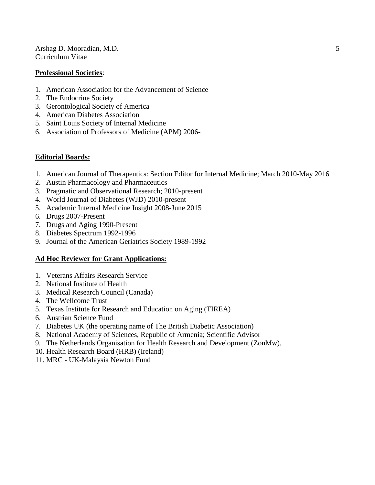### **Professional Societies**:

- 1. American Association for the Advancement of Science
- 2. The Endocrine Society
- 3. Gerontological Society of America
- 4. American Diabetes Association
- 5. Saint Louis Society of Internal Medicine
- 6. Association of Professors of Medicine (APM) 2006-

### **Editorial Boards:**

- 1. American Journal of Therapeutics: Section Editor for Internal Medicine; March 2010-May 2016
- 2. Austin Pharmacology and Pharmaceutics
- 3. Pragmatic and Observational Research; 2010-present
- 4. World Journal of Diabetes (WJD) 2010-present
- 5. Academic Internal Medicine Insight 2008-June 2015
- 6. Drugs 2007-Present
- 7. Drugs and Aging 1990-Present
- 8. Diabetes Spectrum 1992-1996
- 9. Journal of the American Geriatrics Society 1989-1992

### **Ad Hoc Reviewer for Grant Applications:**

- 1. Veterans Affairs Research Service
- 2. National Institute of Health
- 3. Medical Research Council (Canada)
- 4. The Wellcome Trust
- 5. Texas Institute for Research and Education on Aging (TIREA)
- 6. Austrian Science Fund
- 7. Diabetes UK (the operating name of The British Diabetic Association)
- 8. National Academy of Sciences, Republic of Armenia; Scientific Advisor
- 9. The Netherlands Organisation for Health Research and Development (ZonMw).
- 10. Health Research Board (HRB) (Ireland)
- 11. MRC UK-Malaysia Newton Fund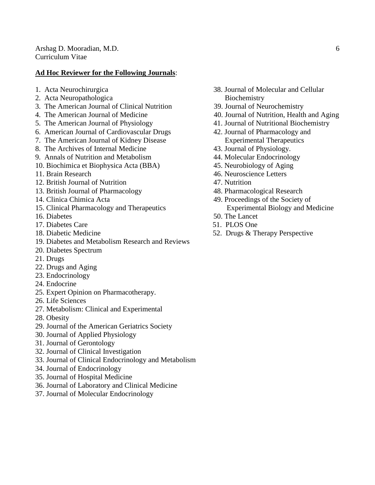### **Ad Hoc Reviewer for the Following Journals**:

- 
- 2. Acta Neuropathologica Biochemistry
- 3. The American Journal of Clinical Nutrition 39. Journal of Neurochemistry
- 
- 5. The American Journal of Physiology 41. Journal of Nutritional Biochemistry
- 6. American Journal of Cardiovascular Drugs 42. Journal of Pharmacology and
- 7. The American Journal of Kidney Disease Experimental Therapeutics
- 8. The Archives of Internal Medicine 43. Journal of Physiology.
- 9. Annals of Nutrition and Metabolism 44. Molecular Endocrinology
- 10. Biochimica et Biophysica Acta (BBA) 45. Neurobiology of Aging
- 
- 12. British Journal of Nutrition 47. Nutrition
- 13. British Journal of Pharmacology 48. Pharmacological Research
- 
- 15. Clinical Pharmacology and Therapeutics Experimental Biology and Medicine
- 
- 17. Diabetes Care 51. PLOS One
- 
- 19. Diabetes and Metabolism Research and Reviews
- 20. Diabetes Spectrum
- 21. Drugs
- 22. Drugs and Aging
- 23. Endocrinology
- 24. Endocrine
- 25. Expert Opinion on Pharmacotherapy.
- 26. Life Sciences
- 27. Metabolism: Clinical and Experimental
- 28. Obesity
- 29. Journal of the American Geriatrics Society
- 30. Journal of Applied Physiology
- 31. Journal of Gerontology
- 32. Journal of Clinical Investigation
- 33. Journal of Clinical Endocrinology and Metabolism
- 34. Journal of Endocrinology
- 35. Journal of Hospital Medicine
- 36. Journal of Laboratory and Clinical Medicine
- 37. Journal of Molecular Endocrinology
- 1. Acta Neurochirurgica 38. Journal of Molecular and Cellular
	-
- 4. The American Journal of Medicine 40. Journal of Nutrition, Health and Aging
	-
	-
	-
	-
	-
- 11. Brain Research 46. Neuroscience Letters
	-
	-
- 14. Clinica Chimica Acta 49. Proceedings of the Society of
- 16. Diabetes 50. The Lancet
	-
- 18. Diabetic Medicine 52. Drugs & Therapy Perspective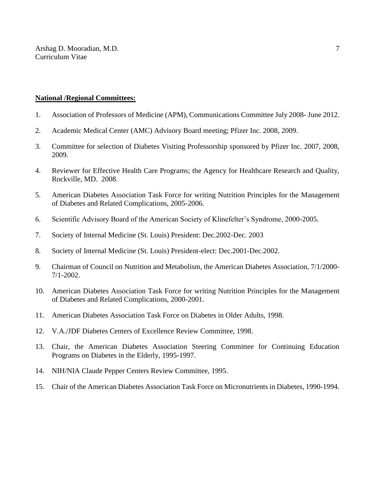#### **National /Regional Committees:**

- 1. Association of Professors of Medicine (APM), Communications Committee July 2008- June 2012.
- 2. Academic Medical Center (AMC) Advisory Board meeting; Pfizer Inc. 2008, 2009.
- 3. Committee for selection of Diabetes Visiting Professorship sponsored by Pfizer Inc. 2007, 2008, 2009.
- 4. Reviewer for Effective Health Care Programs; the Agency for Healthcare Research and Quality, Rockville, MD. 2008.
- 5. American Diabetes Association Task Force for writing Nutrition Principles for the Management of Diabetes and Related Complications, 2005-2006.
- 6. Scientific Advisory Board of the American Society of Klinefelter's Syndrome, 2000-2005.
- 7. Society of Internal Medicine (St. Louis) President: Dec.2002-Dec. 2003
- 8. Society of Internal Medicine (St. Louis) President-elect: Dec.2001-Dec.2002.
- 9. Chairman of Council on Nutrition and Metabolism, the American Diabetes Association, 7/1/2000- 7/1-2002.
- 10. American Diabetes Association Task Force for writing Nutrition Principles for the Management of Diabetes and Related Complications, 2000-2001.
- 11. American Diabetes Association Task Force on Diabetes in Older Adults, 1998.
- 12. V.A./JDF Diabetes Centers of Excellence Review Committee, 1998.
- 13. Chair, the American Diabetes Association Steering Committee for Continuing Education Programs on Diabetes in the Elderly, 1995-1997.
- 14. NIH/NIA Claude Pepper Centers Review Committee, 1995.
- 15. Chair of the American Diabetes Association Task Force on Micronutrients in Diabetes, 1990-1994.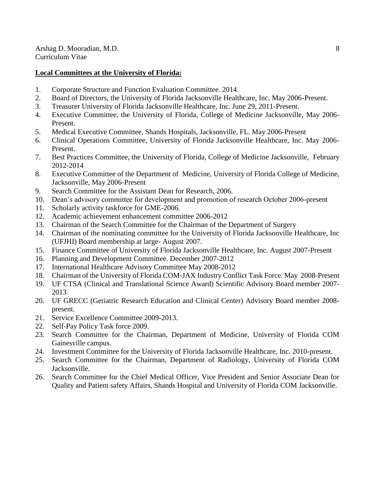### **Local Committees at the University of Florida:**

- 1. Corporate Structure and Function Evaluation Committee. 2014.
- 2. Board of Directors, the University of Florida Jacksonville Healthcare, Inc. May 2006-Present.
- 3. Treasurer University of Florida Jacksonville Healthcare, Inc. June 29, 2011-Present.
- 4. Executive Committee, the University of Florida, College of Medicine Jacksonville, May 2006- Present.
- 5. Medical Executive Committee, Shands Hospitals, Jacksonville, FL. May 2006-Present
- 6. Clinical Operations Committee, University of Florida Jacksonville Healthcare, Inc. May 2006- Present.
- 7. Best Practices Committee, the University of Florida, College of Medicine Jacksonville, February 2012-2014
- 8. Executive Committee of the Department of Medicine, University of Florida College of Medicine, Jacksonville, May 2006-Present
- 9. Search Committee for the Assistant Dean for Research, 2006.
- 10. Dean's advisory committee for development and promotion of research October 2006-present
- 11. Scholarly activity taskforce for GME-2006.
- 12. Academic achievement enhancement committee 2006-2012
- 13. Chairman of the Search Committee for the Chairman of the Department of Surgery
- 14. Chairman of the nominating committee for the University of Florida Jacksonville Healthcare, Inc (UFJHI) Board membership at large- August 2007.
- 15. Finance Committee of University of Florida Jacksonville Healthcare, Inc. August 2007-Present
- 16. Planning and Development Committee. December 2007-2012
- 17. International Healthcare Advisory Committee May 2008-2012
- 18. Chairman of the University of Florida COM-JAX Industry Conflict Task Force. May 2008-Present
- 19. UF CTSA (Clinical and Translational Science Award) Scientific Advisory Board member 2007- 2013
- 20. UF GRECC (Geriatric Research Education and Clinical Center) Advisory Board member 2008 present.
- 21. Service Excellence Committee 2009-2013.
- 22. Self-Pay Policy Task force 2009.
- 23. Search Committee for the Chairman, Department of Medicine, University of Florida COM Gainesville campus.
- 24. Investment Committee for the University of Florida Jacksonville Healthcare, Inc. 2010-present.
- 25. Search Committee for the Chairman, Department of Radiology, University of Florida COM Jacksonville.
- 26. Search Committee for the Chief Medical Officer, Vice President and Senior Associate Dean for Quality and Patient safety Affairs, Shands Hospital and University of Florida COM Jacksonville.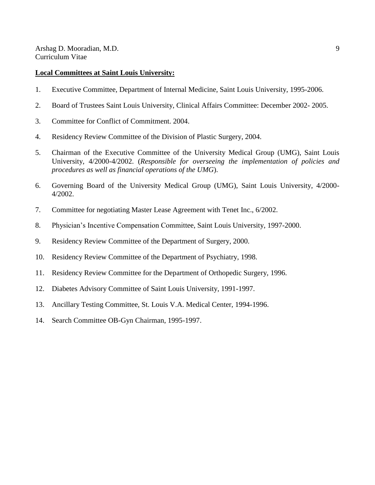### **Local Committees at Saint Louis University:**

- 1. Executive Committee, Department of Internal Medicine, Saint Louis University, 1995-2006.
- 2. Board of Trustees Saint Louis University, Clinical Affairs Committee: December 2002- 2005.
- 3. Committee for Conflict of Commitment. 2004.
- 4. Residency Review Committee of the Division of Plastic Surgery, 2004.
- 5. Chairman of the Executive Committee of the University Medical Group (UMG), Saint Louis University, 4/2000-4/2002. (*Responsible for overseeing the implementation of policies and procedures as well as financial operations of the UMG*).
- 6. Governing Board of the University Medical Group (UMG), Saint Louis University, 4/2000- 4/2002.
- 7. Committee for negotiating Master Lease Agreement with Tenet Inc., 6/2002.
- 8. Physician's Incentive Compensation Committee, Saint Louis University, 1997-2000.
- 9. Residency Review Committee of the Department of Surgery, 2000.
- 10. Residency Review Committee of the Department of Psychiatry, 1998.
- 11. Residency Review Committee for the Department of Orthopedic Surgery, 1996.
- 12. Diabetes Advisory Committee of Saint Louis University, 1991-1997.
- 13. Ancillary Testing Committee, St. Louis V.A. Medical Center, 1994-1996.
- 14. Search Committee OB-Gyn Chairman, 1995-1997.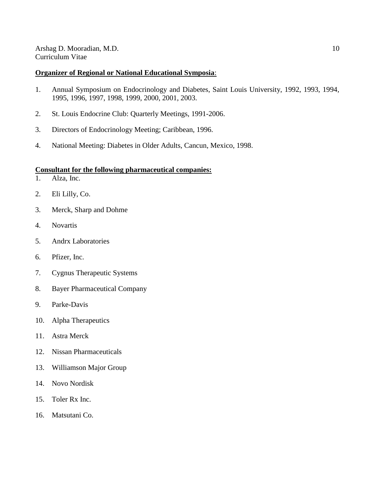## **Organizer of Regional or National Educational Symposia**:

- 1. Annual Symposium on Endocrinology and Diabetes, Saint Louis University, 1992, 1993, 1994, 1995, 1996, 1997, 1998, 1999, 2000, 2001, 2003.
- 2. St. Louis Endocrine Club: Quarterly Meetings, 1991-2006.
- 3. Directors of Endocrinology Meeting; Caribbean, 1996.
- 4. National Meeting: Diabetes in Older Adults, Cancun, Mexico, 1998.

## **Consultant for the following pharmaceutical companies:**

- 1. Alza, Inc.
- 2. Eli Lilly, Co.
- 3. Merck, Sharp and Dohme
- 4. Novartis
- 5. Andrx Laboratories
- 6. Pfizer, Inc.
- 7. Cygnus Therapeutic Systems
- 8. Bayer Pharmaceutical Company
- 9. Parke-Davis
- 10. Alpha Therapeutics
- 11. Astra Merck
- 12. Nissan Pharmaceuticals
- 13. Williamson Major Group
- 14. Novo Nordisk
- 15. Toler Rx Inc.
- 16. Matsutani Co.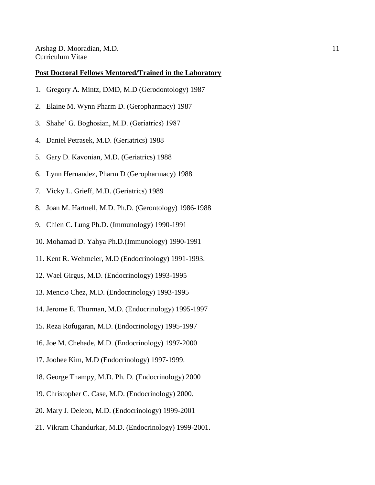#### **Post Doctoral Fellows Mentored/Trained in the Laboratory**

- 1. Gregory A. Mintz, DMD, M.D (Gerodontology) 1987
- 2. Elaine M. Wynn Pharm D. (Geropharmacy) 1987
- 3. Shahe' G. Boghosian, M.D. (Geriatrics) 1987
- 4. Daniel Petrasek, M.D. (Geriatrics) 1988
- 5. Gary D. Kavonian, M.D. (Geriatrics) 1988
- 6. Lynn Hernandez, Pharm D (Geropharmacy) 1988
- 7. Vicky L. Grieff, M.D. (Geriatrics) 1989
- 8. Joan M. Hartnell, M.D. Ph.D. (Gerontology) 1986-1988
- 9. Chien C. Lung Ph.D. (Immunology) 1990-1991
- 10. Mohamad D. Yahya Ph.D.(Immunology) 1990-1991
- 11. Kent R. Wehmeier, M.D (Endocrinology) 1991-1993.
- 12. Wael Girgus, M.D. (Endocrinology) 1993-1995
- 13. Mencio Chez, M.D. (Endocrinology) 1993-1995
- 14. Jerome E. Thurman, M.D. (Endocrinology) 1995-1997
- 15. Reza Rofugaran, M.D. (Endocrinology) 1995-1997
- 16. Joe M. Chehade, M.D. (Endocrinology) 1997-2000
- 17. Joohee Kim, M.D (Endocrinology) 1997-1999.
- 18. George Thampy, M.D. Ph. D. (Endocrinology) 2000
- 19. Christopher C. Case, M.D. (Endocrinology) 2000.
- 20. Mary J. Deleon, M.D. (Endocrinology) 1999-2001
- 21. Vikram Chandurkar, M.D. (Endocrinology) 1999-2001.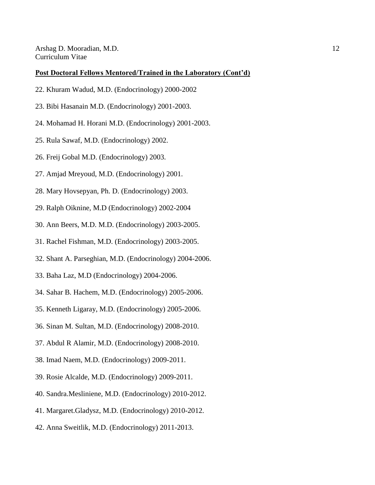#### **Post Doctoral Fellows Mentored/Trained in the Laboratory (Cont'd)**

- 22. Khuram Wadud, M.D. (Endocrinology) 2000-2002
- 23. Bibi Hasanain M.D. (Endocrinology) 2001-2003.
- 24. Mohamad H. Horani M.D. (Endocrinology) 2001-2003.
- 25. Rula Sawaf, M.D. (Endocrinology) 2002.
- 26. Freij Gobal M.D. (Endocrinology) 2003.
- 27. Amjad Mreyoud, M.D. (Endocrinology) 2001.
- 28. Mary Hovsepyan, Ph. D. (Endocrinology) 2003.
- 29. Ralph Oiknine, M.D (Endocrinology) 2002-2004
- 30. Ann Beers, M.D. M.D. (Endocrinology) 2003-2005.
- 31. Rachel Fishman, M.D. (Endocrinology) 2003-2005.
- 32. Shant A. Parseghian, M.D. (Endocrinology) 2004-2006.
- 33. Baha Laz, M.D (Endocrinology) 2004-2006.
- 34. Sahar B. Hachem, M.D. (Endocrinology) 2005-2006.
- 35. Kenneth Ligaray, M.D. (Endocrinology) 2005-2006.
- 36. Sinan M. Sultan, M.D. (Endocrinology) 2008-2010.
- 37. Abdul R Alamir, M.D. (Endocrinology) 2008-2010.
- 38. Imad Naem, M.D. (Endocrinology) 2009-2011.
- 39. Rosie Alcalde, M.D. (Endocrinology) 2009-2011.
- 40. Sandra.Mesliniene, M.D. (Endocrinology) 2010-2012.
- 41. Margaret.Gladysz, M.D. (Endocrinology) 2010-2012.
- 42. Anna Sweitlik, M.D. (Endocrinology) 2011-2013.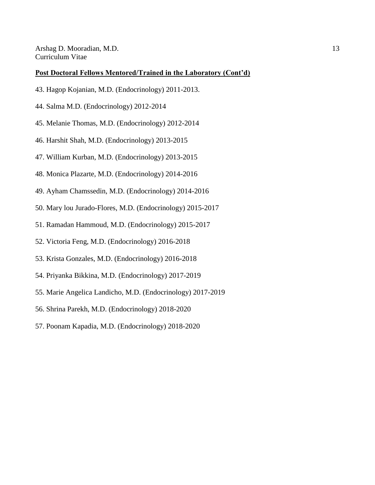#### **Post Doctoral Fellows Mentored/Trained in the Laboratory (Cont'd)**

- 43. Hagop Kojanian, M.D. (Endocrinology) 2011-2013.
- 44. Salma M.D. (Endocrinology) 2012-2014
- 45. Melanie Thomas, M.D. (Endocrinology) 2012-2014
- 46. Harshit Shah, M.D. (Endocrinology) 2013-2015
- 47. William Kurban, M.D. (Endocrinology) 2013-2015
- 48. Monica Plazarte, M.D. (Endocrinology) 2014-2016
- 49. Ayham Chamssedin, M.D. (Endocrinology) 2014-2016
- 50. Mary lou Jurado-Flores, M.D. (Endocrinology) 2015-2017
- 51. Ramadan Hammoud, M.D. (Endocrinology) 2015-2017
- 52. Victoria Feng, M.D. (Endocrinology) 2016-2018
- 53. Krista Gonzales, M.D. (Endocrinology) 2016-2018
- 54. Priyanka Bikkina, M.D. (Endocrinology) 2017-2019
- 55. Marie Angelica Landicho, M.D. (Endocrinology) 2017-2019
- 56. Shrina Parekh, M.D. (Endocrinology) 2018-2020
- 57. Poonam Kapadia, M.D. (Endocrinology) 2018-2020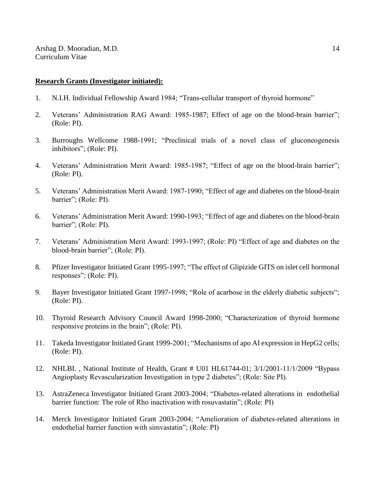### **Research Grants (Investigator initiated):**

- 1. N.I.H. Individual Fellowship Award 1984; "Trans-cellular transport of thyroid hormone"
- 2. Veterans' Administration RAG Award: 1985-1987; Effect of age on the blood-brain barrier"; (Role: PI).
- 3. Burroughs Wellcome 1988-1991; "Preclinical trials of a novel class of gluconeogenesis inhibitors"; (Role: PI).
- 4. Veterans' Administration Merit Award: 1985-1987; "Effect of age on the blood-brain barrier"; (Role: PI).
- 5. Veterans' Administration Merit Award: 1987-1990; "Effect of age and diabetes on the blood-brain barrier"; (Role: PI).
- 6. Veterans' Administration Merit Award: 1990-1993; "Effect of age and diabetes on the blood-brain barrier"; (Role: PI).
- 7. Veterans' Administration Merit Award: 1993-1997; (Role: PI) "Effect of age and diabetes on the blood-brain barrier"; (Role: PI).
- 8. Pfizer Investigator Initiated Grant 1995-1997; "The effect of Glipizide GITS on islet cell hormonal responses"; (Role: PI).
- 9. Bayer Investigator Initiated Grant 1997-1998; "Role of acarbose in the elderly diabetic subjects"; (Role: PI).
- 10. Thyroid Research Advisory Council Award 1998-2000; "Characterization of thyroid hormone responsive proteins in the brain"; (Role: PI).
- 11. Takeda Investigator Initiated Grant 1999-2001; "Mechanisms of apo AI expression in HepG2 cells; (Role: PI).
- 12. NHLBI. , National Institute of Health, Grant # U01 HL61744-01; 3/1/2001-11/1/2009 "Bypass Angioplasty Revascularization Investigation in type 2 diabetes"; (Role: Site PI).
- 13. AstraZeneca Investigator Initiated Grant 2003-2004; "Diabetes-related alterations in endothelial barrier function: The role of Rho inactivation with rosuvastatin"; (Role: PI)
- 14. Merck Investigator Initiated Grant 2003-2004; "Amelioration of diabetes-related alterations in endothelial barrier function with simvastatin"; (Role: PI)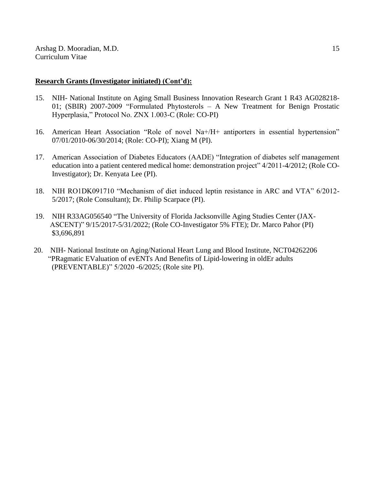### **Research Grants (Investigator initiated) (Cont'd):**

- 15. NIH- National Institute on Aging Small Business Innovation Research Grant 1 R43 AG028218- 01; (SBIR) 2007-2009 "Formulated Phytosterols – A New Treatment for Benign Prostatic Hyperplasia," Protocol No. ZNX 1.003-C (Role: CO-PI)
- 16. American Heart Association "Role of novel Na+/H+ antiporters in essential hypertension" 07/01/2010-06/30/2014; (Role: CO-PI); Xiang M (PI).
- 17. American Association of Diabetes Educators (AADE) "Integration of diabetes self management education into a patient centered medical home: demonstration project" 4/2011-4/2012; (Role CO-Investigator); Dr. Kenyata Lee (PI).
- 18. NIH RO1DK091710 "Mechanism of diet induced leptin resistance in ARC and VTA" 6/2012- 5/2017; (Role Consultant); Dr. Philip Scarpace (PI).
- 19. NIH R33AG056540 "The University of Florida Jacksonville Aging Studies Center (JAX- ASCENT)" 9/15/2017-5/31/2022; (Role CO-Investigator 5% FTE); Dr. Marco Pahor (PI) \$3,696,891
- 20. NIH- National Institute on Aging/National Heart Lung and Blood Institute, NCT04262206 "PRagmatic EValuation of evENTs And Benefits of Lipid-lowering in oldEr adults (PREVENTABLE)" 5/2020 -6/2025; (Role site PI).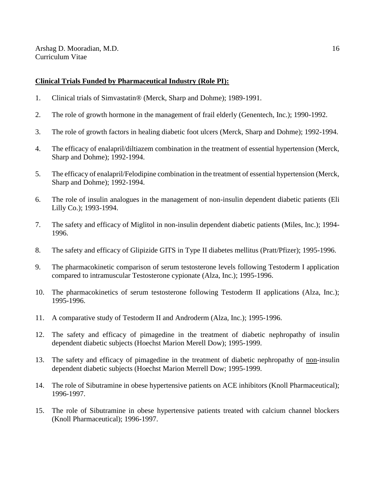- 1. Clinical trials of Simvastatin® (Merck, Sharp and Dohme); 1989-1991.
- 2. The role of growth hormone in the management of frail elderly (Genentech, Inc.); 1990-1992.
- 3. The role of growth factors in healing diabetic foot ulcers (Merck, Sharp and Dohme); 1992-1994.
- 4. The efficacy of enalapril/diltiazem combination in the treatment of essential hypertension (Merck, Sharp and Dohme); 1992-1994.
- 5. The efficacy of enalapril/Felodipine combination in the treatment of essential hypertension (Merck, Sharp and Dohme); 1992-1994.
- 6. The role of insulin analogues in the management of non-insulin dependent diabetic patients (Eli Lilly Co.); 1993-1994.
- 7. The safety and efficacy of Miglitol in non-insulin dependent diabetic patients (Miles, Inc.); 1994- 1996.
- 8. The safety and efficacy of Glipizide GITS in Type II diabetes mellitus (Pratt/Pfizer); 1995-1996.
- 9. The pharmacokinetic comparison of serum testosterone levels following Testoderm I application compared to intramuscular Testosterone cypionate (Alza, Inc.); 1995-1996.
- 10. The pharmacokinetics of serum testosterone following Testoderm II applications (Alza, Inc.); 1995-1996.
- 11. A comparative study of Testoderm II and Androderm (Alza, Inc.); 1995-1996.
- 12. The safety and efficacy of pimagedine in the treatment of diabetic nephropathy of insulin dependent diabetic subjects (Hoechst Marion Merell Dow); 1995-1999.
- 13. The safety and efficacy of pimagedine in the treatment of diabetic nephropathy of non-insulin dependent diabetic subjects (Hoechst Marion Merrell Dow; 1995-1999.
- 14. The role of Sibutramine in obese hypertensive patients on ACE inhibitors (Knoll Pharmaceutical); 1996-1997.
- 15. The role of Sibutramine in obese hypertensive patients treated with calcium channel blockers (Knoll Pharmaceutical); 1996-1997.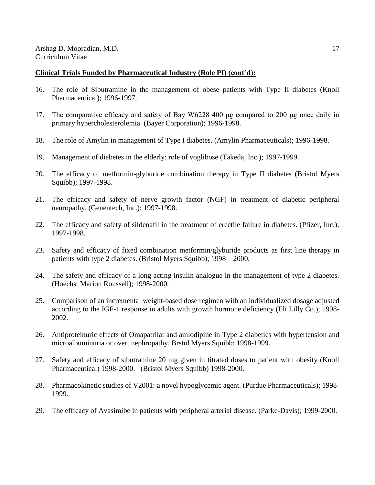- 16. The role of Sibutramine in the management of obese patients with Type II diabetes (Knoll Pharmaceutical); 1996-1997.
- 17. The comparative efficacy and safety of Bay W6228 400 μg compared to 200 μg once daily in primary hypercholesterolemia. (Bayer Corporation); 1996-1998.
- 18. The role of Amylin in management of Type I diabetes. (Amylin Pharmaceuticals); 1996-1998.
- 19. Management of diabetes in the elderly: role of voglibose (Takeda, Inc.); 1997-1999.
- 20. The efficacy of metformin-glyburide combination therapy in Type II diabetes (Bristol Myers Squibb); 1997-1998.
- 21. The efficacy and safety of nerve growth factor (NGF) in treatment of diabetic peripheral neuropathy. (Genentech, Inc.); 1997-1998.
- 22. The efficacy and safety of sildenafil in the treatment of erectile failure in diabetes. (Pfizer, Inc.); 1997-1998.
- 23. Safety and efficacy of fixed combination metformin/glyburide products as first line therapy in patients with type 2 diabetes. (Bristol Myers Squibb); 1998 – 2000.
- 24. The safety and efficacy of a long acting insulin analogue in the management of type 2 diabetes. (Hoechst Marion Roussell); 1998-2000.
- 25. Comparison of an incremental weight-based dose regimen with an individualized dosage adjusted according to the IGF-1 response in adults with growth hormone deficiency (Eli Lilly Co.); 1998- 2002.
- 26. Antiproteinuric effects of Omapatrilat and amlodipine in Type 2 diabetics with hypertension and microalbuminuria or overt nephropathy. Brstol Myers Squibb; 1998-1999.
- 27. Safety and efficacy of sibutramine 20 mg given in titrated doses to patient with obesity (Knoll Pharmaceutical) 1998-2000. (Bristol Myers Squibb) 1998-2000.
- 28. Pharmacokinetic studies of V2001: a novel hypoglycemic agent. (Purdue Pharmaceuticals); 1998- 1999.
- 29. The efficacy of Avasimibe in patients with peripheral arterial disease. (Parke-Davis); 1999-2000.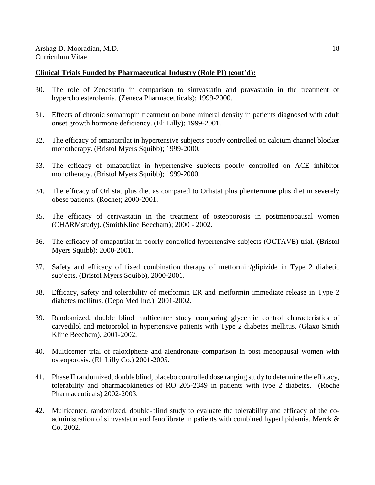- 30. The role of Zenestatin in comparison to simvastatin and pravastatin in the treatment of hypercholesterolemia. (Zeneca Pharmaceuticals); 1999-2000.
- 31. Effects of chronic somatropin treatment on bone mineral density in patients diagnosed with adult onset growth hormone deficiency. (Eli Lilly); 1999-2001.
- 32. The efficacy of omapatrilat in hypertensive subjects poorly controlled on calcium channel blocker monotherapy. (Bristol Myers Squibb); 1999-2000.
- 33. The efficacy of omapatrilat in hypertensive subjects poorly controlled on ACE inhibitor monotherapy. (Bristol Myers Squibb); 1999-2000.
- 34. The efficacy of Orlistat plus diet as compared to Orlistat plus phentermine plus diet in severely obese patients. (Roche); 2000-2001.
- 35. The efficacy of cerivastatin in the treatment of osteoporosis in postmenopausal women (CHARMstudy). (SmithKline Beecham); 2000 - 2002.
- 36. The efficacy of omapatrilat in poorly controlled hypertensive subjects (OCTAVE) trial. (Bristol Myers Squibb); 2000-2001.
- 37. Safety and efficacy of fixed combination therapy of metformin/glipizide in Type 2 diabetic subjects. (Bristol Myers Squibb), 2000-2001.
- 38. Efficacy, safety and tolerability of metformin ER and metformin immediate release in Type 2 diabetes mellitus. (Depo Med Inc.), 2001-2002.
- 39. Randomized, double blind multicenter study comparing glycemic control characteristics of carvedilol and metoprolol in hypertensive patients with Type 2 diabetes mellitus. (Glaxo Smith Kline Beechem), 2001-2002.
- 40. Multicenter trial of raloxiphene and alendronate comparison in post menopausal women with osteoporosis. (Eli Lilly Co.) 2001-2005.
- 41. Phase II randomized, double blind, placebo controlled dose ranging study to determine the efficacy, tolerability and pharmacokinetics of RO 205-2349 in patients with type 2 diabetes. (Roche Pharmaceuticals) 2002-2003.
- 42. Multicenter, randomized, double-blind study to evaluate the tolerability and efficacy of the coadministration of simvastatin and fenofibrate in patients with combined hyperlipidemia. Merck & Co. 2002.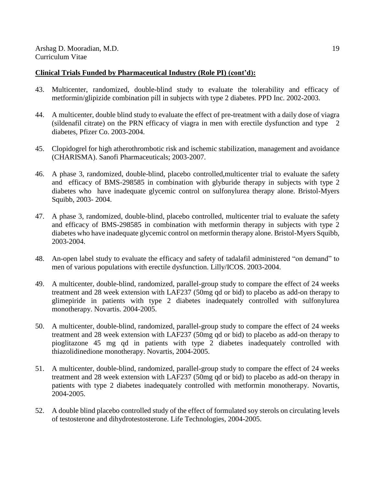- 43. Multicenter, randomized, double-blind study to evaluate the tolerability and efficacy of metformin/glipizide combination pill in subjects with type 2 diabetes. PPD Inc. 2002-2003.
- 44. A multicenter, double blind study to evaluate the effect of pre-treatment with a daily dose of viagra (sildenafil citrate) on the PRN efficacy of viagra in men with erectile dysfunction and type 2 diabetes, Pfizer Co. 2003-2004.
- 45. Clopidogrel for high atherothrombotic risk and ischemic stabilization, management and avoidance (CHARISMA). Sanofi Pharmaceuticals; 2003-2007.
- 46. A phase 3, randomized, double-blind, placebo controlled,multicenter trial to evaluate the safety and efficacy of BMS-298585 in combination with glyburide therapy in subjects with type 2 diabetes who have inadequate glycemic control on sulfonylurea therapy alone. Bristol-Myers Squibb, 2003- 2004.
- 47. A phase 3, randomized, double-blind, placebo controlled, multicenter trial to evaluate the safety and efficacy of BMS-298585 in combination with metformin therapy in subjects with type 2 diabetes who have inadequate glycemic control on metformin therapy alone. Bristol-Myers Squibb, 2003-2004.
- 48. An-open label study to evaluate the efficacy and safety of tadalafil administered "on demand" to men of various populations with erectile dysfunction. Lilly/ICOS. 2003-2004.
- 49. A multicenter, double-blind, randomized, parallel-group study to compare the effect of 24 weeks treatment and 28 week extension with LAF237 (50mg qd or bid) to placebo as add-on therapy to glimepiride in patients with type 2 diabetes inadequately controlled with sulfonylurea monotherapy. Novartis. 2004-2005.
- 50. A multicenter, double-blind, randomized, parallel-group study to compare the effect of 24 weeks treatment and 28 week extension with LAF237 (50mg qd or bid) to placebo as add-on therapy to pioglitazone 45 mg qd in patients with type 2 diabetes inadequately controlled with thiazolidinedione monotherapy. Novartis, 2004-2005.
- 51. A multicenter, double-blind, randomized, parallel-group study to compare the effect of 24 weeks treatment and 28 week extension with LAF237 (50mg qd or bid) to placebo as add-on therapy in patients with type 2 diabetes inadequately controlled with metformin monotherapy. Novartis, 2004-2005.
- 52. A double blind placebo controlled study of the effect of formulated soy sterols on circulating levels of testosterone and dihydrotestosterone. Life Technologies, 2004-2005.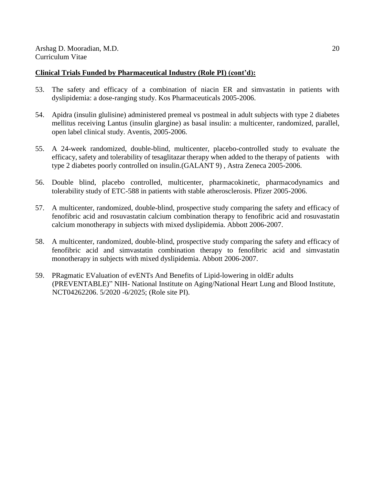- 53. The safety and efficacy of a combination of niacin ER and simvastatin in patients with dyslipidemia: a dose-ranging study. Kos Pharmaceuticals 2005-2006.
- 54. Apidra (insulin glulisine) administered premeal vs postmeal in adult subjects with type 2 diabetes mellitus receiving Lantus (insulin glargine) as basal insulin: a multicenter, randomized, parallel, open label clinical study. Aventis, 2005-2006.
- 55. A 24-week randomized, double-blind, multicenter, placebo-controlled study to evaluate the efficacy, safety and tolerability of tesaglitazar therapy when added to the therapy of patients with type 2 diabetes poorly controlled on insulin.(GALANT 9) , Astra Zeneca 2005-2006.
- 56. Double blind, placebo controlled, multicenter, pharmacokinetic, pharmacodynamics and tolerability study of ETC-588 in patients with stable atherosclerosis. Pfizer 2005-2006.
- 57. A multicenter, randomized, double-blind, prospective study comparing the safety and efficacy of fenofibric acid and rosuvastatin calcium combination therapy to fenofibric acid and rosuvastatin calcium monotherapy in subjects with mixed dyslipidemia. Abbott 2006-2007.
- 58. A multicenter, randomized, double-blind, prospective study comparing the safety and efficacy of fenofibric acid and simvastatin combination therapy to fenofibric acid and simvastatin monotherapy in subjects with mixed dyslipidemia. Abbott 2006-2007.
- 59. PRagmatic EValuation of evENTs And Benefits of Lipid-lowering in oldEr adults (PREVENTABLE)" NIH- National Institute on Aging/National Heart Lung and Blood Institute, NCT04262206. 5/2020 -6/2025; (Role site PI).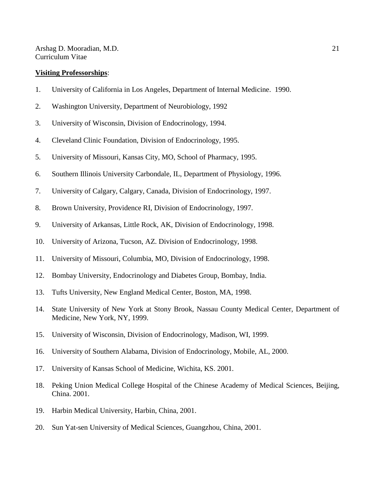#### **Visiting Professorships**:

- 1. University of California in Los Angeles, Department of Internal Medicine. 1990.
- 2. Washington University, Department of Neurobiology, 1992
- 3. University of Wisconsin, Division of Endocrinology, 1994.
- 4. Cleveland Clinic Foundation, Division of Endocrinology, 1995.
- 5. University of Missouri, Kansas City, MO, School of Pharmacy, 1995.
- 6. Southern Illinois University Carbondale, IL, Department of Physiology, 1996.
- 7. University of Calgary, Calgary, Canada, Division of Endocrinology, 1997.
- 8. Brown University, Providence RI, Division of Endocrinology, 1997.
- 9. University of Arkansas, Little Rock, AK, Division of Endocrinology, 1998.
- 10. University of Arizona, Tucson, AZ. Division of Endocrinology, 1998.
- 11. University of Missouri, Columbia, MO, Division of Endocrinology, 1998.
- 12. Bombay University, Endocrinology and Diabetes Group, Bombay, India.
- 13. Tufts University, New England Medical Center, Boston, MA, 1998.
- 14. State University of New York at Stony Brook, Nassau County Medical Center, Department of Medicine, New York, NY, 1999.
- 15. University of Wisconsin, Division of Endocrinology, Madison, WI, 1999.
- 16. University of Southern Alabama, Division of Endocrinology, Mobile, AL, 2000.
- 17. University of Kansas School of Medicine, Wichita, KS. 2001.
- 18. Peking Union Medical College Hospital of the Chinese Academy of Medical Sciences, Beijing, China. 2001.
- 19. Harbin Medical University, Harbin, China, 2001.
- 20. Sun Yat-sen University of Medical Sciences, Guangzhou, China, 2001.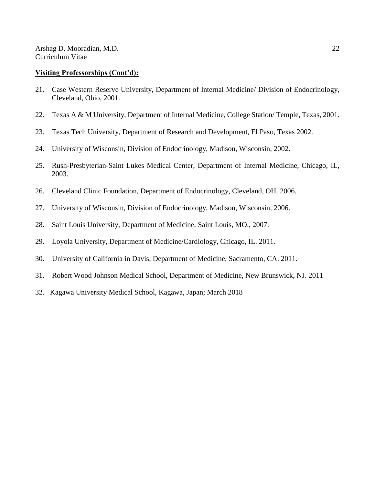#### **Visiting Professorships (Cont'd):**

- 21. Case Western Reserve University, Department of Internal Medicine/ Division of Endocrinology, Cleveland, Ohio, 2001.
- 22. Texas A & M University, Department of Internal Medicine, College Station/ Temple, Texas, 2001.
- 23. Texas Tech University, Department of Research and Development, El Paso, Texas 2002.
- 24. University of Wisconsin, Division of Endocrinology, Madison, Wisconsin, 2002.
- 25. Rush-Presbyterian-Saint Lukes Medical Center, Department of Internal Medicine, Chicago, IL, 2003.
- 26. Cleveland Clinic Foundation, Department of Endocrinology, Cleveland, OH. 2006.
- 27. University of Wisconsin, Division of Endocrinology, Madison, Wisconsin, 2006.
- 28. Saint Louis University, Department of Medicine, Saint Louis, MO., 2007.
- 29. Loyola University, Department of Medicine/Cardiology, Chicago, IL. 2011.
- 30. University of California in Davis, Department of Medicine, Sacramento, CA. 2011.
- 31. Robert Wood Johnson Medical School, Department of Medicine, New Brunswick, NJ. 2011
- 32. Kagawa University Medical School, Kagawa, Japan; March 2018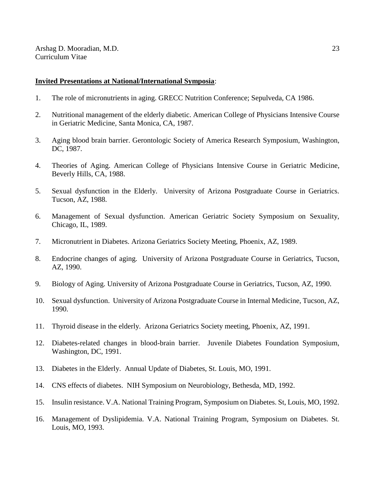- 1. The role of micronutrients in aging. GRECC Nutrition Conference; Sepulveda, CA 1986.
- 2. Nutritional management of the elderly diabetic. American College of Physicians Intensive Course in Geriatric Medicine, Santa Monica, CA, 1987.
- 3. Aging blood brain barrier. Gerontologic Society of America Research Symposium, Washington, DC, 1987.
- 4. Theories of Aging. American College of Physicians Intensive Course in Geriatric Medicine, Beverly Hills, CA, 1988.
- 5. Sexual dysfunction in the Elderly. University of Arizona Postgraduate Course in Geriatrics. Tucson, AZ, 1988.
- 6. Management of Sexual dysfunction. American Geriatric Society Symposium on Sexuality, Chicago, IL, 1989.
- 7. Micronutrient in Diabetes. Arizona Geriatrics Society Meeting, Phoenix, AZ, 1989.
- 8. Endocrine changes of aging. University of Arizona Postgraduate Course in Geriatrics, Tucson, AZ, 1990.
- 9. Biology of Aging. University of Arizona Postgraduate Course in Geriatrics, Tucson, AZ, 1990.
- 10. Sexual dysfunction. University of Arizona Postgraduate Course in Internal Medicine, Tucson, AZ, 1990.
- 11. Thyroid disease in the elderly. Arizona Geriatrics Society meeting, Phoenix, AZ, 1991.
- 12. Diabetes-related changes in blood-brain barrier. Juvenile Diabetes Foundation Symposium, Washington, DC, 1991.
- 13. Diabetes in the Elderly. Annual Update of Diabetes, St. Louis, MO, 1991.
- 14. CNS effects of diabetes. NIH Symposium on Neurobiology, Bethesda, MD, 1992.
- 15. Insulin resistance. V.A. National Training Program, Symposium on Diabetes. St, Louis, MO, 1992.
- 16. Management of Dyslipidemia. V.A. National Training Program, Symposium on Diabetes. St. Louis, MO, 1993.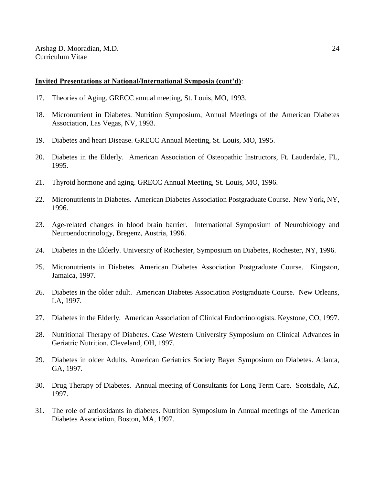- 17. Theories of Aging. GRECC annual meeting, St. Louis, MO, 1993.
- 18. Micronutrient in Diabetes. Nutrition Symposium, Annual Meetings of the American Diabetes Association, Las Vegas, NV, 1993.
- 19. Diabetes and heart Disease. GRECC Annual Meeting, St. Louis, MO, 1995.
- 20. Diabetes in the Elderly. American Association of Osteopathic Instructors, Ft. Lauderdale, FL, 1995.
- 21. Thyroid hormone and aging. GRECC Annual Meeting, St. Louis, MO, 1996.
- 22. Micronutrients in Diabetes. American Diabetes Association Postgraduate Course. New York, NY, 1996.
- 23. Age-related changes in blood brain barrier. International Symposium of Neurobiology and Neuroendocrinology, Bregenz, Austria, 1996.
- 24. Diabetes in the Elderly. University of Rochester, Symposium on Diabetes, Rochester, NY, 1996.
- 25. Micronutrients in Diabetes. American Diabetes Association Postgraduate Course. Kingston, Jamaica, 1997.
- 26. Diabetes in the older adult. American Diabetes Association Postgraduate Course. New Orleans, LA, 1997.
- 27. Diabetes in the Elderly. American Association of Clinical Endocrinologists. Keystone, CO, 1997.
- 28. Nutritional Therapy of Diabetes. Case Western University Symposium on Clinical Advances in Geriatric Nutrition. Cleveland, OH, 1997.
- 29. Diabetes in older Adults. American Geriatrics Society Bayer Symposium on Diabetes. Atlanta, GA, 1997.
- 30. Drug Therapy of Diabetes. Annual meeting of Consultants for Long Term Care. Scotsdale, AZ, 1997.
- 31. The role of antioxidants in diabetes. Nutrition Symposium in Annual meetings of the American Diabetes Association, Boston, MA, 1997.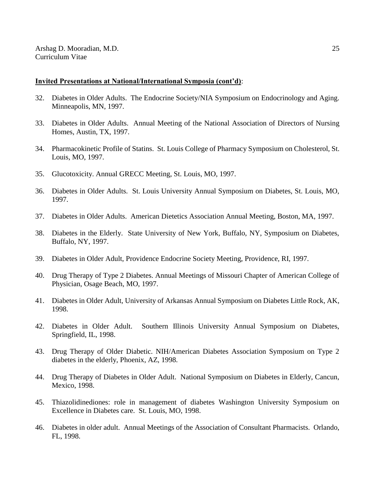- 32. Diabetes in Older Adults. The Endocrine Society/NIA Symposium on Endocrinology and Aging. Minneapolis, MN, 1997.
- 33. Diabetes in Older Adults. Annual Meeting of the National Association of Directors of Nursing Homes, Austin, TX, 1997.
- 34. Pharmacokinetic Profile of Statins. St. Louis College of Pharmacy Symposium on Cholesterol, St. Louis, MO, 1997.
- 35. Glucotoxicity. Annual GRECC Meeting, St. Louis, MO, 1997.
- 36. Diabetes in Older Adults. St. Louis University Annual Symposium on Diabetes, St. Louis, MO, 1997.
- 37. Diabetes in Older Adults. American Dietetics Association Annual Meeting, Boston, MA, 1997.
- 38. Diabetes in the Elderly. State University of New York, Buffalo, NY, Symposium on Diabetes, Buffalo, NY, 1997.
- 39. Diabetes in Older Adult, Providence Endocrine Society Meeting, Providence, RI, 1997.
- 40. Drug Therapy of Type 2 Diabetes. Annual Meetings of Missouri Chapter of American College of Physician, Osage Beach, MO, 1997.
- 41. Diabetes in Older Adult, University of Arkansas Annual Symposium on Diabetes Little Rock, AK, 1998.
- 42. Diabetes in Older Adult. Southern Illinois University Annual Symposium on Diabetes, Springfield, IL, 1998.
- 43. Drug Therapy of Older Diabetic. NIH/American Diabetes Association Symposium on Type 2 diabetes in the elderly, Phoenix, AZ, 1998.
- 44. Drug Therapy of Diabetes in Older Adult. National Symposium on Diabetes in Elderly, Cancun, Mexico, 1998.
- 45. Thiazolidinediones: role in management of diabetes Washington University Symposium on Excellence in Diabetes care. St. Louis, MO, 1998.
- 46. Diabetes in older adult. Annual Meetings of the Association of Consultant Pharmacists. Orlando, FL, 1998.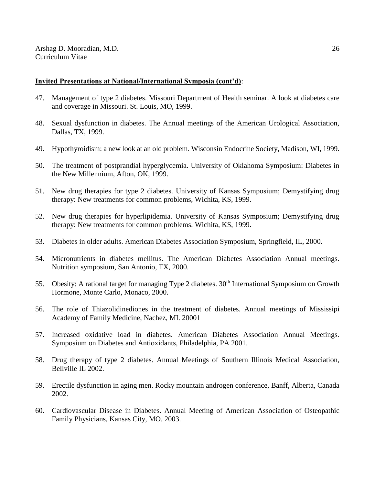- 47. Management of type 2 diabetes. Missouri Department of Health seminar. A look at diabetes care and coverage in Missouri. St. Louis, MO, 1999.
- 48. Sexual dysfunction in diabetes. The Annual meetings of the American Urological Association, Dallas, TX, 1999.
- 49. Hypothyroidism: a new look at an old problem. Wisconsin Endocrine Society, Madison, WI, 1999.
- 50. The treatment of postprandial hyperglycemia. University of Oklahoma Symposium: Diabetes in the New Millennium, Afton, OK, 1999.
- 51. New drug therapies for type 2 diabetes. University of Kansas Symposium; Demystifying drug therapy: New treatments for common problems, Wichita, KS, 1999.
- 52. New drug therapies for hyperlipidemia. University of Kansas Symposium; Demystifying drug therapy: New treatments for common problems. Wichita, KS, 1999.
- 53. Diabetes in older adults. American Diabetes Association Symposium, Springfield, IL, 2000.
- 54. Micronutrients in diabetes mellitus. The American Diabetes Association Annual meetings. Nutrition symposium, San Antonio, TX, 2000.
- 55. Obesity: A rational target for managing Type 2 diabetes. 30<sup>th</sup> International Symposium on Growth Hormone, Monte Carlo, Monaco, 2000.
- 56. The role of Thiazolidinediones in the treatment of diabetes. Annual meetings of Mississipi Academy of Family Medicine, Nachez, MI. 20001
- 57. Increased oxidative load in diabetes. American Diabetes Association Annual Meetings. Symposium on Diabetes and Antioxidants, Philadelphia, PA 2001.
- 58. Drug therapy of type 2 diabetes. Annual Meetings of Southern Illinois Medical Association, Bellville IL 2002.
- 59. Erectile dysfunction in aging men. Rocky mountain androgen conference, Banff, Alberta, Canada 2002.
- 60. Cardiovascular Disease in Diabetes. Annual Meeting of American Association of Osteopathic Family Physicians, Kansas City, MO. 2003.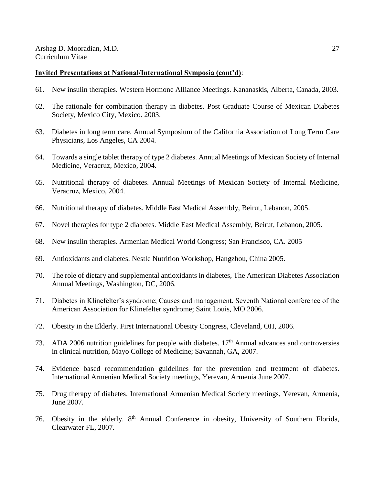- 61. New insulin therapies. Western Hormone Alliance Meetings. Kananaskis, Alberta, Canada, 2003.
- 62. The rationale for combination therapy in diabetes. Post Graduate Course of Mexican Diabetes Society, Mexico City, Mexico. 2003.
- 63. Diabetes in long term care. Annual Symposium of the California Association of Long Term Care Physicians, Los Angeles, CA 2004.
- 64. Towards a single tablet therapy of type 2 diabetes. Annual Meetings of Mexican Society of Internal Medicine, Veracruz, Mexico, 2004.
- 65. Nutritional therapy of diabetes. Annual Meetings of Mexican Society of Internal Medicine, Veracruz, Mexico, 2004.
- 66. Nutritional therapy of diabetes. Middle East Medical Assembly, Beirut, Lebanon, 2005.
- 67. Novel therapies for type 2 diabetes. Middle East Medical Assembly, Beirut, Lebanon, 2005.
- 68. New insulin therapies. Armenian Medical World Congress; San Francisco, CA. 2005
- 69. Antioxidants and diabetes. Nestle Nutrition Workshop, Hangzhou, China 2005.
- 70. The role of dietary and supplemental antioxidants in diabetes, The American Diabetes Association Annual Meetings, Washington, DC, 2006.
- 71. Diabetes in Klinefelter's syndrome; Causes and management. Seventh National conference of the American Association for Klinefelter syndrome; Saint Louis, MO 2006.
- 72. Obesity in the Elderly. First International Obesity Congress, Cleveland, OH, 2006.
- 73. ADA 2006 nutrition guidelines for people with diabetes. 17<sup>th</sup> Annual advances and controversies in clinical nutrition, Mayo College of Medicine; Savannah, GA, 2007.
- 74. Evidence based recommendation guidelines for the prevention and treatment of diabetes. International Armenian Medical Society meetings, Yerevan, Armenia June 2007.
- 75. Drug therapy of diabetes. International Armenian Medical Society meetings, Yerevan, Armenia, June 2007.
- 76. Obesity in the elderly. 8<sup>th</sup> Annual Conference in obesity, University of Southern Florida, Clearwater FL, 2007.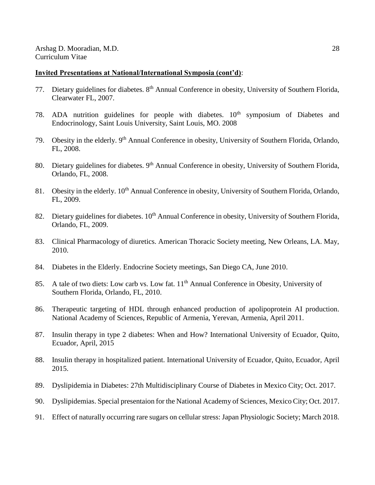- 77. Dietary guidelines for diabetes. 8th Annual Conference in obesity, University of Southern Florida, Clearwater FL, 2007.
- 78. ADA nutrition guidelines for people with diabetes.  $10<sup>th</sup>$  symposium of Diabetes and Endocrinology, Saint Louis University, Saint Louis, MO. 2008
- 79. Obesity in the elderly. 9<sup>th</sup> Annual Conference in obesity, University of Southern Florida, Orlando, FL, 2008.
- 80. Dietary guidelines for diabetes. 9<sup>th</sup> Annual Conference in obesity, University of Southern Florida, Orlando, FL, 2008.
- 81. Obesity in the elderly. 10<sup>th</sup> Annual Conference in obesity, University of Southern Florida, Orlando, FL, 2009.
- 82. Dietary guidelines for diabetes. 10<sup>th</sup> Annual Conference in obesity, University of Southern Florida, Orlando, FL, 2009.
- 83. Clinical Pharmacology of diuretics. American Thoracic Society meeting, New Orleans, LA. May, 2010.
- 84. Diabetes in the Elderly. Endocrine Society meetings, San Diego CA, June 2010.
- 85. A tale of two diets: Low carb vs. Low fat. 11<sup>th</sup> Annual Conference in Obesity, University of Southern Florida, Orlando, FL, 2010.
- 86. Therapeutic targeting of HDL through enhanced production of apolipoprotein AI production. National Academy of Sciences, Republic of Armenia, Yerevan, Armenia, April 2011.
- 87. Insulin therapy in type 2 diabetes: When and How? International University of Ecuador, Quito, Ecuador, April, 2015
- 88. Insulin therapy in hospitalized patient. International University of Ecuador, Quito, Ecuador, April 2015.
- 89. Dyslipidemia in Diabetes: 27th Multidisciplinary Course of Diabetes in Mexico City; Oct. 2017.
- 90. Dyslipidemias. Special presentaion for the National Academy of Sciences, Mexico City; Oct. 2017.
- 91. Effect of naturally occurring rare sugars on cellular stress: Japan Physiologic Society; March 2018.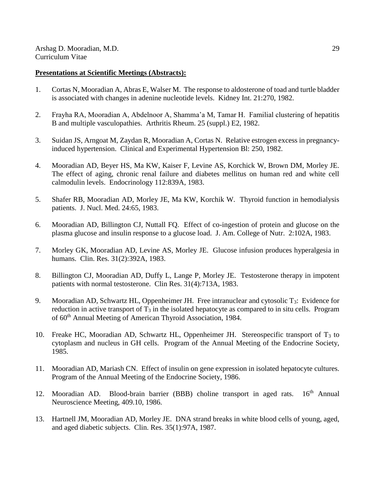- 1. Cortas N, Mooradian A, Abras E, Walser M. The response to aldosterone of toad and turtle bladder is associated with changes in adenine nucleotide levels. Kidney Int. 21:270, 1982.
- 2. Frayha RA, Mooradian A, Abdelnoor A, Shamma'a M, Tamar H. Familial clustering of hepatitis B and multiple vasculopathies. Arthritis Rheum. 25 (suppl.) E2, 1982.
- 3. Suidan JS, Arngoat M, Zaydan R, Mooradian A, Cortas N. Relative estrogen excess in pregnancyinduced hypertension. Clinical and Experimental Hypertension Bl: 250, 1982.
- 4. Mooradian AD, Beyer HS, Ma KW, Kaiser F, Levine AS, Korchick W, Brown DM, Morley JE. The effect of aging, chronic renal failure and diabetes mellitus on human red and white cell calmodulin levels. Endocrinology 112:839A, 1983.
- 5. Shafer RB, Mooradian AD, Morley JE, Ma KW, Korchik W. Thyroid function in hemodialysis patients. J. Nucl. Med. 24:65, 1983.
- 6. Mooradian AD, Billington CJ, Nuttall FQ. Effect of co-ingestion of protein and glucose on the plasma glucose and insulin response to a glucose load. J. Am. College of Nutr. 2:102A, 1983.
- 7. Morley GK, Mooradian AD, Levine AS, Morley JE. Glucose infusion produces hyperalgesia in humans. Clin. Res. 31(2):392A, 1983.
- 8. Billington CJ, Mooradian AD, Duffy L, Lange P, Morley JE. Testosterone therapy in impotent patients with normal testosterone. Clin Res. 31(4):713A, 1983.
- 9. Mooradian AD, Schwartz HL, Oppenheimer JH. Free intranuclear and cytosolic T<sub>3</sub>: Evidence for reduction in active transport of  $T_3$  in the isolated hepatocyte as compared to in situ cells. Program of 60<sup>th</sup> Annual Meeting of American Thyroid Association, 1984.
- 10. Freake HC, Mooradian AD, Schwartz HL, Oppenheimer JH. Stereospecific transport of T<sup>3</sup> to cytoplasm and nucleus in GH cells. Program of the Annual Meeting of the Endocrine Society, 1985.
- 11. Mooradian AD, Mariash CN. Effect of insulin on gene expression in isolated hepatocyte cultures. Program of the Annual Meeting of the Endocrine Society, 1986.
- 12. Mooradian AD. Blood-brain barrier (BBB) choline transport in aged rats. 16<sup>th</sup> Annual Neuroscience Meeting, 409.10, 1986.
- 13. Hartnell JM, Mooradian AD, Morley JE. DNA strand breaks in white blood cells of young, aged, and aged diabetic subjects. Clin. Res. 35(1):97A, 1987.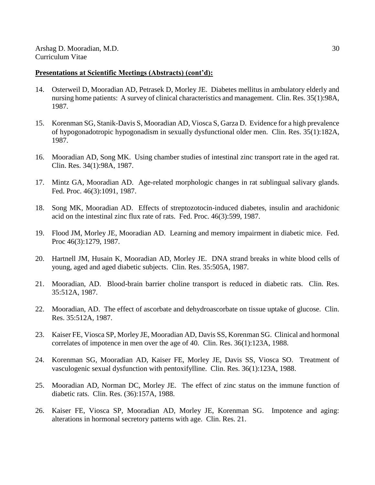- 14. Osterweil D, Mooradian AD, Petrasek D, Morley JE. Diabetes mellitus in ambulatory elderly and nursing home patients: A survey of clinical characteristics and management. Clin. Res. 35(1):98A, 1987.
- 15. Korenman SG, Stanik-Davis S, Mooradian AD, Viosca S, Garza D. Evidence for a high prevalence of hypogonadotropic hypogonadism in sexually dysfunctional older men. Clin. Res. 35(1):182A, 1987.
- 16. Mooradian AD, Song MK. Using chamber studies of intestinal zinc transport rate in the aged rat. Clin. Res. 34(1):98A, 1987.
- 17. Mintz GA, Mooradian AD. Age-related morphologic changes in rat sublingual salivary glands. Fed. Proc. 46(3):1091, 1987.
- 18. Song MK, Mooradian AD. Effects of streptozotocin-induced diabetes, insulin and arachidonic acid on the intestinal zinc flux rate of rats. Fed. Proc. 46(3):599, 1987.
- 19. Flood JM, Morley JE, Mooradian AD. Learning and memory impairment in diabetic mice. Fed. Proc 46(3):1279, 1987.
- 20. Hartnell JM, Husain K, Mooradian AD, Morley JE. DNA strand breaks in white blood cells of young, aged and aged diabetic subjects. Clin. Res. 35:505A, 1987.
- 21. Mooradian, AD. Blood-brain barrier choline transport is reduced in diabetic rats. Clin. Res. 35:512A, 1987.
- 22. Mooradian, AD. The effect of ascorbate and dehydroascorbate on tissue uptake of glucose. Clin. Res. 35:512A, 1987.
- 23. Kaiser FE, Viosca SP, Morley JE, Mooradian AD, Davis SS, Korenman SG. Clinical and hormonal correlates of impotence in men over the age of 40. Clin. Res. 36(1):123A, 1988.
- 24. Korenman SG, Mooradian AD, Kaiser FE, Morley JE, Davis SS, Viosca SO. Treatment of vasculogenic sexual dysfunction with pentoxifylline. Clin. Res. 36(1):123A, 1988.
- 25. Mooradian AD, Norman DC, Morley JE. The effect of zinc status on the immune function of diabetic rats. Clin. Res. (36):157A, 1988.
- 26. Kaiser FE, Viosca SP, Mooradian AD, Morley JE, Korenman SG. Impotence and aging: alterations in hormonal secretory patterns with age. Clin. Res. 21.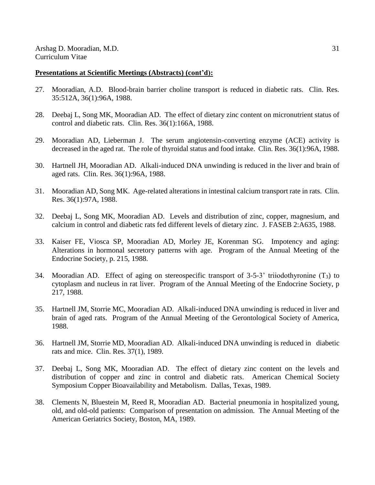- 27. Mooradian, A.D. Blood-brain barrier choline transport is reduced in diabetic rats. Clin. Res. 35:512A, 36(1):96A, 1988.
- 28. Deebaj L, Song MK, Mooradian AD. The effect of dietary zinc content on micronutrient status of control and diabetic rats. Clin. Res. 36(1):166A, 1988.
- 29. Mooradian AD, Lieberman J. The serum angiotensin-converting enzyme (ACE) activity is decreased in the aged rat. The role of thyroidal status and food intake. Clin. Res. 36(1):96A, 1988.
- 30. Hartnell JH, Mooradian AD. Alkali-induced DNA unwinding is reduced in the liver and brain of aged rats. Clin. Res. 36(1):96A, 1988.
- 31. Mooradian AD, Song MK. Age-related alterations in intestinal calcium transport rate in rats. Clin. Res. 36(1):97A, 1988.
- 32. Deebaj L, Song MK, Mooradian AD. Levels and distribution of zinc, copper, magnesium, and calcium in control and diabetic rats fed different levels of dietary zinc. J. FASEB 2:A635, 1988.
- 33. Kaiser FE, Viosca SP, Mooradian AD, Morley JE, Korenman SG. Impotency and aging: Alterations in hormonal secretory patterns with age. Program of the Annual Meeting of the Endocrine Society, p. 215, 1988.
- 34. Mooradian AD. Effect of aging on stereospecific transport of 3-5-3' triiodothyronine  $(T_3)$  to cytoplasm and nucleus in rat liver. Program of the Annual Meeting of the Endocrine Society, p 217, 1988.
- 35. Hartnell JM, Storrie MC, Mooradian AD. Alkali-induced DNA unwinding is reduced in liver and brain of aged rats. Program of the Annual Meeting of the Gerontological Society of America, 1988.
- 36. Hartnell JM, Storrie MD, Mooradian AD. Alkali-induced DNA unwinding is reduced in diabetic rats and mice. Clin. Res. 37(1), 1989.
- 37. Deebaj L, Song MK, Mooradian AD. The effect of dietary zinc content on the levels and distribution of copper and zinc in control and diabetic rats. American Chemical Society Symposium Copper Bioavailability and Metabolism. Dallas, Texas, 1989.
- 38. Clements N, Bluestein M, Reed R, Mooradian AD. Bacterial pneumonia in hospitalized young, old, and old-old patients: Comparison of presentation on admission. The Annual Meeting of the American Geriatrics Society, Boston, MA, 1989.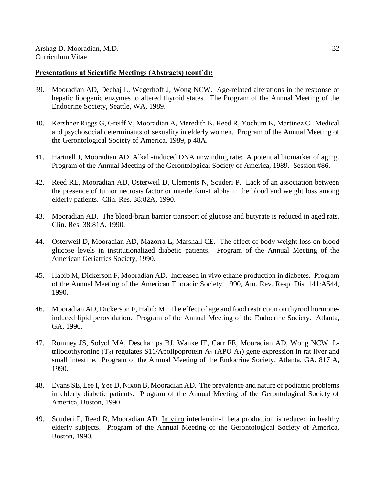- 39. Mooradian AD, Deebaj L, Wegerhoff J, Wong NCW. Age-related alterations in the response of hepatic lipogenic enzymes to altered thyroid states. The Program of the Annual Meeting of the Endocrine Society, Seattle, WA, 1989.
- 40. Kershner Riggs G, Greiff V, Mooradian A, Meredith K, Reed R, Yochum K, Martinez C. Medical and psychosocial determinants of sexuality in elderly women. Program of the Annual Meeting of the Gerontological Society of America, 1989, p 48A.
- 41. Hartnell J, Mooradian AD. Alkali-induced DNA unwinding rate: A potential biomarker of aging. Program of the Annual Meeting of the Gerontological Society of America, 1989. Session #86.
- 42. Reed RL, Mooradian AD, Osterweil D, Clements N, Scuderi P. Lack of an association between the presence of tumor necrosis factor or interleukin-1 alpha in the blood and weight loss among elderly patients. Clin. Res. 38:82A, 1990.
- 43. Mooradian AD. The blood-brain barrier transport of glucose and butyrate is reduced in aged rats. Clin. Res. 38:81A, 1990.
- 44. Osterweil D, Mooradian AD, Mazorra L, Marshall CE. The effect of body weight loss on blood glucose levels in institutionalized diabetic patients. Program of the Annual Meeting of the American Geriatrics Society, 1990.
- 45. Habib M, Dickerson F, Mooradian AD. Increased in vivo ethane production in diabetes. Program of the Annual Meeting of the American Thoracic Society, 1990, Am. Rev. Resp. Dis. 141:A544, 1990.
- 46. Mooradian AD, Dickerson F, Habib M. The effect of age and food restriction on thyroid hormoneinduced lipid peroxidation. Program of the Annual Meeting of the Endocrine Society. Atlanta, GA, 1990.
- 47. Romney JS, Solyol MA, Deschamps BJ, Wanke IE, Carr FE, Mooradian AD, Wong NCW. Ltriiodothyronine  $(T_3)$  regulates S11/Apolipoprotein A<sub>1</sub> (APO A<sub>1</sub>) gene expression in rat liver and small intestine. Program of the Annual Meeting of the Endocrine Society, Atlanta, GA, 817 A, 1990.
- 48. Evans SE, Lee I, Yee D, Nixon B, Mooradian AD. The prevalence and nature of podiatric problems in elderly diabetic patients. Program of the Annual Meeting of the Gerontological Society of America, Boston, 1990.
- 49. Scuderi P, Reed R, Mooradian AD. In vitro interleukin-1 beta production is reduced in healthy elderly subjects. Program of the Annual Meeting of the Gerontological Society of America, Boston, 1990.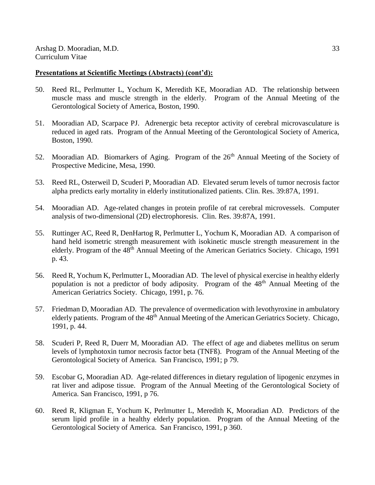- 50. Reed RL, Perlmutter L, Yochum K, Meredith KE, Mooradian AD. The relationship between muscle mass and muscle strength in the elderly. Program of the Annual Meeting of the Gerontological Society of America, Boston, 1990.
- 51. Mooradian AD, Scarpace PJ. Adrenergic beta receptor activity of cerebral microvasculature is reduced in aged rats. Program of the Annual Meeting of the Gerontological Society of America, Boston, 1990.
- 52. Mooradian AD. Biomarkers of Aging. Program of the 26<sup>th</sup> Annual Meeting of the Society of Prospective Medicine, Mesa, 1990.
- 53. Reed RL, Osterweil D, Scuderi P, Mooradian AD. Elevated serum levels of tumor necrosis factor alpha predicts early mortality in elderly institutionalized patients. Clin. Res. 39:87A, 1991.
- 54. Mooradian AD. Age-related changes in protein profile of rat cerebral microvessels. Computer analysis of two-dimensional (2D) electrophoresis. Clin. Res. 39:87A, 1991.
- 55. Ruttinger AC, Reed R, DenHartog R, Perlmutter L, Yochum K, Mooradian AD. A comparison of hand held isometric strength measurement with isokinetic muscle strength measurement in the elderly. Program of the  $48<sup>th</sup>$  Annual Meeting of the American Geriatrics Society. Chicago, 1991 p. 43.
- 56. Reed R, Yochum K, Perlmutter L, Mooradian AD. The level of physical exercise in healthy elderly population is not a predictor of body adiposity. Program of the 48th Annual Meeting of the American Geriatrics Society. Chicago, 1991, p. 76.
- 57. Friedman D, Mooradian AD. The prevalence of overmedication with levothyroxine in ambulatory elderly patients. Program of the 48<sup>th</sup> Annual Meeting of the American Geriatrics Society. Chicago, 1991, p. 44.
- 58. Scuderi P, Reed R, Duerr M, Mooradian AD. The effect of age and diabetes mellitus on serum levels of lymphotoxin tumor necrosis factor beta (TNFß). Program of the Annual Meeting of the Gerontological Society of America. San Francisco, 1991; p 79.
- 59. Escobar G, Mooradian AD. Age-related differences in dietary regulation of lipogenic enzymes in rat liver and adipose tissue. Program of the Annual Meeting of the Gerontological Society of America. San Francisco, 1991, p 76.
- 60. Reed R, Kligman E, Yochum K, Perlmutter L, Meredith K, Mooradian AD. Predictors of the serum lipid profile in a healthy elderly population. Program of the Annual Meeting of the Gerontological Society of America. San Francisco, 1991, p 360.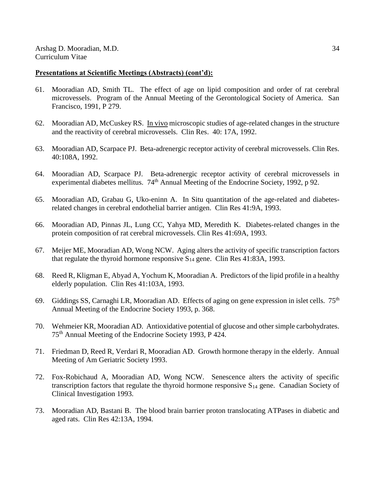- 61. Mooradian AD, Smith TL. The effect of age on lipid composition and order of rat cerebral microvessels. Program of the Annual Meeting of the Gerontological Society of America. San Francisco, 1991, P 279.
- 62. Mooradian AD, McCuskey RS. In vivo microscopic studies of age-related changes in the structure and the reactivity of cerebral microvessels. Clin Res. 40: 17A, 1992.
- 63. Mooradian AD, Scarpace PJ. Beta-adrenergic receptor activity of cerebral microvessels. Clin Res. 40:108A, 1992.
- 64. Mooradian AD, Scarpace PJ. Beta-adrenergic receptor activity of cerebral microvessels in experimental diabetes mellitus. 74<sup>th</sup> Annual Meeting of the Endocrine Society, 1992, p 92.
- 65. Mooradian AD, Grabau G, Uko-eninn A. In Situ quantitation of the age-related and diabetesrelated changes in cerebral endothelial barrier antigen. Clin Res 41:9A, 1993.
- 66. Mooradian AD, Pinnas JL, Lung CC, Yahya MD, Meredith K. Diabetes-related changes in the protein composition of rat cerebral microvessels. Clin Res 41:69A, 1993.
- 67. Meijer ME, Mooradian AD, Wong NCW. Aging alters the activity of specific transcription factors that regulate the thyroid hormone responsive  $S_{14}$  gene. Clin Res 41:83A, 1993.
- 68. Reed R, Kligman E, Abyad A, Yochum K, Mooradian A. Predictors of the lipid profile in a healthy elderly population. Clin Res 41:103A, 1993.
- 69. Giddings SS, Carnaghi LR, Mooradian AD. Effects of aging on gene expression in islet cells. 75<sup>th</sup> Annual Meeting of the Endocrine Society 1993, p. 368.
- 70. Wehmeier KR, Mooradian AD. Antioxidative potential of glucose and other simple carbohydrates. 75th Annual Meeting of the Endocrine Society 1993, P 424.
- 71. Friedman D, Reed R, Verdari R, Mooradian AD. Growth hormone therapy in the elderly. Annual Meeting of Am Geriatric Society 1993.
- 72. Fox-Robichaud A, Mooradian AD, Wong NCW. Senescence alters the activity of specific transcription factors that regulate the thyroid hormone responsive  $S_{14}$  gene. Canadian Society of Clinical Investigation 1993.
- 73. Mooradian AD, Bastani B. The blood brain barrier proton translocating ATPases in diabetic and aged rats. Clin Res 42:13A, 1994.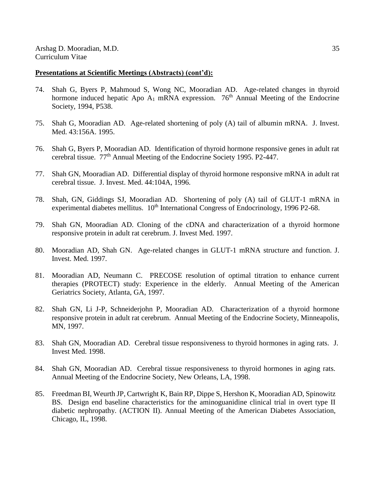- 74. Shah G, Byers P, Mahmoud S, Wong NC, Mooradian AD. Age-related changes in thyroid hormone induced hepatic Apo  $A_1$  mRNA expression. 76<sup>th</sup> Annual Meeting of the Endocrine Society, 1994, P538.
- 75. Shah G, Mooradian AD. Age-related shortening of poly (A) tail of albumin mRNA. J. Invest. Med. 43:156A. 1995.
- 76. Shah G, Byers P, Mooradian AD. Identification of thyroid hormone responsive genes in adult rat cerebral tissue. 77th Annual Meeting of the Endocrine Society 1995. P2-447.
- 77. Shah GN, Mooradian AD. Differential display of thyroid hormone responsive mRNA in adult rat cerebral tissue. J. Invest. Med. 44:104A, 1996.
- 78. Shah, GN, Giddings SJ, Mooradian AD. Shortening of poly (A) tail of GLUT-1 mRNA in experimental diabetes mellitus.  $10^{th}$  International Congress of Endocrinology, 1996 P2-68.
- 79. Shah GN, Mooradian AD. Cloning of the cDNA and characterization of a thyroid hormone responsive protein in adult rat cerebrum. J. Invest Med. 1997.
- 80. Mooradian AD, Shah GN. Age-related changes in GLUT-1 mRNA structure and function. J. Invest. Med. 1997.
- 81. Mooradian AD, Neumann C. PRECOSE resolution of optimal titration to enhance current therapies (PROTECT) study: Experience in the elderly. Annual Meeting of the American Geriatrics Society, Atlanta, GA, 1997.
- 82. Shah GN, Li J-P, Schneiderjohn P, Mooradian AD. Characterization of a thyroid hormone responsive protein in adult rat cerebrum. Annual Meeting of the Endocrine Society, Minneapolis, MN, 1997.
- 83. Shah GN, Mooradian AD. Cerebral tissue responsiveness to thyroid hormones in aging rats. J. Invest Med. 1998.
- 84. Shah GN, Mooradian AD. Cerebral tissue responsiveness to thyroid hormones in aging rats. Annual Meeting of the Endocrine Society, New Orleans, LA, 1998.
- 85. Freedman BI, Weurth JP, Cartwright K, Bain RP, Dippe S, Hershon K, Mooradian AD, Spinowitz BS. Design end baseline characteristics for the aminoguanidine clinical trial in overt type II diabetic nephropathy. (ACTION II). Annual Meeting of the American Diabetes Association, Chicago, IL, 1998.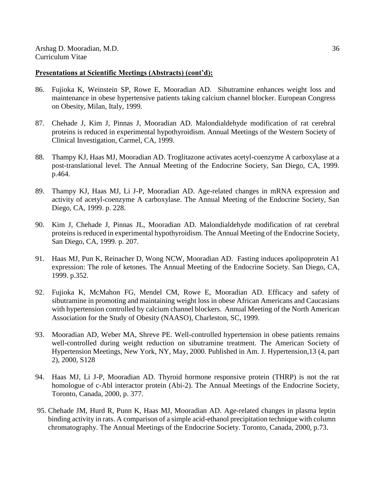- 86. Fujioka K, Weinstein SP, Rowe E, Mooradian AD. Sibutramine enhances weight loss and maintenance in obese hypertensive patients taking calcium channel blocker. European Congress on Obesity, Milan, Italy, 1999.
- 87. Chehade J, Kim J, Pinnas J, Mooradian AD. Malondialdehyde modification of rat cerebral proteins is reduced in experimental hypothyroidism. Annual Meetings of the Western Society of Clinical Investigation, Carmel, CA, 1999.
- 88. Thampy KJ, Haas MJ, Mooradian AD. Troglitazone activates acetyl-coenzyme A carboxylase at a post-translational level. The Annual Meeting of the Endocrine Society, San Diego, CA, 1999. p.464.
- 89. Thampy KJ, Haas MJ, Li J-P, Mooradian AD. Age-related changes in mRNA expression and activity of acetyl-coenzyme A carboxylase. The Annual Meeting of the Endocrine Society, San Diego, CA, 1999. p. 228.
- 90. Kim J, Chehade J, Pinnas JL, Mooradian AD. Malondialdehyde modification of rat cerebral proteins is reduced in experimental hypothyroidism. The Annual Meeting of the Endocrine Society, San Diego, CA, 1999. p. 207.
- 91. Haas MJ, Pun K, Reinacher D, Wong NCW, Mooradian AD. Fasting induces apolipoprotein A1 expression: The role of ketones. The Annual Meeting of the Endocrine Society. San Diego, CA, 1999. p.352.
- 92. Fujioka K, McMahon FG, Mendel CM, Rowe E, Mooradian AD. Efficacy and safety of sibutramine in promoting and maintaining weight loss in obese African Americans and Caucasians with hypertension controlled by calcium channel blockers. Annual Meeting of the North American Association for the Study of Obesity (NAASO), Charleston, SC, 1999.
- 93. Mooradian AD, Weber MA, Shreve PE. Well-controlled hypertension in obese patients remains well-controlled during weight reduction on sibutramine treatment. The American Society of Hypertension Meetings, New York, NY, May, 2000. Published in Am. J. Hypertension,13 (4, part 2), 2000, S128
- 94. Haas MJ, Li J-P, Mooradian AD. Thyroid hormone responsive protein (THRP) is not the rat homologue of c-Abl interactor protein (Abi-2). The Annual Meetings of the Endocrine Society, Toronto, Canada, 2000, p. 377.
- 95. Chehade JM, Hurd R, Punn K, Haas MJ, Mooradian AD. Age-related changes in plasma leptin binding activity in rats. A comparison of a simple acid-ethanol precipitation technique with column chromatography. The Annual Meetings of the Endocrine Society. Toronto, Canada, 2000, p.73.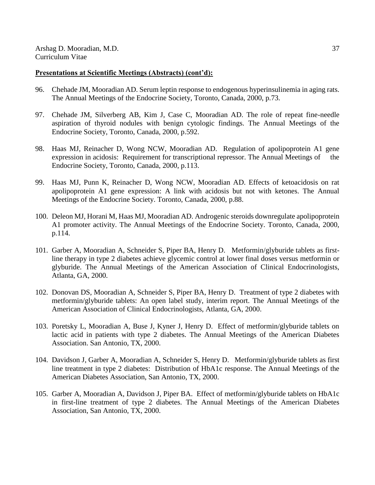- 96. Chehade JM, Mooradian AD. Serum leptin response to endogenous hyperinsulinemia in aging rats. The Annual Meetings of the Endocrine Society, Toronto, Canada, 2000, p.73.
- 97. Chehade JM, Silverberg AB, Kim J, Case C, Mooradian AD. The role of repeat fine-needle aspiration of thyroid nodules with benign cytologic findings. The Annual Meetings of the Endocrine Society, Toronto, Canada, 2000, p.592.
- 98. Haas MJ, Reinacher D, Wong NCW, Mooradian AD. Regulation of apolipoprotein A1 gene expression in acidosis: Requirement for transcriptional repressor. The Annual Meetings of the Endocrine Society, Toronto, Canada, 2000, p.113.
- 99. Haas MJ, Punn K, Reinacher D, Wong NCW, Mooradian AD. Effects of ketoacidosis on rat apolipoprotein A1 gene expression: A link with acidosis but not with ketones. The Annual Meetings of the Endocrine Society. Toronto, Canada, 2000, p.88.
- 100. Deleon MJ, Horani M, Haas MJ, Mooradian AD. Androgenic steroids downregulate apolipoprotein A1 promoter activity. The Annual Meetings of the Endocrine Society. Toronto, Canada, 2000, p.114.
- 101. Garber A, Mooradian A, Schneider S, Piper BA, Henry D. Metformin/glyburide tablets as firstline therapy in type 2 diabetes achieve glycemic control at lower final doses versus metformin or glyburide. The Annual Meetings of the American Association of Clinical Endocrinologists, Atlanta, GA, 2000.
- 102. Donovan DS, Mooradian A, Schneider S, Piper BA, Henry D. Treatment of type 2 diabetes with metformin/glyburide tablets: An open label study, interim report. The Annual Meetings of the American Association of Clinical Endocrinologists, Atlanta, GA, 2000.
- 103. Poretsky L, Mooradian A, Buse J, Kyner J, Henry D. Effect of metformin/glyburide tablets on lactic acid in patients with type 2 diabetes. The Annual Meetings of the American Diabetes Association. San Antonio, TX, 2000.
- 104. Davidson J, Garber A, Mooradian A, Schneider S, Henry D. Metformin/glyburide tablets as first line treatment in type 2 diabetes: Distribution of HbA1c response. The Annual Meetings of the American Diabetes Association, San Antonio, TX, 2000.
- 105. Garber A, Mooradian A, Davidson J, Piper BA. Effect of metformin/glyburide tablets on HbA1c in first-line treatment of type 2 diabetes. The Annual Meetings of the American Diabetes Association, San Antonio, TX, 2000.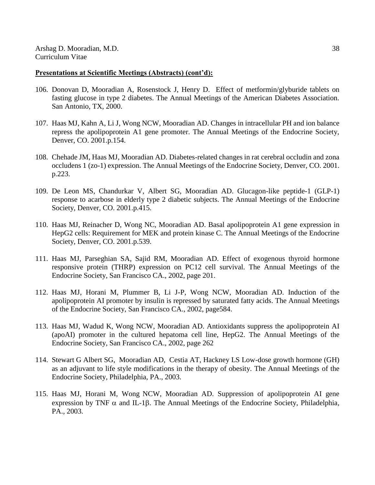- 106. Donovan D, Mooradian A, Rosenstock J, Henry D. Effect of metformin/glyburide tablets on fasting glucose in type 2 diabetes. The Annual Meetings of the American Diabetes Association. San Antonio, TX, 2000.
- 107. Haas MJ, Kahn A, Li J, Wong NCW, Mooradian AD. Changes in intracellular PH and ion balance repress the apolipoprotein A1 gene promoter. The Annual Meetings of the Endocrine Society, Denver, CO. 2001.p.154.
- 108. Chehade JM, Haas MJ, Mooradian AD. Diabetes-related changes in rat cerebral occludin and zona occludens 1 (zo-1) expression. The Annual Meetings of the Endocrine Society, Denver, CO. 2001. p.223.
- 109. De Leon MS, Chandurkar V, Albert SG, Mooradian AD. Glucagon-like peptide-1 (GLP-1) response to acarbose in elderly type 2 diabetic subjects. The Annual Meetings of the Endocrine Society, Denver, CO. 2001.p.415.
- 110. Haas MJ, Reinacher D, Wong NC, Mooradian AD. Basal apolipoprotein A1 gene expression in HepG2 cells: Requirement for MEK and protein kinase C. The Annual Meetings of the Endocrine Society, Denver, CO. 2001.p.539.
- 111. Haas MJ, Parseghian SA, Sajid RM, Mooradian AD. Effect of exogenous thyroid hormone responsive protein (THRP) expression on PC12 cell survival. The Annual Meetings of the Endocrine Society, San Francisco CA., 2002, page 201.
- 112. Haas MJ, Horani M, Plummer B, Li J-P, Wong NCW, Mooradian AD. Induction of the apolipoprotein AI promoter by insulin is repressed by saturated fatty acids. The Annual Meetings of the Endocrine Society, San Francisco CA., 2002, page584.
- 113. Haas MJ, Wadud K, Wong NCW, Mooradian AD. Antioxidants suppress the apolipoprotein AI (apoAI) promoter in the cultured hepatoma cell line, HepG2. The Annual Meetings of the Endocrine Society, San Francisco CA., 2002, page 262
- 114. Stewart G Albert SG, Mooradian AD, Cestia AT, Hackney LS Low-dose growth hormone (GH) as an adjuvant to life style modifications in the therapy of obesity. The Annual Meetings of the Endocrine Society, Philadelphia, PA., 2003.
- 115. Haas MJ, Horani M, Wong NCW, Mooradian AD. Suppression of apolipoprotein AI gene expression by TNF  $\alpha$  and IL-1 $\beta$ . The Annual Meetings of the Endocrine Society, Philadelphia, PA., 2003.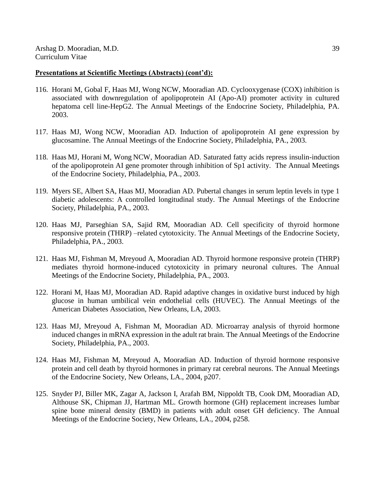- 116. Horani M, Gobal F, Haas MJ, Wong NCW, Mooradian AD. Cyclooxygenase (COX) inhibition is associated with downregulation of apolipoprotein AI (Apo-AI) promoter activity in cultured hepatoma cell line-HepG2. The Annual Meetings of the Endocrine Society, Philadelphia, PA. 2003.
- 117. Haas MJ, Wong NCW, Mooradian AD. Induction of apolipoprotein AI gene expression by glucosamine. The Annual Meetings of the Endocrine Society, Philadelphia, PA., 2003.
- 118. Haas MJ, Horani M, Wong NCW, Mooradian AD. Saturated fatty acids repress insulin-induction of the apolipoprotein AI gene promoter through inhibition of Sp1 activity. The Annual Meetings of the Endocrine Society, Philadelphia, PA., 2003.
- 119. Myers SE, Albert SA, Haas MJ, Mooradian AD. Pubertal changes in serum leptin levels in type 1 diabetic adolescents: A controlled longitudinal study. The Annual Meetings of the Endocrine Society, Philadelphia, PA., 2003.
- 120. Haas MJ, Parseghian SA, Sajid RM, Mooradian AD. Cell specificity of thyroid hormone responsive protein (THRP) –related cytotoxicity. The Annual Meetings of the Endocrine Society, Philadelphia, PA., 2003.
- 121. Haas MJ, Fishman M, Mreyoud A, Mooradian AD. Thyroid hormone responsive protein (THRP) mediates thyroid hormone-induced cytotoxicity in primary neuronal cultures. The Annual Meetings of the Endocrine Society, Philadelphia, PA., 2003.
- 122. Horani M, Haas MJ, Mooradian AD. Rapid adaptive changes in oxidative burst induced by high glucose in human umbilical vein endothelial cells (HUVEC). The Annual Meetings of the American Diabetes Association, New Orleans, LA, 2003.
- 123. Haas MJ, Mreyoud A, Fishman M, Mooradian AD. Microarray analysis of thyroid hormone induced changes in mRNA expression in the adult rat brain. The Annual Meetings of the Endocrine Society, Philadelphia, PA., 2003.
- 124. Haas MJ, Fishman M, Mreyoud A, Mooradian AD. Induction of thyroid hormone responsive protein and cell death by thyroid hormones in primary rat cerebral neurons. The Annual Meetings of the Endocrine Society, New Orleans, LA., 2004, p207.
- 125. Snyder PJ, Biller MK, Zagar A, Jackson I, Arafah BM, Nippoldt TB, Cook DM, Mooradian AD, Althouse SK, Chipman JJ, Hartman ML. Growth hormone (GH) replacement increases lumbar spine bone mineral density (BMD) in patients with adult onset GH deficiency. The Annual Meetings of the Endocrine Society, New Orleans, LA., 2004, p258.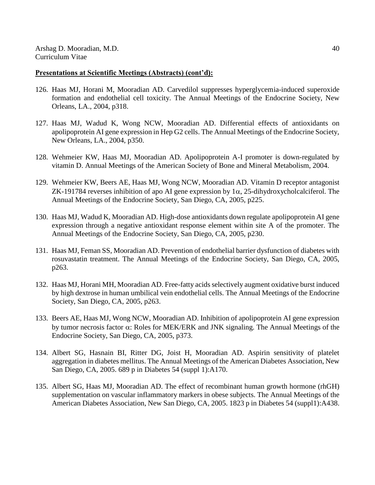- 126. Haas MJ, Horani M, Mooradian AD. Carvedilol suppresses hyperglycemia-induced superoxide formation and endothelial cell toxicity. The Annual Meetings of the Endocrine Society, New Orleans, LA., 2004, p318.
- 127. Haas MJ, Wadud K, Wong NCW, Mooradian AD. Differential effects of antioxidants on apolipoprotein AI gene expression in Hep G2 cells. The Annual Meetings of the Endocrine Society, New Orleans, LA., 2004, p350.
- 128. Wehmeier KW, Haas MJ, Mooradian AD. Apolipoprotein A-I promoter is down-regulated by vitamin D. Annual Meetings of the American Society of Bone and Mineral Metabolism, 2004.
- 129. Wehmeier KW, Beers AE, Haas MJ, Wong NCW, Mooradian AD. Vitamin D receptor antagonist ZK-191784 reverses inhibition of apo AI gene expression by  $1\alpha$ , 25-dihydroxycholcalciferol. The Annual Meetings of the Endocrine Society, San Diego, CA, 2005, p225.
- 130. Haas MJ, Wadud K, Mooradian AD. High-dose antioxidants down regulate apolipoprotein AI gene expression through a negative antioxidant response element within site A of the promoter. The Annual Meetings of the Endocrine Society, San Diego, CA, 2005, p230.
- 131. Haas MJ, Feman SS, Mooradian AD. Prevention of endothelial barrier dysfunction of diabetes with rosuvastatin treatment. The Annual Meetings of the Endocrine Society, San Diego, CA, 2005, p263.
- 132. Haas MJ, Horani MH, Mooradian AD. Free-fatty acids selectively augment oxidative burst induced by high dextrose in human umbilical vein endothelial cells. The Annual Meetings of the Endocrine Society, San Diego, CA, 2005, p263.
- 133. Beers AE, Haas MJ, Wong NCW, Mooradian AD. Inhibition of apolipoprotein AI gene expression by tumor necrosis factor  $\alpha$ : Roles for MEK/ERK and JNK signaling. The Annual Meetings of the Endocrine Society, San Diego, CA, 2005, p373.
- 134. Albert SG, Hasnain BI, Ritter DG, Joist H, Mooradian AD. Aspirin sensitivity of platelet aggregation in diabetes mellitus. The Annual Meetings of the American Diabetes Association, New San Diego, CA, 2005. 689 p in Diabetes 54 (suppl 1):A170.
- 135. Albert SG, Haas MJ, Mooradian AD. The effect of recombinant human growth hormone (rhGH) supplementation on vascular inflammatory markers in obese subjects. The Annual Meetings of the American Diabetes Association, New San Diego, CA, 2005. 1823 p in Diabetes 54 (suppl1):A438.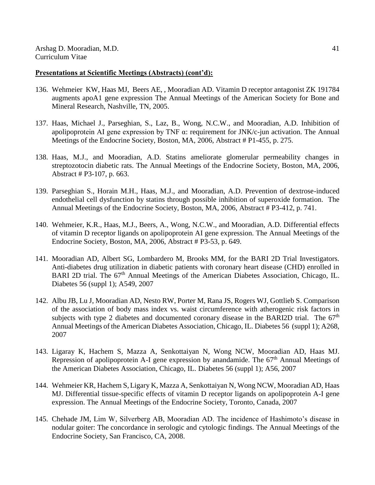- 136. Wehmeier KW, Haas MJ, Beers AE, , Mooradian AD. Vitamin D receptor antagonist ZK 191784 augments apoA1 gene expression The Annual Meetings of the American Society for Bone and Mineral Research, Nashville, TN, 2005.
- 137. Haas, Michael J., Parseghian, S., Laz, B., Wong, N.C.W., and Mooradian, A.D. Inhibition of apolipoprotein AI gene expression by TNF α: requirement for JNK/c-jun activation. The Annual Meetings of the Endocrine Society, Boston, MA, 2006, Abstract # P1-455, p. 275.
- 138. Haas, M.J., and Mooradian, A.D. Statins ameliorate glomerular permeability changes in streptozotocin diabetic rats. The Annual Meetings of the Endocrine Society, Boston, MA, 2006, Abstract # P3-107, p. 663.
- 139. Parseghian S., Horain M.H., Haas, M.J., and Mooradian, A.D. Prevention of dextrose-induced endothelial cell dysfunction by statins through possible inhibition of superoxide formation. The Annual Meetings of the Endocrine Society, Boston, MA, 2006, Abstract # P3-412, p. 741.
- 140. Wehmeier, K.R., Haas, M.J., Beers, A., Wong, N.C.W., and Mooradian, A.D. Differential effects of vitamin D receptor ligands on apolipoprotein AI gene expression. The Annual Meetings of the Endocrine Society, Boston, MA, 2006, Abstract # P3-53, p. 649.
- 141. Mooradian AD, Albert SG, Lombardero M, Brooks MM, for the BARI 2D Trial Investigators. Anti-diabetes drug utilization in diabetic patients with coronary heart disease (CHD) enrolled in BARI 2D trial. The 67<sup>th</sup> Annual Meetings of the American Diabetes Association, Chicago, IL. Diabetes 56 (suppl 1); A549, 2007
- 142. Albu JB, Lu J, Mooradian AD, Nesto RW, Porter M, Rana JS, Rogers WJ, Gottlieb S. Comparison of the association of body mass index vs. waist circumference with atherogenic risk factors in subjects with type 2 diabetes and documented coronary disease in the BARI2D trial. The  $67<sup>th</sup>$ Annual Meetings of the American Diabetes Association, Chicago, IL. Diabetes 56 (suppl 1); A268, 2007
- 143. Ligaray K, Hachem S, Mazza A, Senkottaiyan N, Wong NCW, Mooradian AD, Haas MJ. Repression of apolipoprotein A-I gene expression by anandamide. The  $67<sup>th</sup>$  Annual Meetings of the American Diabetes Association, Chicago, IL. Diabetes 56 (suppl 1); A56, 2007
- 144. Wehmeier KR, Hachem S,Ligary K, Mazza A, Senkottaiyan N, Wong NCW, Mooradian AD, Haas MJ. Differential tissue-specific effects of vitamin D receptor ligands on apolipoprotein A-I gene expression. The Annual Meetings of the Endocrine Society, Toronto, Canada, 2007
- 145. Chehade JM, Lim W, Silverberg AB, Mooradian AD. The incidence of Hashimoto's disease in nodular goiter: The concordance in serologic and cytologic findings. The Annual Meetings of the Endocrine Society, San Francisco, CA, 2008.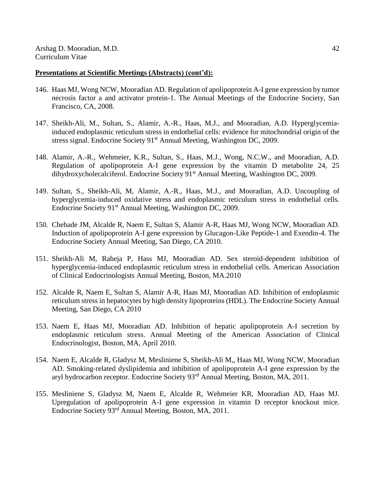- 146. Haas MJ, Wong NCW, Mooradian AD. Regulation of apolipoprotein A-I gene expression by tumor necrosis factor a and activator protein-1. The Annual Meetings of the Endocrine Society, San Francisco, CA, 2008.
- 147. Sheikh-Ali, M., Sultan, S., Alamir, A.-R., Haas, M.J., and Mooradian, A.D. Hyperglycemiainduced endoplasmic reticulum stress in endothelial cells: evidence for mitochondrial origin of the stress signal. Endocrine Society 91<sup>st</sup> Annual Meeting, Washington DC, 2009.
- 148. Alamir, A.-R., Wehmeier, K.R., Sultan, S., Haas, M.J., Wong, N.C.W., and Mooradian, A.D. Regulation of apolipoprotein A-I gene expression by the vitamin D metabolite 24, 25 dihydroxycholecalciferol. Endocrine Society 91<sup>st</sup> Annual Meeting, Washington DC, 2009.
- 149. Sultan, S., Sheikh-Ali, M, Alamir, A.-R., Haas, M.J., and Mooradian, A.D. Uncoupling of hyperglycemia-induced oxidative stress and endoplasmic reticulum stress in endothelial cells. Endocrine Society 91<sup>st</sup> Annual Meeting, Washington DC, 2009.
- 150. Chehade JM, Alcalde R, Naem E, Sultan S, Alamir A-R, Haas MJ, Wong NCW, Mooradian AD. Induction of apolipoprotein A-I gene expression by Glucagon-Like Peptide-1 and Exendin-4. The Endocrine Society Annual Meeting, San Diego, CA 2010.
- 151. Sheikh-Ali M, Raheja P, Hass MJ, Mooradian AD. Sex steroid-dependent inhibition of hyperglycemia-induced endoplasmic reticulum stress in endothelial cells. American Association of Clinical Endocrinologists Annual Meeting, Boston, MA.2010
- 152. Alcalde R, Naem E, Sultan S, Alamir A-R, Haas MJ, Mooradian AD. Inhibition of endoplasmic reticulum stress in hepatocytes by high density lipoproteins (HDL). The Endocrine Society Annual Meeting, San Diego, CA 2010
- 153. Naem E, Haas MJ, Mooradian AD. Inhibition of hepatic apolipoprotein A-I secretion by endoplasmic reticulum stress. Annual Meeting of the American Association of Clinical Endocrinologist, Boston, MA, April 2010.
- 154. Naem E, Alcalde R, Gladysz M, Mesliniene S, Sheikh-Ali M,, Haas MJ, Wong NCW, Mooradian AD. Smoking-related dyslipidemia and inhibition of apolipoprotein A-I gene expression by the aryl hydrocarbon receptor. Endocrine Society 93rd Annual Meeting, Boston, MA, 2011.
- 155. Mesliniene S, Gladysz M, Naem E, Alcalde R, Wehmeier KR, Mooradian AD, Haas MJ. Upregulation of apolipoprotein A-I gene expression in vitamin D receptor knockout mice. Endocrine Society 93rd Annual Meeting, Boston, MA, 2011.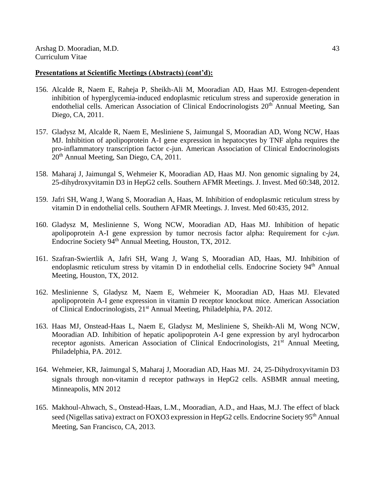- 156. Alcalde R, Naem E, Raheja P, Sheikh-Ali M, Mooradian AD, Haas MJ. Estrogen-dependent inhibition of hyperglycemia-induced endoplasmic reticulum stress and superoxide generation in endothelial cells. American Association of Clinical Endocrinologists 20<sup>th</sup> Annual Meeting, San Diego, CA, 2011.
- 157. Gladysz M, Alcalde R, Naem E, Mesliniene S, Jaimungal S, Mooradian AD, Wong NCW, Haas MJ. Inhibition of apolipoprotein A-I gene expression in hepatocytes by TNF alpha requires the pro-inflammatory transcription factor c-jun. American Association of Clinical Endocrinologists 20th Annual Meeting, San Diego, CA, 2011.
- 158. Maharaj J, Jaimungal S, Wehmeier K, Mooradian AD, Haas MJ. Non genomic signaling by 24, 25-dihydroxyvitamin D3 in HepG2 cells. Southern AFMR Meetings. J. Invest. Med 60:348, 2012.
- 159. Jafri SH, Wang J, Wang S, Mooradian A, Haas, M. Inhibition of endoplasmic reticulum stress by vitamin D in endothelial cells. Southern AFMR Meetings. J. Invest. Med 60:435, 2012.
- 160. Gladysz M, Meslinienne S, Wong NCW, Mooradian AD, Haas MJ. Inhibition of hepatic apolipoprotein A-I gene expression by tumor necrosis factor alpha: Requirement for c-*jun.* Endocrine Society 94<sup>th</sup> Annual Meeting, Houston, TX, 2012.
- 161. Szafran-Swiertlik A, Jafri SH, Wang J, Wang S, Mooradian AD, Haas, MJ. Inhibition of endoplasmic reticulum stress by vitamin D in endothelial cells. Endocrine Society 94<sup>th</sup> Annual Meeting, Houston, TX, 2012.
- 162. Meslinienne S, Gladysz M, Naem E, Wehmeier K, Mooradian AD, Haas MJ. Elevated apolipoprotein A-I gene expression in vitamin D receptor knockout mice. American Association of Clinical Endocrinologists, 21st Annual Meeting, Philadelphia, PA. 2012.
- 163. Haas MJ, Onstead-Haas L, Naem E, Gladysz M, Mesliniene S, Sheikh-Ali M, Wong NCW, Mooradian AD. Inhibition of hepatic apolipoprotein A-I gene expression by aryl hydrocarbon receptor agonists. American Association of Clinical Endocrinologists, 21<sup>st</sup> Annual Meeting, Philadelphia, PA. 2012.
- 164. Wehmeier, KR, Jaimungal S, Maharaj J, Mooradian AD, Haas MJ. 24, 25-Dihydroxyvitamin D3 signals through non-vitamin d receptor pathways in HepG2 cells. ASBMR annual meeting, Minneapolis, MN 2012
- 165. Makhoul-Ahwach, S., Onstead-Haas, L.M., Mooradian, A.D., and Haas, M.J. The effect of black seed (Nigellas sativa) extract on FOXO3 expression in HepG2 cells. Endocrine Society 95<sup>th</sup> Annual Meeting, San Francisco, CA, 2013.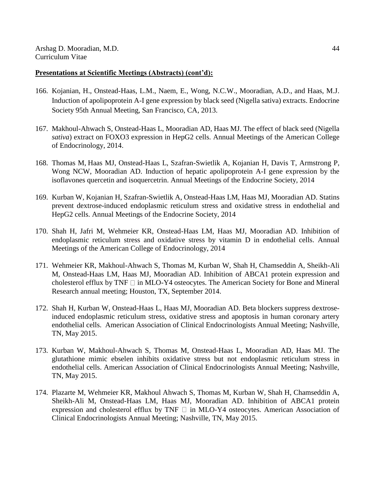- 166. Kojanian, H., Onstead-Haas, L.M., Naem, E., Wong, N.C.W., Mooradian, A.D., and Haas, M.J. Induction of apolipoprotein A-I gene expression by black seed (Nigella sativa) extracts. Endocrine Society 95th Annual Meeting, San Francisco, CA, 2013.
- 167. Makhoul-Ahwach S, Onstead-Haas L, Mooradian AD, Haas MJ. The effect of black seed (Nigella *sativa*) extract on FOXO3 expression in HepG2 cells. Annual Meetings of the American College of Endocrinology, 2014.
- 168. Thomas M, Haas MJ, Onstead-Haas L, Szafran-Swietlik A, Kojanian H, Davis T, Armstrong P, Wong NCW, Mooradian AD. Induction of hepatic apolipoprotein A-I gene expression by the isoflavones quercetin and isoquercetrin. Annual Meetings of the Endocrine Society, 2014
- 169. Kurban W, Kojanian H, Szafran-Swietlik A, Onstead-Haas LM, Haas MJ, Mooradian AD. Statins prevent dextrose-induced endoplasmic reticulum stress and oxidative stress in endothelial and HepG2 cells. Annual Meetings of the Endocrine Society, 2014
- 170. Shah H, Jafri M, Wehmeier KR, Onstead-Haas LM, Haas MJ, Mooradian AD. Inhibition of endoplasmic reticulum stress and oxidative stress by vitamin D in endothelial cells. Annual Meetings of the American College of Endocrinology, 2014
- 171. Wehmeier KR, Makhoul-Ahwach S, Thomas M, Kurban W, Shah H, Chamseddin A, Sheikh-Ali M, Onstead-Haas LM, Haas MJ, Mooradian AD. Inhibition of ABCA1 protein expression and cholesterol efflux by TNF  $\Box$  in MLO-Y4 osteocytes. The American Society for Bone and Mineral Research annual meeting; Houston, TX, September 2014.
- 172. Shah H, Kurban W, Onstead-Haas L, Haas MJ, Mooradian AD. Beta blockers suppress dextroseinduced endoplasmic reticulum stress, oxidative stress and apoptosis in human coronary artery endothelial cells. American Association of Clinical Endocrinologists Annual Meeting; Nashville, TN, May 2015.
- 173. Kurban W, Makhoul-Ahwach S, Thomas M, Onstead-Haas L, Mooradian AD, Haas MJ. The glutathione mimic ebselen inhibits oxidative stress but not endoplasmic reticulum stress in endothelial cells. American Association of Clinical Endocrinologists Annual Meeting; Nashville, TN, May 2015.
- 174. Plazarte M, Wehmeier KR, Makhoul Ahwach S, Thomas M, Kurban W, Shah H, Chamseddin A, Sheikh-Ali M, Onstead-Haas LM, Haas MJ, Mooradian AD. Inhibition of ABCA1 protein expression and cholesterol efflux by TNF  $\Box$  in MLO-Y4 osteocytes. American Association of Clinical Endocrinologists Annual Meeting; Nashville, TN, May 2015.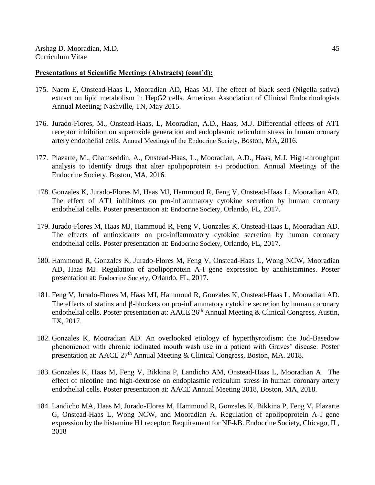- 175. Naem E, Onstead-Haas L, Mooradian AD, Haas MJ. The effect of black seed (Nigella sativa) extract on lipid metabolism in HepG2 cells. American Association of Clinical Endocrinologists Annual Meeting; Nashville, TN, May 2015.
- 176. Jurado-Flores, M., Onstead-Haas, L, Mooradian, A.D., Haas, M.J. Differential effects of AT1 receptor inhibition on superoxide generation and endoplasmic reticulum stress in human oronary artery endothelial cells. Annual Meetings of the Endocrine Society, Boston, MA, 2016.
- 177. Plazarte, M., Chamseddin, A., Onstead-Haas, L., Mooradian, A.D., Haas, M.J. High-throughput analysis to identify drugs that alter apolipoprotein a-i production. Annual Meetings of the Endocrine Society, Boston, MA, 2016.
- 178. Gonzales K, Jurado-Flores M, Haas MJ, Hammoud R, Feng V, Onstead-Haas L, Mooradian AD. The effect of AT1 inhibitors on pro-inflammatory cytokine secretion by human coronary endothelial cells. Poster presentation at: Endocrine Society, Orlando, FL, 2017.
- 179. Jurado-Flores M, Haas MJ, Hammoud R, Feng V, Gonzales K, Onstead-Haas L, Mooradian AD. The effects of antioxidants on pro-inflammatory cytokine secretion by human coronary endothelial cells. Poster presentation at: Endocrine Society, Orlando, FL, 2017.
- 180. Hammoud R, Gonzales K, Jurado-Flores M, Feng V, Onstead-Haas L, Wong NCW, Mooradian AD, Haas MJ. Regulation of apolipoprotein A-I gene expression by antihistamines. Poster presentation at: Endocrine Society, Orlando, FL, 2017.
- 181. Feng V, Jurado-Flores M, Haas MJ, Hammoud R, Gonzales K, Onstead-Haas L, Mooradian AD. The effects of statins and  $\beta$ -blockers on pro-inflammatory cytokine secretion by human coronary endothelial cells. Poster presentation at: AACE 26<sup>th</sup> Annual Meeting & Clinical Congress, Austin, TX, 2017.
- 182. Gonzales K, Mooradian AD. An overlooked etiology of hyperthyroidism: the Jod-Basedow phenomenon with chronic iodinated mouth wash use in a patient with Graves' disease. Poster presentation at: AACE 27th Annual Meeting & Clinical Congress, Boston, MA. 2018.
- 183. Gonzales K, Haas M, Feng V, Bikkina P, Landicho AM, Onstead-Haas L, Mooradian A. The effect of nicotine and high-dextrose on endoplasmic reticulum stress in human coronary artery endothelial cells. Poster presentation at: AACE Annual Meeting 2018, Boston, MA, 2018.
- 184. Landicho MA, Haas M, Jurado-Flores M, Hammoud R, Gonzales K, Bikkina P, Feng V, Plazarte G, Onstead-Haas L, Wong NCW, and Mooradian A. Regulation of apolipoprotein A-I gene expression by the histamine H1 receptor: Requirement for NF-kB. Endocrine Society, Chicago, IL, 2018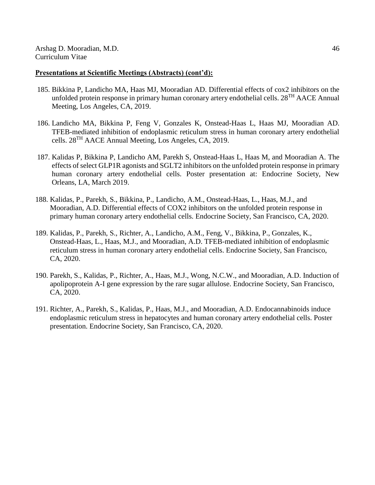- 185. Bikkina P, Landicho MA, Haas MJ, Mooradian AD. Differential effects of cox2 inhibitors on the unfolded protein response in primary human coronary artery endothelial cells. 28<sup>TH</sup> AACE Annual Meeting, Los Angeles, CA, 2019.
- 186. Landicho MA, Bikkina P, Feng V, Gonzales K, Onstead-Haas L, Haas MJ, Mooradian AD. TFEB-mediated inhibition of endoplasmic reticulum stress in human coronary artery endothelial cells. 28TH AACE Annual Meeting, Los Angeles, CA, 2019.
- 187. Kalidas P, Bikkina P, Landicho AM, Parekh S, Onstead-Haas L, Haas M, and Mooradian A. The effects of select GLP1R agonists and SGLT2 inhibitors on the unfolded protein response in primary human coronary artery endothelial cells. Poster presentation at: Endocrine Society, New Orleans, LA, March 2019.
- 188. Kalidas, P., Parekh, S., Bikkina, P., Landicho, A.M., Onstead-Haas, L., Haas, M.J., and Mooradian, A.D. Differential effects of COX2 inhibitors on the unfolded protein response in primary human coronary artery endothelial cells. Endocrine Society, San Francisco, CA, 2020.
- 189. Kalidas, P., Parekh, S., Richter, A., Landicho, A.M., Feng, V., Bikkina, P., Gonzales, K., Onstead-Haas, L., Haas, M.J., and Mooradian, A.D. TFEB-mediated inhibition of endoplasmic reticulum stress in human coronary artery endothelial cells. Endocrine Society, San Francisco, CA, 2020.
- 190. Parekh, S., Kalidas, P., Richter, A., Haas, M.J., Wong, N.C.W., and Mooradian, A.D. Induction of apolipoprotein A-I gene expression by the rare sugar allulose. Endocrine Society, San Francisco, CA, 2020.
- 191. Richter, A., Parekh, S., Kalidas, P., Haas, M.J., and Mooradian, A.D. Endocannabinoids induce endoplasmic reticulum stress in hepatocytes and human coronary artery endothelial cells. Poster presentation. Endocrine Society, San Francisco, CA, 2020.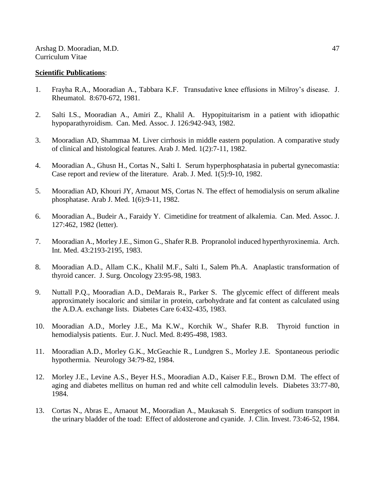### **Scientific Publications**:

- 1. Frayha R.A., Mooradian A., Tabbara K.F. Transudative knee effusions in Milroy's disease. J. Rheumatol. 8:670-672, 1981.
- 2. Salti I.S., Mooradian A., Amiri Z., Khalil A. Hypopituitarism in a patient with idiopathic hypoparathyroidism. Can. Med. Assoc. J. 126:942-943, 1982.
- 3. Mooradian AD, Shammaa M. Liver cirrhosis in middle eastern population. A comparative study of clinical and histological features. Arab J. Med. 1(2):7-11, 1982.
- 4. Mooradian A., Ghusn H., Cortas N., Salti I. Serum hyperphosphatasia in pubertal gynecomastia: Case report and review of the literature. Arab. J. Med. 1(5):9-10, 1982.
- 5. Mooradian AD, Khouri JY, Arnaout MS, Cortas N. The effect of hemodialysis on serum alkaline phosphatase. Arab J. Med. 1(6):9-11, 1982.
- 6. Mooradian A., Budeir A., Faraidy Y. Cimetidine for treatment of alkalemia. Can. Med. Assoc. J. 127:462, 1982 (letter).
- 7. Mooradian A., Morley J.E., Simon G., Shafer R.B. Propranolol induced hyperthyroxinemia. Arch. Int. Med. 43:2193-2195, 1983.
- 8. Mooradian A.D., Allam C.K., Khalil M.F., Salti I., Salem Ph.A. Anaplastic transformation of thyroid cancer. J. Surg. Oncology 23:95-98, 1983.
- 9. Nuttall P.Q., Mooradian A.D., DeMarais R., Parker S. The glycemic effect of different meals approximately isocaloric and similar in protein, carbohydrate and fat content as calculated using the A.D.A. exchange lists. Diabetes Care 6:432-435, 1983.
- 10. Mooradian A.D., Morley J.E., Ma K.W., Korchik W., Shafer R.B. Thyroid function in hemodialysis patients. Eur. J. Nucl. Med. 8:495-498, 1983.
- 11. Mooradian A.D., Morley G.K., McGeachie R., Lundgren S., Morley J.E. Spontaneous periodic hypothermia. Neurology 34:79-82, 1984.
- 12. Morley J.E., Levine A.S., Beyer H.S., Mooradian A.D., Kaiser F.E., Brown D.M. The effect of aging and diabetes mellitus on human red and white cell calmodulin levels. Diabetes 33:77-80, 1984.
- 13. Cortas N., Abras E., Arnaout M., Mooradian A., Maukasah S. Energetics of sodium transport in the urinary bladder of the toad: Effect of aldosterone and cyanide. J. Clin. Invest. 73:46-52, 1984.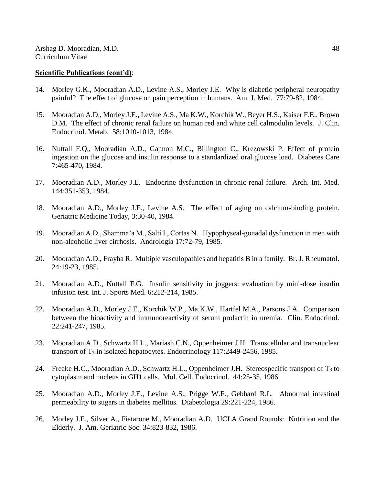- 14. Morley G.K., Mooradian A.D., Levine A.S., Morley J.E. Why is diabetic peripheral neuropathy painful? The effect of glucose on pain perception in humans. Am. J. Med. 77:79-82, 1984.
- 15. Mooradian A.D., Morley J.E., Levine A.S., Ma K.W., Korchik W., Beyer H.S., Kaiser F.E., Brown D.M. The effect of chronic renal failure on human red and white cell calmodulin levels. J. Clin. Endocrinol. Metab. 58:1010-1013, 1984.
- 16. Nuttall F.Q., Mooradian A.D., Gannon M.C., Billington C., Krezowski P. Effect of protein ingestion on the glucose and insulin response to a standardized oral glucose load. Diabetes Care 7:465-470, 1984.
- 17. Mooradian A.D., Morley J.E. Endocrine dysfunction in chronic renal failure. Arch. Int. Med. 144:351-353, 1984.
- 18. Mooradian A.D., Morley J.E., Levine A.S. The effect of aging on calcium-binding protein. Geriatric Medicine Today, 3:30-40, 1984.
- 19. Mooradian A.D., Shamma'a M., Salti I., Cortas N. Hypophyseal-gonadal dysfunction in men with non-alcoholic liver cirrhosis. Andrologia 17:72-79, 1985.
- 20. Mooradian A.D., Frayha R. Multiple vasculopathies and hepatitis B in a family. Br. J. Rheumatol. 24:19-23, 1985.
- 21. Mooradian A.D., Nuttall F.G. Insulin sensitivity in joggers: evaluation by mini-dose insulin infusion test. Int. J. Sports Med. 6:212-214, 1985.
- 22. Mooradian A.D., Morley J.E., Korchik W.P., Ma K.W., Hartfel M.A., Parsons J.A. Comparison between the bioactivity and immunoreactivity of serum prolactin in uremia. Clin. Endocrinol. 22:241-247, 1985.
- 23. Mooradian A.D., Schwartz H.L., Mariash C.N., Oppenheimer J.H. Transcellular and transnuclear transport of  $T_3$  in isolated hepatocytes. Endocrinology 117:2449-2456, 1985.
- 24. Freake H.C., Mooradian A.D., Schwartz H.L., Oppenheimer J.H. Stereospecific transport of  $T_3$  to cytoplasm and nucleus in GH1 cells. Mol. Cell. Endocrinol. 44:25-35, 1986.
- 25. Mooradian A.D., Morley J.E., Levine A.S., Prigge W.F., Gebhard R.L. Abnormal intestinal permeability to sugars in diabetes mellitus. Diabetologia 29:221-224, 1986.
- 26. Morley J.E., Silver A., Fiatarone M., Mooradian A.D. UCLA Grand Rounds: Nutrition and the Elderly. J. Am. Geriatric Soc. 34:823-832, 1986.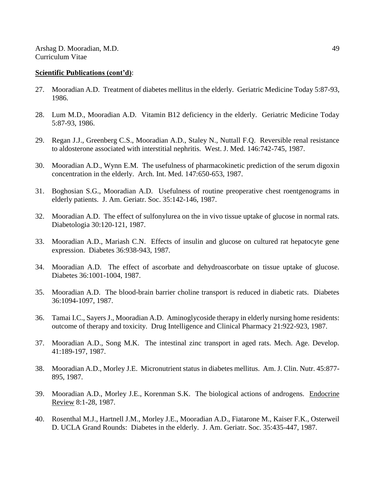- 27. Mooradian A.D. Treatment of diabetes mellitus in the elderly. Geriatric Medicine Today 5:87-93, 1986.
- 28. Lum M.D., Mooradian A.D. Vitamin B12 deficiency in the elderly. Geriatric Medicine Today 5:87-93, 1986.
- 29. Regan J.J., Greenberg C.S., Mooradian A.D., Staley N., Nuttall F.Q. Reversible renal resistance to aldosterone associated with interstitial nephritis. West. J. Med. 146:742-745, 1987.
- 30. Mooradian A.D., Wynn E.M. The usefulness of pharmacokinetic prediction of the serum digoxin concentration in the elderly. Arch. Int. Med. 147:650-653, 1987.
- 31. Boghosian S.G., Mooradian A.D. Usefulness of routine preoperative chest roentgenograms in elderly patients. J. Am. Geriatr. Soc. 35:142-146, 1987.
- 32. Mooradian A.D. The effect of sulfonylurea on the in vivo tissue uptake of glucose in normal rats. Diabetologia 30:120-121, 1987.
- 33. Mooradian A.D., Mariash C.N. Effects of insulin and glucose on cultured rat hepatocyte gene expression. Diabetes 36:938-943, 1987.
- 34. Mooradian A.D. The effect of ascorbate and dehydroascorbate on tissue uptake of glucose. Diabetes 36:1001-1004, 1987.
- 35. Mooradian A.D. The blood-brain barrier choline transport is reduced in diabetic rats. Diabetes 36:1094-1097, 1987.
- 36. Tamai I.C., Sayers J., Mooradian A.D. Aminoglycoside therapy in elderly nursing home residents: outcome of therapy and toxicity. Drug Intelligence and Clinical Pharmacy 21:922-923, 1987.
- 37. Mooradian A.D., Song M.K. The intestinal zinc transport in aged rats. Mech. Age. Develop. 41:189-197, 1987.
- 38. Mooradian A.D., Morley J.E. Micronutrient status in diabetes mellitus. Am. J. Clin. Nutr. 45:877- 895, 1987.
- 39. Mooradian A.D., Morley J.E., Korenman S.K. The biological actions of androgens. Endocrine Review 8:1-28, 1987.
- 40. Rosenthal M.J., Hartnell J.M., Morley J.E., Mooradian A.D., Fiatarone M., Kaiser F.K., Osterweil D. UCLA Grand Rounds: Diabetes in the elderly. J. Am. Geriatr. Soc. 35:435-447, 1987.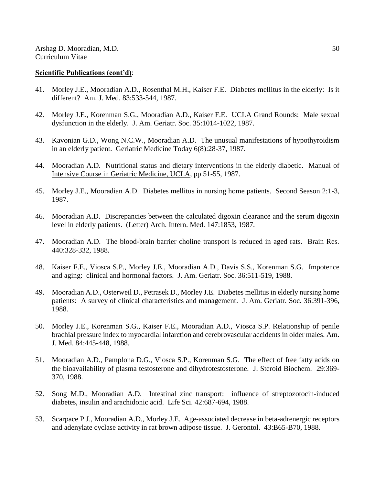- 41. Morley J.E., Mooradian A.D., Rosenthal M.H., Kaiser F.E. Diabetes mellitus in the elderly: Is it different? Am. J. Med. 83:533-544, 1987.
- 42. Morley J.E., Korenman S.G., Mooradian A.D., Kaiser F.E. UCLA Grand Rounds: Male sexual dysfunction in the elderly. J. Am. Geriatr. Soc. 35:1014-1022, 1987.
- 43. Kavonian G.D., Wong N.C.W., Mooradian A.D. The unusual manifestations of hypothyroidism in an elderly patient. Geriatric Medicine Today 6(8):28-37, 1987.
- 44. Mooradian A.D. Nutritional status and dietary interventions in the elderly diabetic. Manual of Intensive Course in Geriatric Medicine, UCLA, pp 51-55, 1987.
- 45. Morley J.E., Mooradian A.D. Diabetes mellitus in nursing home patients. Second Season 2:1-3, 1987.
- 46. Mooradian A.D. Discrepancies between the calculated digoxin clearance and the serum digoxin level in elderly patients. (Letter) Arch. Intern. Med. 147:1853, 1987.
- 47. Mooradian A.D. The blood-brain barrier choline transport is reduced in aged rats. Brain Res. 440:328-332, 1988.
- 48. Kaiser F.E., Viosca S.P., Morley J.E., Mooradian A.D., Davis S.S., Korenman S.G. Impotence and aging: clinical and hormonal factors. J. Am. Geriatr. Soc. 36:511-519, 1988.
- 49. Mooradian A.D., Osterweil D., Petrasek D., Morley J.E. Diabetes mellitus in elderly nursing home patients: A survey of clinical characteristics and management. J. Am. Geriatr. Soc. 36:391-396, 1988.
- 50. Morley J.E., Korenman S.G., Kaiser F.E., Mooradian A.D., Viosca S.P. Relationship of penile brachial pressure index to myocardial infarction and cerebrovascular accidents in older males. Am. J. Med. 84:445-448, 1988.
- 51. Mooradian A.D., Pamplona D.G., Viosca S.P., Korenman S.G. The effect of free fatty acids on the bioavailability of plasma testosterone and dihydrotestosterone. J. Steroid Biochem. 29:369- 370, 1988.
- 52. Song M.D., Mooradian A.D. Intestinal zinc transport: influence of streptozotocin-induced diabetes, insulin and arachidonic acid. Life Sci. 42:687-694, 1988.
- 53. Scarpace P.J., Mooradian A.D., Morley J.E. Age-associated decrease in beta-adrenergic receptors and adenylate cyclase activity in rat brown adipose tissue. J. Gerontol. 43:B65-B70, 1988.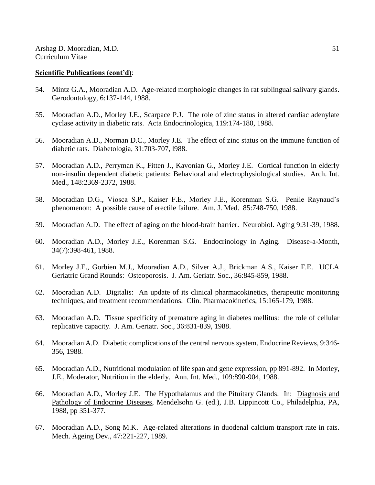- 54. Mintz G.A., Mooradian A.D. Age-related morphologic changes in rat sublingual salivary glands. Gerodontology, 6:137-144, 1988.
- 55. Mooradian A.D., Morley J.E., Scarpace P.J. The role of zinc status in altered cardiac adenylate cyclase activity in diabetic rats. Acta Endocrinologica, 119:174-180, 1988.
- 56. Mooradian A.D., Norman D.C., Morley J.E. The effect of zinc status on the immune function of diabetic rats. Diabetologia, 31:703-707, l988.
- 57. Mooradian A.D., Perryman K., Fitten J., Kavonian G., Morley J.E. Cortical function in elderly non-insulin dependent diabetic patients: Behavioral and electrophysiological studies. Arch. Int. Med., 148:2369-2372, 1988.
- 58. Mooradian D.G., Viosca S.P., Kaiser F.E., Morley J.E., Korenman S.G. Penile Raynaud's phenomenon: A possible cause of erectile failure. Am. J. Med. 85:748-750, 1988.
- 59. Mooradian A.D. The effect of aging on the blood-brain barrier. Neurobiol. Aging 9:31-39, 1988.
- 60. Mooradian A.D., Morley J.E., Korenman S.G. Endocrinology in Aging. Disease-a-Month, 34(7):398-461, 1988.
- 61. Morley J.E., Gorbien M.J., Mooradian A.D., Silver A.J., Brickman A.S., Kaiser F.E. UCLA Geriatric Grand Rounds: Osteoporosis. J. Am. Geriatr. Soc., 36:845-859, 1988.
- 62. Mooradian A.D. Digitalis: An update of its clinical pharmacokinetics, therapeutic monitoring techniques, and treatment recommendations. Clin. Pharmacokinetics, 15:165-179, 1988.
- 63. Mooradian A.D. Tissue specificity of premature aging in diabetes mellitus: the role of cellular replicative capacity. J. Am. Geriatr. Soc., 36:831-839, 1988.
- 64. Mooradian A.D. Diabetic complications of the central nervous system. Endocrine Reviews, 9:346- 356, 1988.
- 65. Mooradian A.D., Nutritional modulation of life span and gene expression, pp 891-892. In Morley, J.E., Moderator, Nutrition in the elderly. Ann. Int. Med., 109:890-904, 1988.
- 66. Mooradian A.D., Morley J.E. The Hypothalamus and the Pituitary Glands. In: Diagnosis and Pathology of Endocrine Diseases, Mendelsohn G. (ed.), J.B. Lippincott Co., Philadelphia, PA, 1988, pp 351-377.
- 67. Mooradian A.D., Song M.K. Age-related alterations in duodenal calcium transport rate in rats. Mech. Ageing Dev., 47:221-227, 1989.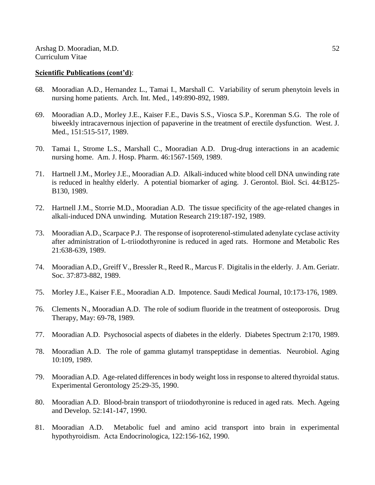- 68. Mooradian A.D., Hernandez L., Tamai I., Marshall C. Variability of serum phenytoin levels in nursing home patients. Arch. Int. Med., 149:890-892, 1989.
- 69. Mooradian A.D., Morley J.E., Kaiser F.E., Davis S.S., Viosca S.P., Korenman S.G. The role of biweekly intracavernous injection of papaverine in the treatment of erectile dysfunction. West. J. Med., 151:515-517, 1989.
- 70. Tamai I., Strome L.S., Marshall C., Mooradian A.D. Drug-drug interactions in an academic nursing home. Am. J. Hosp. Pharm. 46:1567-1569, 1989.
- 71. Hartnell J.M., Morley J.E., Mooradian A.D. Alkali-induced white blood cell DNA unwinding rate is reduced in healthy elderly. A potential biomarker of aging. J. Gerontol. Biol. Sci. 44:B125- B130, 1989.
- 72. Hartnell J.M., Storrie M.D., Mooradian A.D. The tissue specificity of the age-related changes in alkali-induced DNA unwinding. Mutation Research 219:187-192, 1989.
- 73. Mooradian A.D., Scarpace P.J. The response of isoproterenol-stimulated adenylate cyclase activity after administration of L-triiodothyronine is reduced in aged rats. Hormone and Metabolic Res 21:638-639, 1989.
- 74. Mooradian A.D., Greiff V., Bressler R., Reed R., Marcus F. Digitalis in the elderly. J. Am. Geriatr. Soc. 37:873-882, 1989.
- 75. Morley J.E., Kaiser F.E., Mooradian A.D. Impotence. Saudi Medical Journal, 10:173-176, 1989.
- 76. Clements N., Mooradian A.D. The role of sodium fluoride in the treatment of osteoporosis. Drug Therapy, May: 69-78, 1989.
- 77. Mooradian A.D. Psychosocial aspects of diabetes in the elderly. Diabetes Spectrum 2:170, 1989.
- 78. Mooradian A.D. The role of gamma glutamyl transpeptidase in dementias. Neurobiol. Aging 10:109, 1989.
- 79. Mooradian A.D. Age-related differences in body weight loss in response to altered thyroidal status. Experimental Gerontology 25:29-35, 1990.
- 80. Mooradian A.D. Blood-brain transport of triiodothyronine is reduced in aged rats. Mech. Ageing and Develop. 52:141-147, 1990.
- 81. Mooradian A.D. Metabolic fuel and amino acid transport into brain in experimental hypothyroidism. Acta Endocrinologica, 122:156-162, 1990.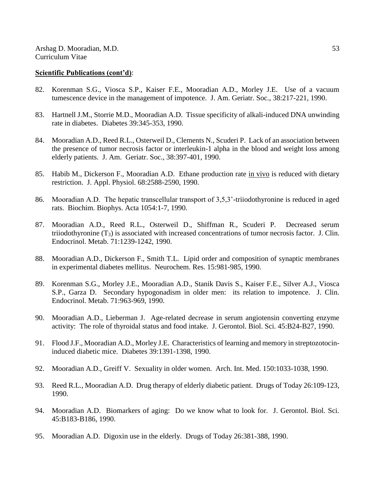- 82. Korenman S.G., Viosca S.P., Kaiser F.E., Mooradian A.D., Morley J.E. Use of a vacuum tumescence device in the management of impotence. J. Am. Geriatr. Soc., 38:217-221, 1990.
- 83. Hartnell J.M., Storrie M.D., Mooradian A.D. Tissue specificity of alkali-induced DNA unwinding rate in diabetes. Diabetes 39:345-353, 1990.
- 84. Mooradian A.D., Reed R.L., Osterweil D., Clements N., Scuderi P. Lack of an association between the presence of tumor necrosis factor or interleukin-1 alpha in the blood and weight loss among elderly patients. J. Am. Geriatr. Soc., 38:397-401, 1990.
- 85. Habib M., Dickerson F., Mooradian A.D. Ethane production rate in vivo is reduced with dietary restriction. J. Appl. Physiol. 68:2588-2590, 1990.
- 86. Mooradian A.D. The hepatic transcellular transport of 3,5,3'-triiodothyronine is reduced in aged rats. Biochim. Biophys. Acta 1054:1-7, 1990.
- 87. Mooradian A.D., Reed R.L., Osterweil D., Shiffman R., Scuderi P. Decreased serum triiodothyronine  $(T_3)$  is associated with increased concentrations of tumor necrosis factor. J. Clin. Endocrinol. Metab. 71:1239-1242, 1990.
- 88. Mooradian A.D., Dickerson F., Smith T.L. Lipid order and composition of synaptic membranes in experimental diabetes mellitus. Neurochem. Res. 15:981-985, 1990.
- 89. Korenman S.G., Morley J.E., Mooradian A.D., Stanik Davis S., Kaiser F.E., Silver A.J., Viosca S.P., Garza D. Secondary hypogonadism in older men: its relation to impotence. J. Clin. Endocrinol. Metab. 71:963-969, 1990.
- 90. Mooradian A.D., Lieberman J. Age-related decrease in serum angiotensin converting enzyme activity: The role of thyroidal status and food intake. J. Gerontol. Biol. Sci. 45:B24-B27, 1990.
- 91. Flood J.F., Mooradian A.D., Morley J.E. Characteristics of learning and memory in streptozotocininduced diabetic mice. Diabetes 39:1391-1398, 1990.
- 92. Mooradian A.D., Greiff V. Sexuality in older women. Arch. Int. Med. 150:1033-1038, 1990.
- 93. Reed R.L., Mooradian A.D. Drug therapy of elderly diabetic patient. Drugs of Today 26:109-123, 1990.
- 94. Mooradian A.D. Biomarkers of aging: Do we know what to look for. J. Gerontol. Biol. Sci. 45:B183-B186, 1990.
- 95. Mooradian A.D. Digoxin use in the elderly. Drugs of Today 26:381-388, 1990.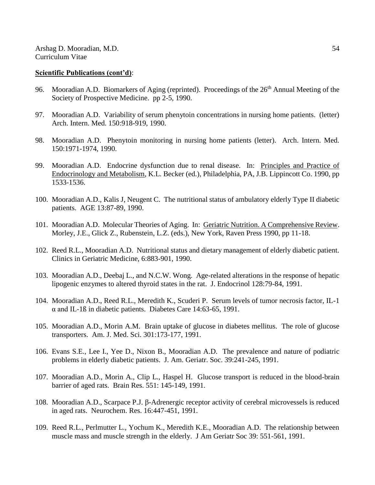- 96. Mooradian A.D. Biomarkers of Aging (reprinted). Proceedings of the 26<sup>th</sup> Annual Meeting of the Society of Prospective Medicine. pp 2-5, 1990.
- 97. Mooradian A.D. Variability of serum phenytoin concentrations in nursing home patients. (letter) Arch. Intern. Med. 150:918-919, 1990.
- 98. Mooradian A.D. Phenytoin monitoring in nursing home patients (letter). Arch. Intern. Med. 150:1971-1974, 1990.
- 99. Mooradian A.D. Endocrine dysfunction due to renal disease. In: Principles and Practice of Endocrinology and Metabolism, K.L. Becker (ed.), Philadelphia, PA, J.B. Lippincott Co. 1990, pp 1533-1536.
- 100. Mooradian A.D., Kalis J, Neugent C. The nutritional status of ambulatory elderly Type II diabetic patients. AGE 13:87-89, 1990.
- 101. Mooradian A.D. Molecular Theories of Aging. In: Geriatric Nutrition. A Comprehensive Review. Morley, J.E., Glick Z., Rubenstein, L.Z. (eds.), New York, Raven Press 1990, pp 11-18.
- 102. Reed R.L., Mooradian A.D. Nutritional status and dietary management of elderly diabetic patient. Clinics in Geriatric Medicine, 6:883-901, 1990.
- 103. Mooradian A.D., Deebaj L., and N.C.W. Wong. Age-related alterations in the response of hepatic lipogenic enzymes to altered thyroid states in the rat. J. Endocrinol 128:79-84, 1991.
- 104. Mooradian A.D., Reed R.L., Meredith K., Scuderi P. Serum levels of tumor necrosis factor, IL-1 α and IL-1ß in diabetic patients. Diabetes Care 14:63-65, 1991.
- 105. Mooradian A.D., Morin A.M. Brain uptake of glucose in diabetes mellitus. The role of glucose transporters. Am. J. Med. Sci. 301:173-177, 1991.
- 106. Evans S.E., Lee I., Yee D., Nixon B., Mooradian A.D. The prevalence and nature of podiatric problems in elderly diabetic patients. J. Am. Geriatr. Soc. 39:241-245, 1991.
- 107. Mooradian A.D., Morin A., Clip L., Haspel H. Glucose transport is reduced in the blood-brain barrier of aged rats. Brain Res. 551: 145-149, 1991.
- 108. Mooradian A.D., Scarpace P.J. β-Adrenergic receptor activity of cerebral microvessels is reduced in aged rats. Neurochem. Res. 16:447-451, 1991.
- 109. Reed R.L., Perlmutter L., Yochum K., Meredith K.E., Mooradian A.D. The relationship between muscle mass and muscle strength in the elderly. J Am Geriatr Soc 39: 551-561, 1991.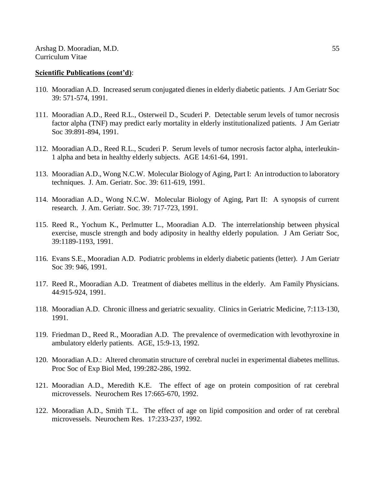- 110. Mooradian A.D. Increased serum conjugated dienes in elderly diabetic patients. J Am Geriatr Soc 39: 571-574, 1991.
- 111. Mooradian A.D., Reed R.L., Osterweil D., Scuderi P. Detectable serum levels of tumor necrosis factor alpha (TNF) may predict early mortality in elderly institutionalized patients. J Am Geriatr Soc 39:891-894, 1991.
- 112. Mooradian A.D., Reed R.L., Scuderi P. Serum levels of tumor necrosis factor alpha, interleukin-1 alpha and beta in healthy elderly subjects. AGE 14:61-64, 1991.
- 113. Mooradian A.D., Wong N.C.W. Molecular Biology of Aging, Part I: An introduction to laboratory techniques. J. Am. Geriatr. Soc. 39: 611-619, 1991.
- 114. Mooradian A.D., Wong N.C.W. Molecular Biology of Aging, Part II: A synopsis of current research. J. Am. Geriatr. Soc. 39: 717-723, 1991.
- 115. Reed R., Yochum K., Perlmutter L., Mooradian A.D. The interrelationship between physical exercise, muscle strength and body adiposity in healthy elderly population. J Am Geriatr Soc, 39:1189-1193, 1991.
- 116. Evans S.E., Mooradian A.D. Podiatric problems in elderly diabetic patients (letter). J Am Geriatr Soc 39: 946, 1991.
- 117. Reed R., Mooradian A.D. Treatment of diabetes mellitus in the elderly. Am Family Physicians. 44:915-924, 1991.
- 118. Mooradian A.D. Chronic illness and geriatric sexuality. Clinics in Geriatric Medicine, 7:113-130, 1991.
- 119. Friedman D., Reed R., Mooradian A.D. The prevalence of overmedication with levothyroxine in ambulatory elderly patients. AGE, 15:9-13, 1992.
- 120. Mooradian A.D.: Altered chromatin structure of cerebral nuclei in experimental diabetes mellitus. Proc Soc of Exp Biol Med, 199:282-286, 1992.
- 121. Mooradian A.D., Meredith K.E. The effect of age on protein composition of rat cerebral microvessels. Neurochem Res 17:665-670, 1992.
- 122. Mooradian A.D., Smith T.L. The effect of age on lipid composition and order of rat cerebral microvessels. Neurochem Res. 17:233-237, 1992.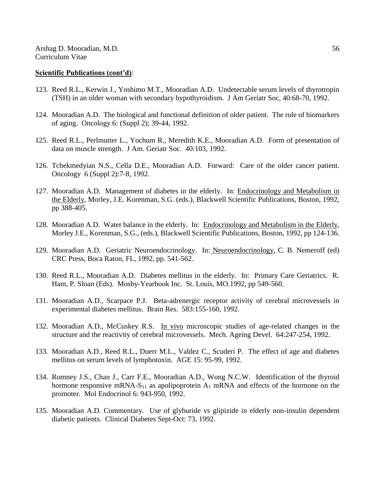- 123. Reed R.L., Kerwin J., Yoshimo M.T., Mooradian A.D. Undetectable serum levels of thyrotropin (TSH) in an older woman with secondary hypothyroidism. J Am Geriatr Soc, 40:68-70, 1992.
- 124. Mooradian A.D. The biological and functional definition of older patient. The role of biomarkers of aging. Oncology 6: (Suppl 2); 39-44, 1992.
- 125. Reed R.L., Perlmutter L., Yochum R., Meredith K.E., Mooradian A.D. Form of presentation of data on muscle strength. J Am. Geriatr Soc. 40:103, 1992.
- 126. Tchekmedyian N.S., Cella D.E., Mooradian A.D. Forward: Care of the older cancer patient. Oncology 6 (Suppl 2):7-8, 1992.
- 127. Mooradian A.D. Management of diabetes in the elderly. In: Endocrinology and Metabolism in the Elderly, Morley, J.E. Korenman, S.G. (eds.), Blackwell Scientific Publications, Boston, 1992, pp 388-405.
- 128. Mooradian A.D. Water balance in the elderly. In: Endocrinology and Metabolism in the Elderly, Morley J.E., Korenman, S.G., (eds.), Blackwell Scientific Publications, Boston, 1992, pp 124-136.
- 129. Mooradian A.D. Geriatric Neuroendocrinology. In: Neuroendocrinology, C. B. Nemeroff (ed) CRC Press, Boca Raton, FL, 1992, pp. 541-562.
- 130. Reed R.L., Mooradian A.D. Diabetes mellitus in the elderly. In: Primary Care Geriatrics. R. Ham, P. Sloan (Eds). Mosby-Yearbook Inc. St. Louis, MO.1992, pp 549-560.
- 131. Mooradian A.D., Scarpace P.J. Beta-adrenergic receptor activity of cerebral microvessels in experimental diabetes mellitus. Brain Res. 583:155-160, 1992.
- 132. Mooradian A.D., McCuskey R.S. In vivo microscopic studies of age-related changes in the structure and the reactivity of cerebral microvessels. Mech. Ageing Devel. 64:247-254, 1992.
- 133. Mooradian A.D., Reed R.L., Duerr M.L., Valdez C., Scuderi P. The effect of age and diabetes mellitus on serum levels of lymphotoxin. AGE 15: 95-99, 1992.
- 134. Romney J.S., Chan J., Carr F.E., Mooradian A.D., Wong N.C.W. Identification of the thyroid hormone responsive mRNA-S<sub>11</sub> as apolipoprotein  $A_1$  mRNA and effects of the hormone on the promoter. Mol Endocrinol 6: 943-950, 1992.
- 135. Mooradian A.D. Commentary. Use of glyburide vs glipizide in elderly non-insulin dependent diabetic patients. Clinical Diabetes Sept-Oct: 73, 1992.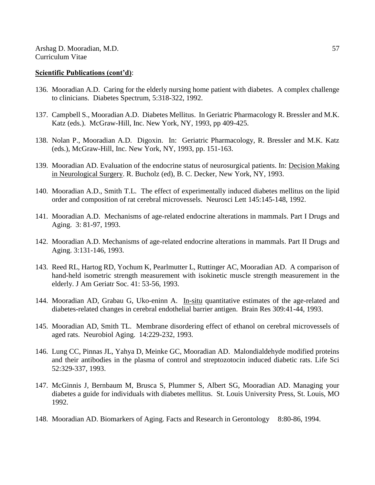- 136. Mooradian A.D. Caring for the elderly nursing home patient with diabetes. A complex challenge to clinicians. Diabetes Spectrum, 5:318-322, 1992.
- 137. Campbell S., Mooradian A.D. Diabetes Mellitus. In Geriatric Pharmacology R. Bressler and M.K. Katz (eds.). McGraw-Hill, Inc. New York, NY, 1993, pp 409-425.
- 138. Nolan P., Mooradian A.D. Digoxin. In: Geriatric Pharmacology, R. Bressler and M.K. Katz (eds.), McGraw-Hill, Inc. New York, NY, 1993, pp. 151-163.
- 139. Mooradian AD. Evaluation of the endocrine status of neurosurgical patients. In: Decision Making in Neurological Surgery. R. Bucholz (ed), B. C. Decker, New York, NY, 1993.
- 140. Mooradian A.D., Smith T.L. The effect of experimentally induced diabetes mellitus on the lipid order and composition of rat cerebral microvessels. Neurosci Lett 145:145-148, 1992.
- 141. Mooradian A.D. Mechanisms of age-related endocrine alterations in mammals. Part I Drugs and Aging. 3: 81-97, 1993.
- 142. Mooradian A.D. Mechanisms of age-related endocrine alterations in mammals. Part II Drugs and Aging. 3:131-146, 1993.
- 143. Reed RL, Hartog RD, Yochum K, Pearlmutter L, Ruttinger AC, Mooradian AD. A comparison of hand-held isometric strength measurement with isokinetic muscle strength measurement in the elderly. J Am Geriatr Soc. 41: 53-56, 1993.
- 144. Mooradian AD, Grabau G, Uko-eninn A. In-situ quantitative estimates of the age-related and diabetes-related changes in cerebral endothelial barrier antigen. Brain Res 309:41-44, 1993.
- 145. Mooradian AD, Smith TL. Membrane disordering effect of ethanol on cerebral microvessels of aged rats. Neurobiol Aging. 14:229-232, 1993.
- 146. Lung CC, Pinnas JL, Yahya D, Meinke GC, Mooradian AD. Malondialdehyde modified proteins and their antibodies in the plasma of control and streptozotocin induced diabetic rats. Life Sci 52:329-337, 1993.
- 147. McGinnis J, Bernbaum M, Brusca S, Plummer S, Albert SG, Mooradian AD. Managing your diabetes a guide for individuals with diabetes mellitus. St. Louis University Press, St. Louis, MO 1992.
- 148. Mooradian AD. Biomarkers of Aging. Facts and Research in Gerontology 8:80-86, 1994.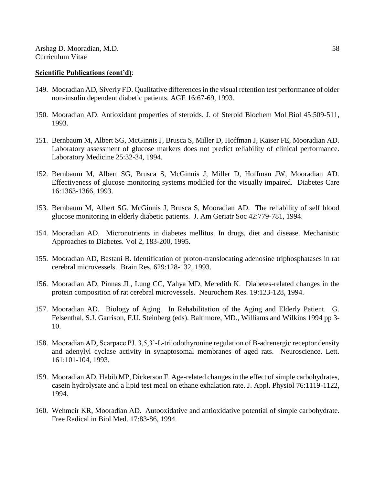- 149. Mooradian AD, Siverly FD. Qualitative differences in the visual retention test performance of older non-insulin dependent diabetic patients. AGE 16:67-69, 1993.
- 150. Mooradian AD. Antioxidant properties of steroids. J. of Steroid Biochem Mol Biol 45:509-511, 1993.
- 151. Bernbaum M, Albert SG, McGinnis J, Brusca S, Miller D, Hoffman J, Kaiser FE, Mooradian AD. Laboratory assessment of glucose markers does not predict reliability of clinical performance. Laboratory Medicine 25:32-34, 1994.
- 152. Bernbaum M, Albert SG, Brusca S, McGinnis J, Miller D, Hoffman JW, Mooradian AD. Effectiveness of glucose monitoring systems modified for the visually impaired. Diabetes Care 16:1363-1366, 1993.
- 153. Bernbaum M, Albert SG, McGinnis J, Brusca S, Mooradian AD. The reliability of self blood glucose monitoring in elderly diabetic patients. J. Am Geriatr Soc 42:779-781, 1994.
- 154. Mooradian AD. Micronutrients in diabetes mellitus. In drugs, diet and disease. Mechanistic Approaches to Diabetes. Vol 2, 183-200, 1995.
- 155. Mooradian AD, Bastani B. Identification of proton-translocating adenosine triphosphatases in rat cerebral microvessels. Brain Res. 629:128-132, 1993.
- 156. Mooradian AD, Pinnas JL, Lung CC, Yahya MD, Meredith K. Diabetes-related changes in the protein composition of rat cerebral microvessels. Neurochem Res. 19:123-128, 1994.
- 157. Mooradian AD. Biology of Aging. In Rehabilitation of the Aging and Elderly Patient. G. Felsenthal, S.J. Garrison, F.U. Steinberg (eds). Baltimore, MD., Williams and Wilkins 1994 pp 3- 10.
- 158. Mooradian AD, Scarpace PJ. 3,5,3'-L-triiodothyronine regulation of B-adrenergic receptor density and adenylyl cyclase activity in synaptosomal membranes of aged rats. Neuroscience. Lett. 161:101-104, 1993.
- 159. Mooradian AD, Habib MP, Dickerson F. Age-related changes in the effect of simple carbohydrates, casein hydrolysate and a lipid test meal on ethane exhalation rate. J. Appl. Physiol 76:1119-1122, 1994.
- 160. Wehmeir KR, Mooradian AD. Autooxidative and antioxidative potential of simple carbohydrate. Free Radical in Biol Med. 17:83-86, 1994.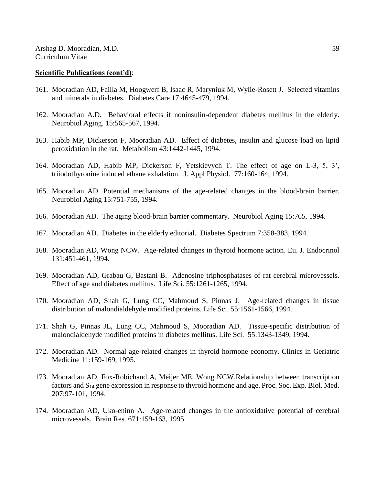- 161. Mooradian AD, Failla M, Hoogwerf B, Isaac R, Maryniuk M, Wylie-Rosett J. Selected vitamins and minerals in diabetes. Diabetes Care 17:4645-479, 1994.
- 162. Mooradian A.D. Behavioral effects if noninsulin-dependent diabetes mellitus in the elderly. Neurobiol Aging. 15:565-567, 1994.
- 163. Habib MP, Dickerson F, Mooradian AD. Effect of diabetes, insulin and glucose load on lipid peroxidation in the rat. Metabolism 43:1442-1445, 1994.
- 164. Mooradian AD, Habib MP, Dickerson F, Yetskievych T. The effect of age on L-3, 5, 3', triiodothyronine induced ethane exhalation. J. Appl Physiol. 77:160-164, 1994.
- 165. Mooradian AD. Potential mechanisms of the age-related changes in the blood-brain barrier. Neurobiol Aging 15:751-755, 1994.
- 166. Mooradian AD. The aging blood-brain barrier commentary. Neurobiol Aging 15:765, 1994.
- 167. Mooradian AD. Diabetes in the elderly editorial. Diabetes Spectrum 7:358-383, 1994.
- 168. Mooradian AD, Wong NCW. Age-related changes in thyroid hormone action. Eu. J. Endocrinol 131:451-461, 1994.
- 169. Mooradian AD, Grabau G, Bastani B. Adenosine triphosphatases of rat cerebral microvessels. Effect of age and diabetes mellitus. Life Sci. 55:1261-1265, 1994.
- 170. Mooradian AD, Shah G, Lung CC, Mahmoud S, Pinnas J. Age-related changes in tissue distribution of malondialdehyde modified proteins. Life Sci. 55:1561-1566, 1994.
- 171. Shah G, Pinnas JL, Lung CC, Mahmoud S, Mooradian AD. Tissue-specific distribution of malondialdehyde modified proteins in diabetes mellitus. Life Sci. 55:1343-1349, 1994.
- 172. Mooradian AD. Normal age-related changes in thyroid hormone economy. Clinics in Geriatric Medicine 11:159-169, 1995.
- 173. Mooradian AD, Fox-Robichaud A, Meijer ME, Wong NCW.Relationship between transcription factors and  $S_{14}$  gene expression in response to thyroid hormone and age. Proc. Soc. Exp. Biol. Med. 207:97-101, 1994.
- 174. Mooradian AD, Uko-eninn A. Age-related changes in the antioxidative potential of cerebral microvessels. Brain Res. 671:159-163, 1995.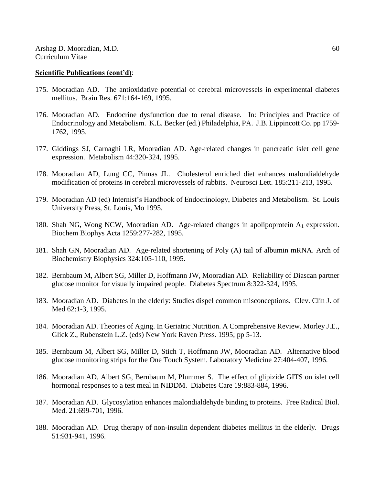- 175. Mooradian AD. The antioxidative potential of cerebral microvessels in experimental diabetes mellitus. Brain Res. 671:164-169, 1995.
- 176. Mooradian AD. Endocrine dysfunction due to renal disease. In: Principles and Practice of Endocrinology and Metabolism. K.L. Becker (ed.) Philadelphia, PA. J.B. Lippincott Co. pp 1759- 1762, 1995.
- 177. Giddings SJ, Carnaghi LR, Mooradian AD. Age-related changes in pancreatic islet cell gene expression. Metabolism 44:320-324, 1995.
- 178. Mooradian AD, Lung CC, Pinnas JL. Cholesterol enriched diet enhances malondialdehyde modification of proteins in cerebral microvessels of rabbits. Neurosci Lett. 185:211-213, 1995.
- 179. Mooradian AD (ed) Internist's Handbook of Endocrinology, Diabetes and Metabolism. St. Louis University Press, St. Louis, Mo 1995.
- 180. Shah NG, Wong NCW, Mooradian AD. Age-related changes in apolipoprotein A<sub>1</sub> expression. Biochem Biophys Acta 1259:277-282, 1995.
- 181. Shah GN, Mooradian AD. Age-related shortening of Poly (A) tail of albumin mRNA. Arch of Biochemistry Biophysics 324:105-110, 1995.
- 182. Bernbaum M, Albert SG, Miller D, Hoffmann JW, Mooradian AD. Reliability of Diascan partner glucose monitor for visually impaired people. Diabetes Spectrum 8:322-324, 1995.
- 183. Mooradian AD. Diabetes in the elderly: Studies dispel common misconceptions. Clev. Clin J. of Med 62:1-3, 1995.
- 184. Mooradian AD. Theories of Aging. In Geriatric Nutrition. A Comprehensive Review. Morley J.E., Glick Z., Rubenstein L.Z. (eds) New York Raven Press. 1995; pp 5-13.
- 185. Bernbaum M, Albert SG, Miller D, Stich T, Hoffmann JW, Mooradian AD. Alternative blood glucose monitoring strips for the One Touch System. Laboratory Medicine 27:404-407, 1996.
- 186. Mooradian AD, Albert SG, Bernbaum M, Plummer S. The effect of glipizide GITS on islet cell hormonal responses to a test meal in NIDDM. Diabetes Care 19:883-884, 1996.
- 187. Mooradian AD. Glycosylation enhances malondialdehyde binding to proteins. Free Radical Biol. Med. 21:699-701, 1996.
- 188. Mooradian AD. Drug therapy of non-insulin dependent diabetes mellitus in the elderly. Drugs 51:931-941, 1996.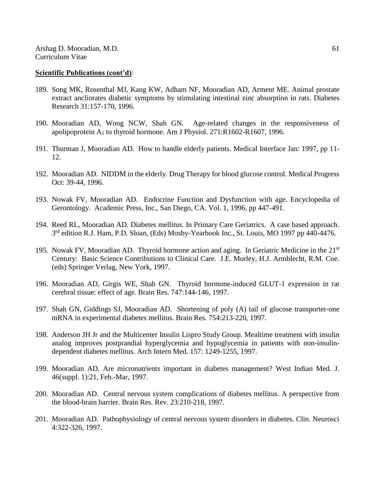- 189. Song MK, Rosenthal MJ, Kang KW, Adham NF, Mooradian AD, Arment ME. Animal prostate extract ancliorates diabetic symptoms by stimulating intestinal zinc absorption in rats. Diabetes Research 31:157-170, 1996.
- 190. Mooradian AD, Wong NCW, Shah GN. Age-related changes in the responsiveness of apolipoprotein  $A_1$  to thyroid hormone. Am J Physiol. 271: $R1602-R1607$ , 1996.
- 191. Thurman J, Mooradian AD. How to handle elderly patients. Medical Interface Jan: 1997, pp 11- 12.
- 192. Mooradian AD. NIDDM in the elderly. Drug Therapy for blood glucose control. Medical Progress Oct: 39-44, 1996.
- 193. Nowak FV, Mooradian AD. Endocrine Function and Dysfunction with age. Encyclopedia of Gerontology. Academic Press, Inc., San Diego, CA. Vol. 1, 1996, pp 447-491.
- 194. Reed RL, Mooradian AD. Diabetes mellitus. In Primary Care Geriatrics. A case based approach. 3<sup>rd</sup> edition R.J. Ham, P.D. Sloan, (Eds) Mosby-Yearbook Inc., St. Louis, MO 1997 pp 440-4476.
- 195. Nowak FV, Mooradian AD. Thyroid hormone action and aging. In Geriatric Medicine in the 21<sup>st</sup> Century: Basic Science Contributions to Clinical Care. J.E. Morley, H.J. Armblecht, R.M. Coe. (eds) Springer Verlag, New York, 1997.
- 196. Mooradian AD, Girgis WE, Shah GN. Thyroid hormone-induced GLUT-1 expression in rat cerebral tissue: effect of age. Brain Res. 747:144-146, 1997.
- 197. Shah GN, Giddings SJ, Mooradian AD. Shortening of poly (A) tail of glucose transporter-one mRNA in experimental diabetes mellitus. Brain Res. 754:213-220, 1997.
- 198. Anderson JH Jr and the Multicenter Insulin Lispro Study Group. Mealtime treatment with insulin analog improves postprandial hyperglycemia and hypoglycemia in patients with non-insulindependent diabetes mellitus. Arch Intern Med. 157: 1249-1255, 1997.
- 199. Mooradian AD. Are micronutrients important in diabetes management? West Indian Med. J. 46(suppl. 1):21, Feb.-Mar, 1997.
- 200. Mooradian AD. Central nervous system complications of diabetes mellitus. A perspective from the blood-brain barrier. Brain Res. Rev. 23:210-218, 1997.
- 201. Mooradian AD. Pathophysiology of central nervous system disorders in diabetes. Clin. Neurosci 4:322-326, 1997.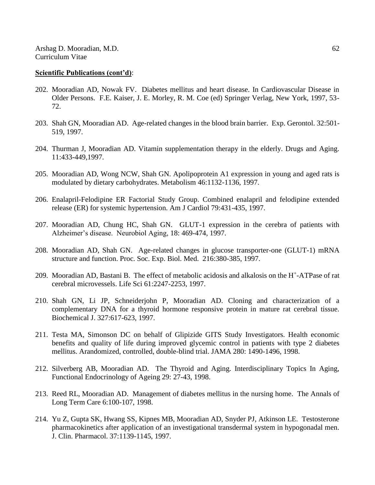- 202. Mooradian AD, Nowak FV. Diabetes mellitus and heart disease. In Cardiovascular Disease in Older Persons. F.E. Kaiser, J. E. Morley, R. M. Coe (ed) Springer Verlag, New York, 1997, 53- 72.
- 203. Shah GN, Mooradian AD. Age-related changes in the blood brain barrier. Exp. Gerontol. 32:501- 519, 1997.
- 204. Thurman J, Mooradian AD. Vitamin supplementation therapy in the elderly. Drugs and Aging. 11:433-449,1997.
- 205. Mooradian AD, Wong NCW, Shah GN. Apolipoprotein A1 expression in young and aged rats is modulated by dietary carbohydrates. Metabolism 46:1132-1136, 1997.
- 206. Enalapril-Felodipine ER Factorial Study Group. Combined enalapril and felodipine extended release (ER) for systemic hypertension. Am J Cardiol 79:431-435, 1997.
- 207. Mooradian AD, Chung HC, Shah GN. GLUT-1 expression in the cerebra of patients with Alzheimer's disease. Neurobiol Aging, 18: 469-474, 1997.
- 208. Mooradian AD, Shah GN. Age-related changes in glucose transporter-one (GLUT-1) mRNA structure and function. Proc. Soc. Exp. Biol. Med. 216:380-385, 1997.
- 209. Mooradian AD, Bastani B. The effect of metabolic acidosis and alkalosis on the H<sup>+</sup>-ATPase of rat cerebral microvessels. Life Sci 61:2247-2253, 1997.
- 210. Shah GN, Li JP, Schneiderjohn P, Mooradian AD. Cloning and characterization of a complementary DNA for a thyroid hormone responsive protein in mature rat cerebral tissue. Biochemical J. 327:617-623, 1997.
- 211. Testa MA, Simonson DC on behalf of Glipizide GITS Study Investigators. Health economic benefits and quality of life during improved glycemic control in patients with type 2 diabetes mellitus. Arandomized, controlled, double-blind trial. JAMA 280: 1490-1496, 1998.
- 212. Silverberg AB, Mooradian AD. The Thyroid and Aging. Interdisciplinary Topics In Aging, Functional Endocrinology of Ageing 29: 27-43, 1998.
- 213. Reed RL, Mooradian AD. Management of diabetes mellitus in the nursing home. The Annals of Long Term Care 6:100-107, 1998.
- 214. Yu Z, Gupta SK, Hwang SS, Kipnes MB, Mooradian AD, Snyder PJ, Atkinson LE. Testosterone pharmacokinetics after application of an investigational transdermal system in hypogonadal men. J. Clin. Pharmacol. 37:1139-1145, 1997.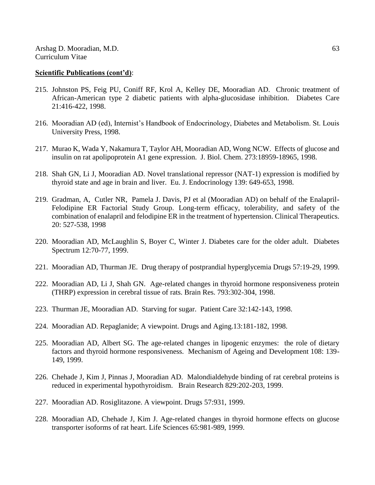- 215. Johnston PS, Feig PU, Coniff RF, Krol A, Kelley DE, Mooradian AD. Chronic treatment of African-American type 2 diabetic patients with alpha-glucosidase inhibition. Diabetes Care 21:416-422, 1998.
- 216. Mooradian AD (ed), Internist's Handbook of Endocrinology, Diabetes and Metabolism. St. Louis University Press, 1998.
- 217. Murao K, Wada Y, Nakamura T, Taylor AH, Mooradian AD, Wong NCW. Effects of glucose and insulin on rat apolipoprotein A1 gene expression. J. Biol. Chem. 273:18959-18965, 1998.
- 218. Shah GN, Li J, Mooradian AD. Novel translational repressor (NAT-1) expression is modified by thyroid state and age in brain and liver. Eu. J. Endocrinology 139: 649-653, 1998.
- 219. Gradman, A, Cutler NR, Pamela J. Davis, PJ et al (Mooradian AD) on behalf of the Enalapril-Felodipine ER Factorial Study Group. Long-term efficacy, tolerability, and safety of the combination of enalapril and felodipine ER in the treatment of hypertension. Clinical Therapeutics. 20: 527-538, 1998
- 220. Mooradian AD, McLaughlin S, Boyer C, Winter J. Diabetes care for the older adult. Diabetes Spectrum 12:70-77, 1999.
- 221. Mooradian AD, Thurman JE. Drug therapy of postprandial hyperglycemia Drugs 57:19-29, 1999.
- 222. Mooradian AD, Li J, Shah GN. Age-related changes in thyroid hormone responsiveness protein (THRP) expression in cerebral tissue of rats. Brain Res. 793:302-304, 1998.
- 223. Thurman JE, Mooradian AD. Starving for sugar. Patient Care 32:142-143, 1998.
- 224. Mooradian AD. Repaglanide; A viewpoint. Drugs and Aging.13:181-182, 1998.
- 225. Mooradian AD, Albert SG. The age-related changes in lipogenic enzymes: the role of dietary factors and thyroid hormone responsiveness. Mechanism of Ageing and Development 108: 139- 149, 1999.
- 226. Chehade J, Kim J, Pinnas J, Mooradian AD. Malondialdehyde binding of rat cerebral proteins is reduced in experimental hypothyroidism. Brain Research 829:202-203, 1999.
- 227. Mooradian AD. Rosiglitazone. A viewpoint. Drugs 57:931, 1999.
- 228. Mooradian AD, Chehade J, Kim J. Age-related changes in thyroid hormone effects on glucose transporter isoforms of rat heart. Life Sciences 65:981-989, 1999.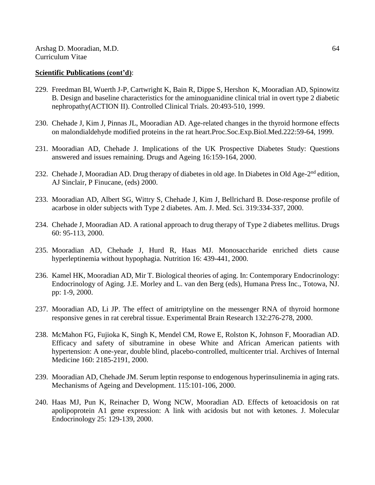- 229. Freedman BI, Wuerth J-P, Cartwright K, Bain R, Dippe S, Hershon K, Mooradian AD, Spinowitz B. Design and baseline characteristics for the aminoguanidine clinical trial in overt type 2 diabetic nephropathy(ACTION II). Controlled Clinical Trials. 20:493-510, 1999.
- 230. Chehade J, Kim J, Pinnas JL, Mooradian AD. Age-related changes in the thyroid hormone effects on malondialdehyde modified proteins in the rat heart.Proc.Soc.Exp.Biol.Med.222:59-64, 1999.
- 231. Mooradian AD, Chehade J. Implications of the UK Prospective Diabetes Study: Questions answered and issues remaining. Drugs and Ageing 16:159-164, 2000.
- 232. Chehade J, Mooradian AD. Drug therapy of diabetes in old age. In Diabetes in Old Age-2<sup>nd</sup> edition, AJ Sinclair, P Finucane, (eds) 2000.
- 233. Mooradian AD, Albert SG, Wittry S, Chehade J, Kim J, Bellrichard B. Dose-response profile of acarbose in older subjects with Type 2 diabetes. Am. J. Med. Sci. 319:334-337, 2000.
- 234. Chehade J, Mooradian AD. A rational approach to drug therapy of Type 2 diabetes mellitus. Drugs 60: 95-113, 2000.
- 235. Mooradian AD, Chehade J, Hurd R, Haas MJ. Monosaccharide enriched diets cause hyperleptinemia without hypophagia. Nutrition 16: 439-441, 2000.
- 236. Kamel HK, Mooradian AD, Mir T. Biological theories of aging. In: Contemporary Endocrinology: Endocrinology of Aging. J.E. Morley and L. van den Berg (eds), Humana Press Inc., Totowa, NJ. pp: 1-9, 2000.
- 237. Mooradian AD, Li JP. The effect of amitriptyline on the messenger RNA of thyroid hormone responsive genes in rat cerebral tissue. Experimental Brain Research 132:276-278, 2000.
- 238. McMahon FG, Fujioka K, Singh K, Mendel CM, Rowe E, Rolston K, Johnson F, Mooradian AD. Efficacy and safety of sibutramine in obese White and African American patients with hypertension: A one-year, double blind, placebo-controlled, multicenter trial. Archives of Internal Medicine 160: 2185-2191, 2000.
- 239. Mooradian AD, Chehade JM. Serum leptin response to endogenous hyperinsulinemia in aging rats. Mechanisms of Ageing and Development. 115:101-106, 2000.
- 240. Haas MJ, Pun K, Reinacher D, Wong NCW, Mooradian AD. Effects of ketoacidosis on rat apolipoprotein A1 gene expression: A link with acidosis but not with ketones. J. Molecular Endocrinology 25: 129-139, 2000.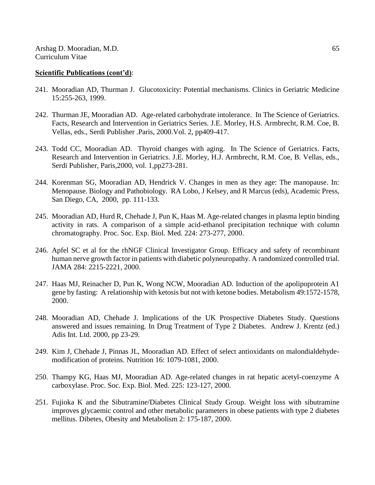- 241. Mooradian AD, Thurman J. Glucotoxicity: Potential mechanisms. Clinics in Geriatric Medicine 15:255-263, 1999.
- 242. Thurman JE, Mooradian AD. Age-related carbohydrate intolerance. In The Science of Geriatrics. Facts, Research and Intervention in Geriatrics Series. J.E. Morley, H.S. Armbrecht, R.M. Coe, B. Vellas, eds., Serdi Publisher .Paris, 2000.Vol. 2, pp409-417.
- 243. Todd CC, Mooradian AD. Thyroid changes with aging. In The Science of Geriatrics. Facts, Research and Intervention in Geriatrics. J.E. Morley, H.J. Armbrecht, R.M. Coe, B. Vellas, eds., Serdi Publisher, Paris,2000, vol. 1,pp273-281.
- 244. Korenman SG, Mooradian AD, Hendrick V. Changes in men as they age: The manopause. In: Menopause. Biology and Pathobiology. RA Lobo, J Kelsey, and R Marcus (eds), Academic Press, San Diego, CA, 2000, pp. 111-133.
- 245. Mooradian AD, Hurd R, Chehade J, Pun K, Haas M. Age-related changes in plasma leptin binding activity in rats. A comparison of a simple acid-ethanol precipitation technique with column chromatography. Proc. Soc. Exp. Biol. Med. 224: 273-277, 2000.
- 246. Apfel SC et al for the rhNGF Clinical Investigator Group. Efficacy and safety of recombinant human nerve growth factor in patients with diabetic polyneuropathy. A randomized controlled trial. JAMA 284: 2215-2221, 2000.
- 247. Haas MJ, Reinacher D, Pun K, Wong NCW, Mooradian AD. Induction of the apolipoprotein A1 gene by fasting: A relationship with ketosis but not with ketone bodies. Metabolism 49:1572-1578, 2000.
- 248. Mooradian AD, Chehade J. Implications of the UK Prospective Diabetes Study. Questions answered and issues remaining. In Drug Treatment of Type 2 Diabetes. Andrew J. Krentz (ed.) Adis Int. Ltd. 2000, pp 23-29.
- 249. Kim J, Chehade J, Pinnas JL, Mooradian AD. Effect of select antioxidants on malondialdehydemodification of proteins. Nutrition 16: 1079-1081, 2000.
- 250. Thampy KG, Haas MJ, Mooradian AD. Age-related changes in rat hepatic acetyl-coenzyme A carboxylase. Proc. Soc. Exp. Biol. Med. 225: 123-127, 2000.
- 251. Fujioka K and the Sibutramine/Diabetes Clinical Study Group. Weight loss with sibutramine improves glycaemic control and other metabolic parameters in obese patients with type 2 diabetes mellitus. Dibetes, Obesity and Metabolism 2: 175-187, 2000.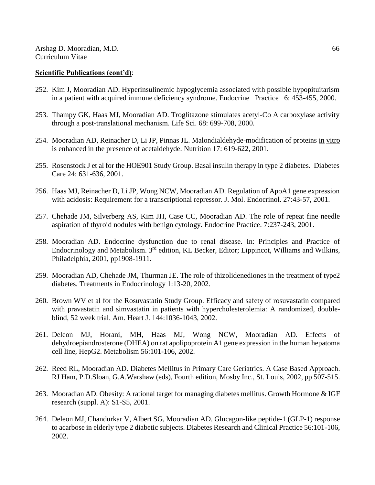- 252. Kim J, Mooradian AD. Hyperinsulinemic hypoglycemia associated with possible hypopituitarism in a patient with acquired immune deficiency syndrome. Endocrine Practice 6: 453-455, 2000.
- 253. Thampy GK, Haas MJ, Mooradian AD. Troglitazone stimulates acetyl-Co A carboxylase activity through a post-translational mechanism. Life Sci. 68: 699-708, 2000.
- 254. Mooradian AD, Reinacher D, Li JP, Pinnas JL. Malondialdehyde-modification of proteins in vitro is enhanced in the presence of acetaldehyde. Nutrition 17: 619-622, 2001.
- 255. Rosenstock J et al for the HOE901 Study Group. Basal insulin therapy in type 2 diabetes. Diabetes Care 24: 631-636, 2001.
- 256. Haas MJ, Reinacher D, Li JP, Wong NCW, Mooradian AD. Regulation of ApoA1 gene expression with acidosis: Requirement for a transcriptional repressor. J. Mol. Endocrinol. 27:43-57, 2001.
- 257. Chehade JM, Silverberg AS, Kim JH, Case CC, Mooradian AD. The role of repeat fine needle aspiration of thyroid nodules with benign cytology. Endocrine Practice. 7:237-243, 2001.
- 258. Mooradian AD. Endocrine dysfunction due to renal disease. In: Principles and Practice of Endocrinology and Metabolism. 3rd edition, KL Becker, Editor; Lippincot, Williams and Wilkins, Philadelphia, 2001, pp1908-1911.
- 259. Mooradian AD, Chehade JM, Thurman JE. The role of thizolidenediones in the treatment of type2 diabetes. Treatments in Endocrinology 1:13-20, 2002.
- 260. Brown WV et al for the Rosuvastatin Study Group. Efficacy and safety of rosuvastatin compared with pravastatin and simvastatin in patients with hypercholesterolemia: A randomized, doubleblind, 52 week trial. Am. Heart J. 144:1036-1043, 2002.
- 261. Deleon MJ, Horani, MH, Haas MJ, Wong NCW, Mooradian AD. Effects of dehydroepiandrosterone (DHEA) on rat apolipoprotein A1 gene expression in the human hepatoma cell line, HepG2. Metabolism 56:101-106, 2002.
- 262. Reed RL, Mooradian AD. Diabetes Mellitus in Primary Care Geriatrics. A Case Based Approach. RJ Ham, P.D.Sloan, G.A.Warshaw (eds), Fourth edition, Mosby Inc., St. Louis, 2002, pp 507-515.
- 263. Mooradian AD. Obesity: A rational target for managing diabetes mellitus. Growth Hormone & IGF research (suppl. A): S1-S5, 2001.
- 264. Deleon MJ, Chandurkar V, Albert SG, Mooradian AD. Glucagon-like peptide-1 (GLP-1) response to acarbose in elderly type 2 diabetic subjects. Diabetes Research and Clinical Practice 56:101-106, 2002.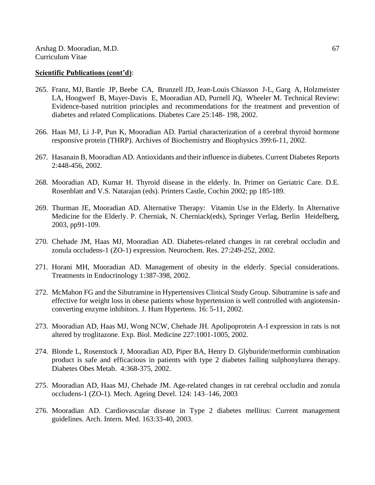- 265. Franz, MJ, Bantle JP, Beebe CA, Brunzell JD, Jean-Louis Chiasson J-L, Garg A, Holzmeister LA, Hoogwerf B, Mayer-Davis E, Mooradian AD, Purnell JQ, Wheeler M. Technical Review: Evidence-based nutrition principles and recommendations for the treatment and prevention of diabetes and related Complications. Diabetes Care 25:148- 198, 2002.
- 266. Haas MJ, Li J-P, Pun K, Mooradian AD. Partial characterization of a cerebral thyroid hormone responsive protein (THRP). Archives of Biochemistry and Biophysics 399:6-11, 2002.
- 267. Hasanain B, Mooradian AD. Antioxidants and their influence in diabetes. Current Diabetes Reports 2:448-456, 2002.
- 268. Mooradian AD, Kumar H. Thyroid disease in the elderly. In. Primer on Geriatric Care. D.E. Rosenblatt and V.S. Natarajan (eds). Printers Castle, Cochin 2002; pp 185-189.
- 269. Thurman JE, Mooradian AD. Alternative Therapy: Vitamin Use in the Elderly. In Alternative Medicine for the Elderly. P. Cherniak, N. Cherniack(eds), Springer Verlag, Berlin Heidelberg, 2003, pp91-109.
- 270. Chehade JM, Haas MJ, Mooradian AD. Diabetes-related changes in rat cerebral occludin and zonula occludens-1 (ZO-1) expression. Neurochem. Res. 27:249-252, 2002.
- 271. Horani MH, Mooradian AD. Management of obesity in the elderly. Special considerations. Treatments in Endocrinology 1:387-398, 2002.
- 272. McMahon FG and the Sibutramine in Hypertensives Clinical Study Group. Sibutramine is safe and effective for weight loss in obese patients whose hypertension is well controlled with angiotensinconverting enzyme inhibitors. J. Hum Hypertens. 16: 5-11, 2002.
- 273. Mooradian AD, Haas MJ, Wong NCW, Chehade JH. Apolipoprotein A-I expression in rats is not altered by troglitazone. Exp. Biol. Medicine 227:1001-1005, 2002.
- 274. Blonde L, Rosenstock J, Mooradian AD, Piper BA, Henry D. Glyburide/metformin combination product is safe and efficacious in patients with type 2 diabetes failing sulphonylurea therapy. Diabetes Obes Metab. 4:368-375, 2002.
- 275. Mooradian AD, Haas MJ, Chehade JM. Age-related changes in rat cerebral occludin and zonula occludens-1 (ZO-1). Mech. Ageing Devel. 124: 143–146, 2003
- 276. Mooradian AD. Cardiovascular disease in Type 2 diabetes mellitus: Current management guidelines. Arch. Intern. Med. 163:33-40, 2003.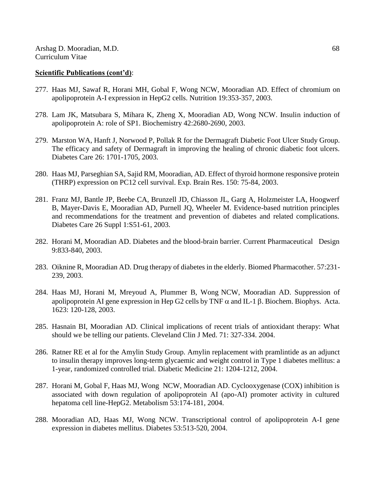- 277. Haas MJ, Sawaf R, Horani MH, Gobal F, Wong NCW, Mooradian AD. Effect of chromium on apolipoprotein A-I expression in HepG2 cells. Nutrition 19:353-357, 2003.
- 278. Lam JK, Matsubara S, Mihara K, Zheng X, Mooradian AD, Wong NCW. Insulin induction of apolipoprotein A: role of SP1. Biochemistry 42:2680-2690, 2003.
- 279. Marston WA, Hanft J, Norwood P, Pollak R for the Dermagraft Diabetic Foot Ulcer Study Group. The efficacy and safety of Dermagraft in improving the healing of chronic diabetic foot ulcers. Diabetes Care 26: 1701-1705, 2003.
- 280. Haas MJ, Parseghian SA, Sajid RM, Mooradian, AD. Effect of thyroid hormone responsive protein (THRP) expression on PC12 cell survival. Exp. Brain Res. 150: 75-84, 2003.
- 281. Franz MJ, Bantle JP, Beebe CA, Brunzell JD, Chiasson JL, Garg A, Holzmeister LA, Hoogwerf B, Mayer-Davis E, Mooradian AD, Purnell JQ, Wheeler M. Evidence-based nutrition principles and recommendations for the treatment and prevention of diabetes and related complications. Diabetes Care 26 Suppl 1:S51-61, 2003.
- 282. Horani M, Mooradian AD. Diabetes and the blood-brain barrier. Current Pharmaceutical Design 9:833-840, 2003.
- 283. Oiknine R, Mooradian AD. Drug therapy of diabetes in the elderly. Biomed Pharmacother. 57:231- 239, 2003.
- 284. Haas MJ, Horani M, Mreyoud A, Plummer B, Wong NCW, Mooradian AD. Suppression of apolipoprotein AI gene expression in Hep G2 cells by TNF  $\alpha$  and IL-1  $\beta$ . Biochem. Biophys. Acta. 1623: 120-128, 2003.
- 285. Hasnain BI, Mooradian AD. Clinical implications of recent trials of antioxidant therapy: What should we be telling our patients. Cleveland Clin J Med. 71: 327-334. 2004.
- 286. Ratner RE et al for the Amylin Study Group. Amylin replacement with pramlintide as an adjunct to insulin therapy improves long-term glycaemic and weight control in Type 1 diabetes mellitus: a 1-year, randomized controlled trial. Diabetic Medicine 21: 1204-1212, 2004.
- 287. Horani M, Gobal F, Haas MJ, Wong NCW, Mooradian AD. Cyclooxygenase (COX) inhibition is associated with down regulation of apolipoprotein AI (apo-AI) promoter activity in cultured hepatoma cell line-HepG2. Metabolism 53:174-181, 2004.
- 288. Mooradian AD, Haas MJ, Wong NCW. Transcriptional control of apolipoprotein A-I gene expression in diabetes mellitus. Diabetes 53:513-520, 2004.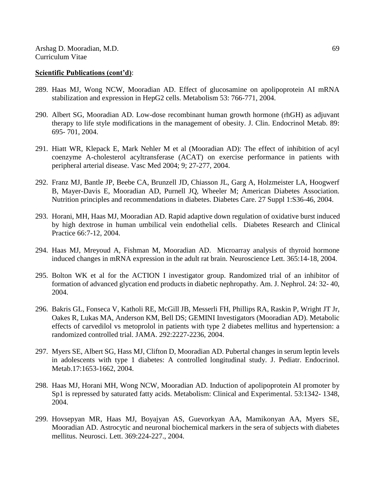- 289. Haas MJ, Wong NCW, Mooradian AD. Effect of glucosamine on apolipoprotein AI mRNA stabilization and expression in HepG2 cells. Metabolism 53: 766-771, 2004.
- 290. Albert SG, Mooradian AD. Low-dose recombinant human growth hormone (rhGH) as adjuvant therapy to life style modifications in the management of obesity. J. Clin. Endocrinol Metab. 89: 695- 701, 2004.
- 291. Hiatt WR, Klepack E, Mark Nehler M et al (Mooradian AD): The effect of inhibition of acyl coenzyme A-cholesterol acyltransferase (ACAT) on exercise performance in patients with peripheral arterial disease. Vasc Med 2004; 9; 27-277, 2004.
- 292. Franz MJ, Bantle JP, Beebe CA, Brunzell JD, Chiasson JL, Garg A, Holzmeister LA, Hoogwerf B, Mayer-Davis E, Mooradian AD, Purnell JQ, Wheeler M; American Diabetes Association. Nutrition principles and recommendations in diabetes. Diabetes Care. 27 Suppl 1:S36-46, 2004.
- 293. Horani, MH, Haas MJ, Mooradian AD. Rapid adaptive down regulation of oxidative burst induced by high dextrose in human umbilical vein endothelial cells. Diabetes Research and Clinical Practice 66:7-12, 2004.
- 294. Haas MJ, Mreyoud A, Fishman M, Mooradian AD. Microarray analysis of thyroid hormone induced changes in mRNA expression in the adult rat brain. Neuroscience Lett. 365:14-18, 2004.
- 295. Bolton WK et al for the ACTION I investigator group. Randomized trial of an inhibitor of formation of advanced glycation end products in diabetic nephropathy. Am. J. Nephrol. 24: 32- 40, 2004.
- 296. Bakris GL, Fonseca V, Katholi RE, McGill JB, Messerli FH, Phillips RA, Raskin P, Wright JT Jr, Oakes R, Lukas MA, Anderson KM, Bell DS; GEMINI Investigators (Mooradian AD). Metabolic effects of carvedilol vs metoprolol in patients with type 2 diabetes mellitus and hypertension: a randomized controlled trial. JAMA. 292:2227-2236, 2004.
- 297. Myers SE, Albert SG, Hass MJ, Clifton D, Mooradian AD. Pubertal changes in serum leptin levels in adolescents with type 1 diabetes: A controlled longitudinal study. J. Pediatr. Endocrinol. Metab.17:1653-1662, 2004.
- 298. Haas MJ, Horani MH, Wong NCW, Mooradian AD. Induction of apolipoprotein AI promoter by Sp1 is repressed by saturated fatty acids. Metabolism: Clinical and Experimental. 53:1342- 1348, 2004.
- 299. Hovsepyan MR, Haas MJ, Boyajyan AS, Guevorkyan AA, Mamikonyan AA, Myers SE, Mooradian AD. Astrocytic and neuronal biochemical markers in the sera of subjects with diabetes mellitus. Neurosci. Lett. 369:224-227., 2004.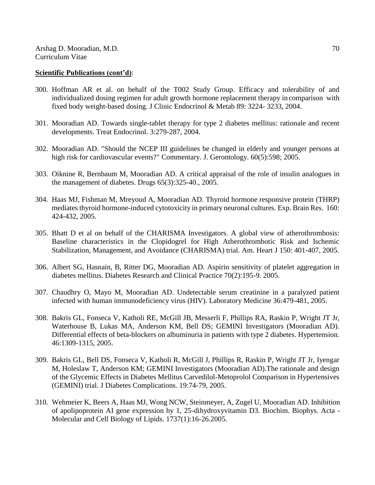- 300. Hoffman AR et al. on behalf of the T002 Study Group. Efficacy and tolerability of and individualized dosing regimen for adult growth hormone replacement therapy in comparison with fixed body weight-based dosing. J Clinic Endocrinol & Metab 89: 3224- 3233, 2004.
- 301. Mooradian AD. Towards single-tablet therapy for type 2 diabetes mellitus: rationale and recent developments. Treat Endocrinol. 3:279-287, 2004.
- 302. Mooradian AD. "Should the NCEP III guidelines be changed in elderly and younger persons at high risk for cardiovascular events?" Commentary. J. Gerontology. 60(5):598; 2005.
- 303. Oiknine R, Bernbaum M, Mooradian AD. A critical appraisal of the role of insulin analogues in the management of diabetes. Drugs 65(3):325-40., 2005.
- 304. Haas MJ, Fishman M, Mreyoud A, Mooradian AD. Thyroid hormone responsive protein (THRP) mediates thyroid hormone-induced cytotoxicity in primary neuronal cultures. Exp. Brain Res. 160: 424-432, 2005.
- 305. Bhatt D et al on behalf of the CHARISMA Investigators. A global view of atherothrombosis: Baseline characteristics in the Clopidogrel for High Atherothrombotic Risk and Ischemic Stabilization, Management, and Avoidance (CHARISMA) trial. Am. Heart J 150: 401-407, 2005.
- 306. Albert SG, Hasnain, B, Ritter DG, Mooradian AD. Aspirin sensitivity of platelet aggregation in diabetes mellitus. Diabetes Research and Clinical Practice 70(2):195-9. 2005.
- 307. Chaudhry O, Mayo M, Mooradian AD. Undetectable serum creatinine in a paralyzed patient infected with human immunodeficiency virus (HIV). Laboratory Medicine 36:479-481, 2005.
- 308. Bakris GL, Fonseca V, Katholi RE, McGill JB, Messerli F, Phillips RA, Raskin P, Wright JT Jr, Waterhouse B, Lukas MA, Anderson KM, Bell DS; GEMINI Investigators (Mooradian AD). Differential effects of beta-blockers on albuminuria in patients with type 2 diabetes. Hypertension. 46:1309-1315, 2005.
- 309. Bakris GL, Bell DS, Fonseca V, Katholi R, McGill J, Phillips R, Raskin P, Wright JT Jr, Iyengar M, Holeslaw T, Anderson KM; GEMINI Investigators (Mooradian AD).The rationale and design of the Glycemic Effects in Diabetes Mellitus Carvedilol-Metoprolol Comparison in Hypertensives (GEMINI) trial. J Diabetes Complications. 19:74-79, 2005.
- 310. Wehmeier K, Beers A, Haas MJ, Wong NCW, Steinmeyer, A, Zugel U, Mooradian AD. Inhibition of apolipoprotein AI gene expression by 1, 25-dihydroxyvitamin D3. Biochim. Biophys. Acta - Molecular and Cell Biology of Lipids. 1737(1):16-26.2005.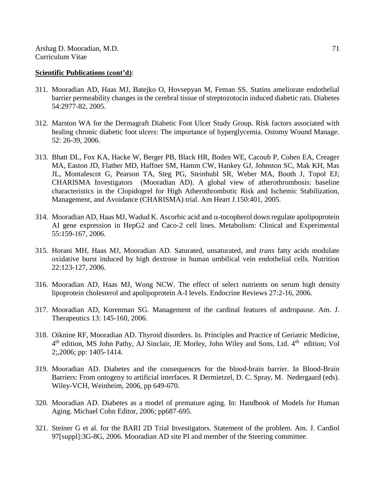- 311. Mooradian AD, Haas MJ, Batejko O, Hovsepyan M, Feman SS. Statins ameliorate endothelial barrier permeability changes in the cerebral tissue of streptozotocin induced diabetic rats. Diabetes 54:2977-82, 2005.
- 312. Marston WA for the Dermagraft Diabetic Foot Ulcer Study Group. Risk factors associated with healing chronic diabetic foot ulcers: The importance of hyperglycemia. Ostomy Wound Manage. 52: 26-39, 2006.
- 313. Bhatt DL, Fox KA, Hacke W, Berger PB, Black HR, Boden WE, Cacoub P, Cohen EA, Creager MA, Easton JD, Flather MD, Haffner SM, Hamm CW, Hankey GJ, Johnston SC, Mak KH, Mas JL, Montalescot G, Pearson TA, Steg PG, Steinhubl SR, Weber MA, Booth J, Topol EJ; CHARISMA Investigators (Mooradian AD). A global view of atherothrombosis: baseline characteristics in the Clopidogrel for High Atherothrombotic Risk and Ischemic Stabilization, Management, and Avoidance (CHARISMA) trial. Am Heart J.150:401, 2005.
- 314. Mooradian AD, Haas MJ, Wadud K. Ascorbic acid and  $\alpha$ -tocopherol down regulate apolipoprotein AI gene expression in HepG2 and Caco-2 cell lines. Metabolism: Clinical and Experimental 55:159-167, 2006.
- 315. Horani MH, Haas MJ, Mooradian AD. Saturated, unsaturated, and *trans* fatty acids modulate oxidative burst induced by high dextrose in human umbilical vein endothelial cells. Nutrition 22:123-127, 2006.
- 316. Mooradian AD, Haas MJ, Wong NCW. The effect of select nutrients on serum high density lipoprotein cholesterol and apolipoprotein A-I levels. Endocrine Reviews 27:2-16, 2006.
- 317. Mooradian AD, Korenman SG. Management of the cardinal features of andropause. Am. J. Therapeutics 13: 145-160, 2006.
- 318. Oiknine RF, Mooradian AD. Thyroid disorders. In. Principles and Practice of Geriatric Medicine, 4<sup>th</sup> edition, MS John Pathy, AJ Sinclair, JE Morley, John Wiley and Sons, Ltd. 4<sup>th</sup> edition; Vol 2;,2006; pp: 1405-1414.
- 319. Mooradian AD. Diabetes and the consequences for the blood-brain barrier. In Blood-Brain Barriers: From ontogeny to artificial interfaces. R Dermietzel, D. C. Spray, M. Nedergaard (eds). Wiley-VCH, Weinheim, 2006, pp 649-670.
- 320. Mooradian AD. Diabetes as a model of premature aging. In: Handbook of Models for Human Aging. Michael Cohn Editor, 2006; pp687-695.
- 321. Steiner G et al. for the BARI 2D Trial Investigators. Statement of the problem. Am. J. Cardiol 97[suppl]:3G-8G, 2006. Mooradian AD site PI and member of the Steering committee.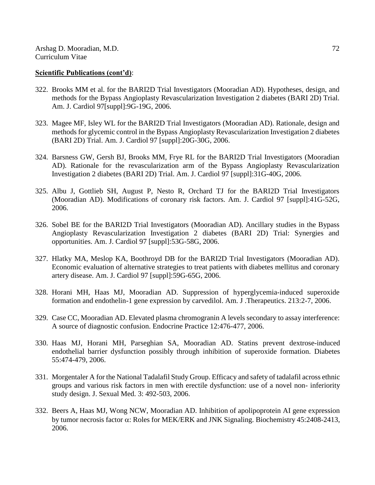- 322. Brooks MM et al. for the BARI2D Trial Investigators (Mooradian AD). Hypotheses, design, and methods for the Bypass Angioplasty Revascularization Investigation 2 diabetes (BARI 2D) Trial. Am. J. Cardiol 97[suppl]:9G-19G, 2006.
- 323. Magee MF, Isley WL for the BARI2D Trial Investigators (Mooradian AD). Rationale, design and methods for glycemic control in the Bypass Angioplasty Revascularization Investigation 2 diabetes (BARI 2D) Trial. Am. J. Cardiol 97 [suppl]:20G-30G, 2006.
- 324. Barsness GW, Gersh BJ, Brooks MM, Frye RL for the BARI2D Trial Investigators (Mooradian AD). Rationale for the revascularization arm of the Bypass Angioplasty Revascularization Investigation 2 diabetes (BARI 2D) Trial. Am. J. Cardiol 97 [suppl]:31G-40G, 2006.
- 325. Albu J, Gottlieb SH, August P, Nesto R, Orchard TJ for the BARI2D Trial Investigators (Mooradian AD). Modifications of coronary risk factors. Am. J. Cardiol 97 [suppl]:41G-52G, 2006.
- 326. Sobel BE for the BARI2D Trial Investigators (Mooradian AD). Ancillary studies in the Bypass Angioplasty Revascularization Investigation 2 diabetes (BARI 2D) Trial: Synergies and opportunities. Am. J. Cardiol 97 [suppl]:53G-58G, 2006.
- 327. Hlatky MA, Meslop KA, Boothroyd DB for the BARI2D Trial Investigators (Mooradian AD). Economic evaluation of alternative strategies to treat patients with diabetes mellitus and coronary artery disease. Am. J. Cardiol 97 [suppl]:59G-65G, 2006.
- 328. Horani MH, Haas MJ, Mooradian AD. Suppression of hyperglycemia-induced superoxide formation and endothelin-1 gene expression by carvedilol. Am. J .Therapeutics. 213:2-7, 2006.
- 329. Case CC, Mooradian AD. Elevated plasma chromogranin A levels secondary to assay interference: A source of diagnostic confusion. Endocrine Practice 12:476-477, 2006.
- 330. Haas MJ, Horani MH, Parseghian SA, Mooradian AD. Statins prevent dextrose-induced endothelial barrier dysfunction possibly through inhibition of superoxide formation. Diabetes 55:474-479, 2006.
- 331. Morgentaler A for the National Tadalafil Study Group. Efficacy and safety of tadalafil across ethnic groups and various risk factors in men with erectile dysfunction: use of a novel non- inferiority study design. J. Sexual Med. 3: 492-503, 2006.
- 332. Beers A, Haas MJ, Wong NCW, Mooradian AD. Inhibition of apolipoprotein AI gene expression by tumor necrosis factor  $\alpha$ : Roles for MEK/ERK and JNK Signaling. Biochemistry 45:2408-2413, 2006.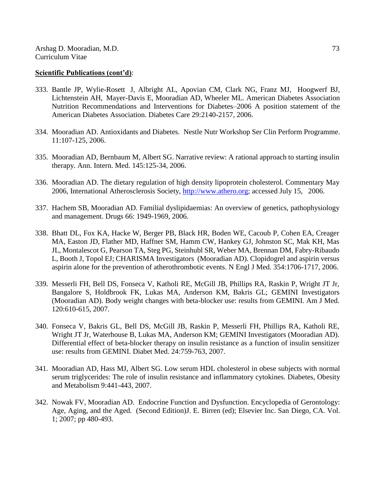- 333. Bantle JP, Wylie-Rosett J, Albright AL, Apovian CM, Clark NG, Franz MJ, Hoogwerf BJ, Lichtenstein AH, Mayer-Davis E, Mooradian AD, Wheeler ML. American Diabetes Association Nutrition Recommendations and Interventions for Diabetes–2006 A position statement of the American Diabetes Association. Diabetes Care 29:2140-2157, 2006.
- 334. Mooradian AD. Antioxidants and Diabetes. Nestle Nutr Workshop Ser Clin Perform Programme. 11:107-125, 2006.
- 335. Mooradian AD, Bernbaum M, Albert SG. Narrative review: A rational approach to starting insulin therapy. Ann. Intern. Med. 145:125-34, 2006.
- 336. Mooradian AD. The dietary regulation of high density lipoprotein cholesterol. Commentary May 2006, International Atherosclerosis Society, [http://www.athero.org;](http://www.athero.org/) accessed July 15, 2006.
- 337. Hachem SB, Mooradian AD. Familial dyslipidaemias: An overview of genetics, pathophysiology and management. Drugs 66: 1949-1969, 2006.
- 338. Bhatt DL, Fox KA, Hacke W, Berger PB, Black HR, Boden WE, Cacoub P, Cohen EA, Creager MA, Easton JD, Flather MD, Haffner SM, Hamm CW, Hankey GJ, Johnston SC, Mak KH, Mas JL, Montalescot G, Pearson TA, Steg PG, Steinhubl SR, Weber MA, Brennan DM, Fabry-Ribaudo L, Booth J, Topol EJ; CHARISMA Investigators (Mooradian AD). Clopidogrel and aspirin versus aspirin alone for the prevention of atherothrombotic events. N Engl J Med. 354:1706-1717, 2006.
- 339. Messerli FH, Bell DS, Fonseca V, Katholi RE, McGill JB, Phillips RA, Raskin P, Wright JT Jr, Bangalore S, Holdbrook FK, Lukas MA, Anderson KM, Bakris GL; GEMINI Investigators (Mooradian AD). Body weight changes with beta-blocker use: results from GEMINI. Am J Med. 120:610-615, 2007.
- 340. Fonseca V, Bakris GL, Bell DS, McGill JB, Raskin P, Messerli FH, Phillips RA, Katholi RE, Wright JT Jr, Waterhouse B, Lukas MA, Anderson KM; GEMINI Investigators (Mooradian AD). Differential effect of beta-blocker therapy on insulin resistance as a function of insulin sensitizer use: results from GEMINI. Diabet Med. 24:759-763, 2007.
- 341. Mooradian AD, Hass MJ, Albert SG. Low serum HDL cholesterol in obese subjects with normal serum triglycerides: The role of insulin resistance and inflammatory cytokines. Diabetes, Obesity and Metabolism 9:441-443, 2007.
- 342. Nowak FV, Mooradian AD. Endocrine Function and Dysfunction. Encyclopedia of Gerontology: Age, Aging, and the Aged. (Second Edition)J. E. Birren (ed); Elsevier Inc. San Diego, CA. Vol. 1; 2007; pp 480-493.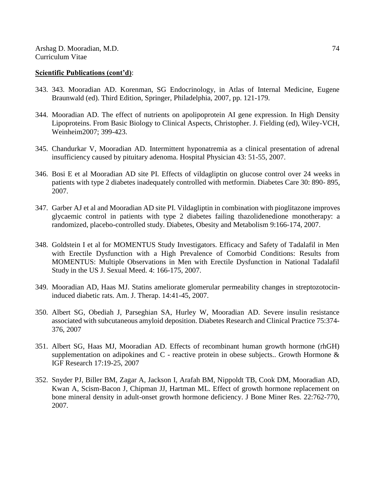- 343. 343. Mooradian AD. Korenman, SG Endocrinology, in Atlas of Internal Medicine, Eugene Braunwald (ed). Third Edition, Springer, Philadelphia, 2007, pp. 121-179.
- 344. Mooradian AD. The effect of nutrients on apolipoprotein AI gene expression. In High Density Lipoproteins. From Basic Biology to Clinical Aspects, Christopher. J. Fielding (ed), Wiley-VCH, Weinheim2007; 399-423.
- 345. Chandurkar V, Mooradian AD. Intermittent hyponatremia as a clinical presentation of adrenal insufficiency caused by pituitary adenoma. Hospital Physician 43: 51-55, 2007.
- 346. Bosi E et al Mooradian AD site PI. Effects of vildagliptin on glucose control over 24 weeks in patients with type 2 diabetes inadequately controlled with metformin. Diabetes Care 30: 890- 895, 2007.
- 347. Garber AJ et al and Mooradian AD site PI. Vildagliptin in combination with pioglitazone improves glycaemic control in patients with type 2 diabetes failing thazolidenedione monotherapy: a randomized, placebo-controlled study. Diabetes, Obesity and Metabolism 9:166-174, 2007.
- 348. Goldstein I et al for MOMENTUS Study Investigators. Efficacy and Safety of Tadalafil in Men with Erectile Dysfunction with a High Prevalence of Comorbid Conditions: Results from MOMENTUS: Multiple Observations in Men with Erectile Dysfunction in National Tadalafil Study in the US J. Sexual Meed. 4: 166-175, 2007.
- 349. Mooradian AD, Haas MJ. Statins ameliorate glomerular permeability changes in streptozotocininduced diabetic rats. Am. J. Therap. 14:41-45, 2007.
- 350. Albert SG, Obediah J, Parseghian SA, Hurley W, Mooradian AD. Severe insulin resistance associated with subcutaneous amyloid deposition. Diabetes Research and Clinical Practice 75:374- 376, 2007
- 351. Albert SG, Haas MJ, Mooradian AD. Effects of recombinant human growth hormone (rhGH) supplementation on adipokines and C - reactive protein in obese subjects.. Growth Hormone & IGF Research 17:19-25, 2007
- 352. Snyder PJ, Biller BM, Zagar A, Jackson I, Arafah BM, Nippoldt TB, Cook DM, Mooradian AD, Kwan A, Scism-Bacon J, Chipman JJ, Hartman ML. Effect of growth hormone replacement on bone mineral density in adult-onset growth hormone deficiency. J Bone Miner Res. 22:762-770, 2007.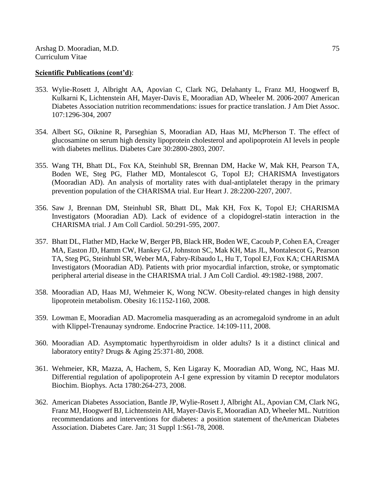- 353. Wylie-Rosett J, Albright AA, Apovian C, Clark NG, Delahanty L, Franz MJ, Hoogwerf B, Kulkarni K, Lichtenstein AH, Mayer-Davis E, Mooradian AD, Wheeler M. 2006-2007 American Diabetes Association nutrition recommendations: issues for practice translation. J Am Diet Assoc. 107:1296-304, 2007
- 354. Albert SG, Oiknine R, Parseghian S, Mooradian AD, Haas MJ, McPherson T. The effect of glucosamine on serum high density lipoprotein cholesterol and apolipoprotein AI levels in people with diabetes mellitus. Diabetes Care 30:2800-2803, 2007.
- 355. Wang TH, Bhatt DL, Fox KA, Steinhubl SR, Brennan DM, Hacke W, Mak KH, Pearson TA, Boden WE, Steg PG, Flather MD, Montalescot G, Topol EJ; CHARISMA Investigators (Mooradian AD). An analysis of mortality rates with dual-antiplatelet therapy in the primary prevention population of the CHARISMA trial. Eur Heart J. 28:2200-2207, 2007.
- 356. Saw J, Brennan DM, Steinhubl SR, Bhatt DL, Mak KH, Fox K, Topol EJ; CHARISMA Investigators (Mooradian AD). Lack of evidence of a clopidogrel-statin interaction in the CHARISMA trial. J Am Coll Cardiol. 50:291-595, 2007.
- 357. Bhatt DL, Flather MD, Hacke W, Berger PB, Black HR, Boden WE, Cacoub P, Cohen EA, Creager MA, Easton JD, Hamm CW, Hankey GJ, Johnston SC, Mak KH, Mas JL, Montalescot G, Pearson TA, Steg PG, Steinhubl SR, Weber MA, Fabry-Ribaudo L, Hu T, Topol EJ, Fox KA; CHARISMA Investigators (Mooradian AD). Patients with prior myocardial infarction, stroke, or symptomatic peripheral arterial disease in the CHARISMA trial. J Am Coll Cardiol. 49:1982-1988, 2007.
- 358. Mooradian AD, Haas MJ, Wehmeier K, Wong NCW. Obesity-related changes in high density lipoprotein metabolism. Obesity 16:1152-1160, 2008.
- 359. Lowman E, Mooradian AD. Macromelia masquerading as an acromegaloid syndrome in an adult with Klippel-Trenaunay syndrome. Endocrine Practice. 14:109-111, 2008.
- 360. Mooradian AD. Asymptomatic hyperthyroidism in older adults? Is it a distinct clinical and laboratory entity? Drugs & Aging 25:371-80, 2008.
- 361. Wehmeier, KR, Mazza, A, Hachem, S, Ken Ligaray K, Mooradian AD, Wong, NC, Haas MJ. Differential regulation of apolipoprotein A-I gene expression by vitamin D receptor modulators Biochim. Biophys. Acta 1780:264-273, 2008.
- 362. American Diabetes Association, Bantle JP, Wylie-Rosett J, Albright AL, Apovian CM, Clark NG, Franz MJ, Hoogwerf BJ, Lichtenstein AH, Mayer-Davis E, Mooradian AD, Wheeler ML. Nutrition recommendations and interventions for diabetes: a position statement of theAmerican Diabetes Association. Diabetes Care. Jan; 31 Suppl 1:S61-78, 2008.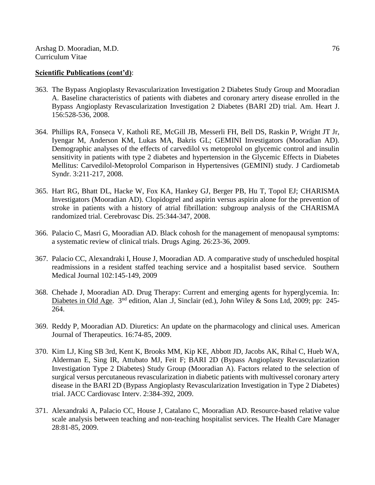- 363. The Bypass Angioplasty Revascularization Investigation 2 Diabetes Study Group and Mooradian A. Baseline characteristics of patients with diabetes and coronary artery disease enrolled in the Bypass Angioplasty Revascularization Investigation 2 Diabetes (BARI 2D) trial. Am. Heart J. 156:528-536, 2008.
- 364. Phillips RA, Fonseca V, Katholi RE, McGill JB, Messerli FH, Bell DS, Raskin P, Wright JT Jr, Iyengar M, Anderson KM, Lukas MA, Bakris GL; GEMINI Investigators (Mooradian AD). Demographic analyses of the effects of carvedilol vs metoprolol on glycemic control and insulin sensitivity in patients with type 2 diabetes and hypertension in the Glycemic Effects in Diabetes Mellitus: Carvedilol-Metoprolol Comparison in Hypertensives (GEMINI) study. J Cardiometab Syndr. 3:211-217, 2008.
- 365. Hart RG, Bhatt DL, Hacke W, Fox KA, Hankey GJ, Berger PB, Hu T, Topol EJ; CHARISMA Investigators (Mooradian AD). Clopidogrel and aspirin versus aspirin alone for the prevention of stroke in patients with a history of atrial fibrillation: subgroup analysis of the CHARISMA randomized trial. Cerebrovasc Dis. 25:344-347, 2008.
- 366. Palacio C, Masri G, Mooradian AD. Black cohosh for the management of menopausal symptoms: a systematic review of clinical trials. Drugs Aging. 26:23-36, 2009.
- 367. Palacio CC, Alexandraki I, House J, Mooradian AD. A comparative study of unscheduled hospital readmissions in a resident staffed teaching service and a hospitalist based service. Southern Medical Journal 102:145-149, 2009
- 368. Chehade J, Mooradian AD. Drug Therapy: Current and emerging agents for hyperglycemia. In: Diabetes in Old Age. 3<sup>nd</sup> edition, Alan .J. Sinclair (ed.), John Wiley & Sons Ltd, 2009; pp: 245-264.
- 369. Reddy P, Mooradian AD. Diuretics: An update on the pharmacology and clinical uses. American Journal of Therapeutics. 16:74-85, 2009.
- 370. Kim LJ, King SB 3rd, Kent K, Brooks MM, Kip KE, Abbott JD, Jacobs AK, Rihal C, Hueb WA, Alderman E, Sing IR, Attubato MJ, Feit F; BARI 2D (Bypass Angioplasty Revascularization Investigation Type 2 Diabetes) Study Group (Mooradian A). Factors related to the selection of surgical versus percutaneous revascularization in diabetic patients with multivessel coronary artery disease in the BARI 2D (Bypass Angioplasty Revascularization Investigation in Type 2 Diabetes) trial. JACC Cardiovasc Interv. 2:384-392, 2009.
- 371. Alexandraki A, Palacio CC, House J, Catalano C, Mooradian AD. Resource-based relative value scale analysis between teaching and non-teaching hospitalist services. The Health Care Manager 28:81-85, 2009.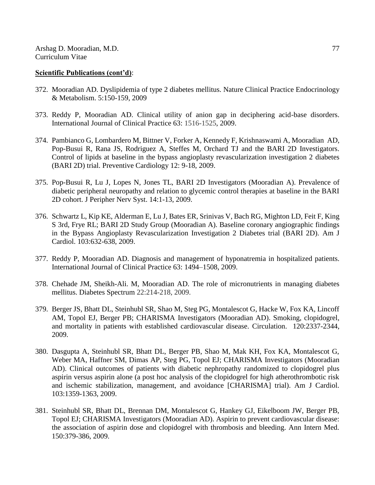- 372. Mooradian AD. Dyslipidemia of type 2 diabetes mellitus. Nature Clinical Practice Endocrinology & Metabolism. 5:150-159, 2009
- 373. Reddy P, Mooradian AD. Clinical utility of anion gap in deciphering acid-base disorders. International Journal of Clinical Practice 63: 1516-1525, 2009.
- 374. Pambianco G, Lombardero M, Bittner V, Forker A, Kennedy F, Krishnaswami A, Mooradian AD, Pop-Busui R, Rana JS, Rodriguez A, Steffes M, Orchard TJ and the BARI 2D Investigators. Control of lipids at baseline in the bypass angioplasty revascularization investigation 2 diabetes (BARI 2D) trial. Preventive Cardiology 12: 9-18, 2009.
- 375. Pop-Busui R, Lu J, Lopes N, Jones TL, BARI 2D Investigators (Mooradian A). Prevalence of diabetic peripheral neuropathy and relation to glycemic control therapies at baseline in the BARI 2D cohort. J Peripher Nerv Syst. 14:1-13, 2009.
- 376. Schwartz L, Kip KE, Alderman E, Lu J, Bates ER, Srinivas V, Bach RG, Mighton LD, Feit F, King S 3rd, Frye RL; BARI 2D Study Group (Mooradian A). Baseline coronary angiographic findings in the Bypass Angioplasty Revascularization Investigation 2 Diabetes trial (BARI 2D). Am J Cardiol. 103:632-638, 2009.
- 377. Reddy P, Mooradian AD. Diagnosis and management of hyponatremia in hospitalized patients. International Journal of Clinical Practice 63: 1494–1508, 2009.
- 378. Chehade JM, Sheikh-Ali. M, Mooradian AD. The role of micronutrients in managing diabetes mellitus. Diabetes Spectrum 22:214-218, 2009.
- 379. Berger JS, Bhatt DL, Steinhubl SR, Shao M, Steg PG, Montalescot G, Hacke W, Fox KA, Lincoff AM, Topol EJ, Berger PB; CHARISMA Investigators (Mooradian AD). Smoking, clopidogrel, and mortality in patients with established cardiovascular disease. Circulation. 120:2337-2344, 2009.
- 380. Dasgupta A, Steinhubl SR, Bhatt DL, Berger PB, Shao M, Mak KH, Fox KA, Montalescot G, Weber MA, Haffner SM, Dimas AP, Steg PG, Topol EJ; CHARISMA Investigators (Mooradian AD). Clinical outcomes of patients with diabetic nephropathy randomized to clopidogrel plus aspirin versus aspirin alone (a post hoc analysis of the clopidogrel for high atherothrombotic risk and ischemic stabilization, management, and avoidance [CHARISMA] trial). Am J Cardiol. 103:1359-1363, 2009.
- 381. Steinhubl SR, Bhatt DL, Brennan DM, Montalescot G, Hankey GJ, Eikelboom JW, Berger PB, Topol EJ; CHARISMA Investigators (Mooradian AD). Aspirin to prevent cardiovascular disease: the association of aspirin dose and clopidogrel with thrombosis and bleeding. Ann Intern Med. 150:379-386, 2009.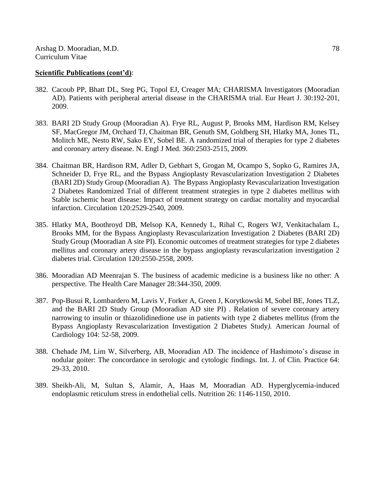- 382. Cacoub PP, Bhatt DL, Steg PG, Topol EJ, Creager MA; CHARISMA Investigators (Mooradian AD). Patients with peripheral arterial disease in the CHARISMA trial. Eur Heart J. 30:192-201, 2009.
- 383. BARI 2D Study Group (Mooradian A). Frye RL, August P, Brooks MM, Hardison RM, Kelsey SF, MacGregor JM, Orchard TJ, Chaitman BR, Genuth SM, Goldberg SH, Hlatky MA, Jones TL, Molitch ME, Nesto RW, Sako EY, Sobel BE. A randomized trial of therapies for type 2 diabetes and coronary artery disease. N. Engl J Med. 360:2503-2515, 2009.
- 384. Chaitman BR, Hardison RM, Adler D, Gebhart S, Grogan M, Ocampo S, Sopko G, Ramires JA, Schneider D, Frye RL, and the Bypass Angioplasty Revascularization Investigation 2 Diabetes (BARI 2D) Study Group (Mooradian A). The Bypass Angioplasty Revascularization Investigation 2 Diabetes Randomized Trial of different treatment strategies in type 2 diabetes mellitus with Stable ischemic heart disease: Impact of treatment strategy on cardiac mortality and myocardial infarction. Circulation 120:2529-2540, 2009.
- 385. Hlatky MA, Boothroyd DB, Melsop KA, Kennedy L, Rihal C, Rogers WJ, Venkitachalam L, Brooks MM, for the Bypass Angioplasty Revascularization Investigation 2 Diabetes (BARI 2D) Study Group (Mooradian A site PI). Economic outcomes of treatment strategies for type 2 diabetes mellitus and coronary artery disease in the bypass angioplasty revascularization investigation 2 diabetes trial*.* Circulation 120:2550-2558, 2009.
- 386. Mooradian AD Meenrajan S. The business of academic medicine is a business like no other: A perspective*.* The Health Care Manager 28:344-350, 2009.
- 387. Pop-Busui R, Lombardero M, Lavis V, Forker A, Green J, Korytkowski M, Sobel BE, Jones TLZ, and the BARI 2D Study Group (Mooradian AD site PI) . Relation of severe coronary artery narrowing to insulin or thiazolidinedione use in patients with type 2 diabetes mellitus (from the Bypass Angioplasty Revascularization Investigation 2 Diabetes Study*).* American Journal of Cardiology 104: 52-58, 2009.
- 388. Chehade JM, Lim W, Silverberg, AB, Mooradian AD. The incidence of Hashimoto's disease in nodular goiter: The concordance in serologic and cytologic findings. Int. J. of Clin. Practice 64: 29-33, 2010.
- 389. Sheikh-Ali, M, Sultan S, Alamir, A, Haas M, Mooradian AD. Hyperglycemia-induced endoplasmic reticulum stress in endothelial cells. Nutrition 26: 1146-1150, 2010.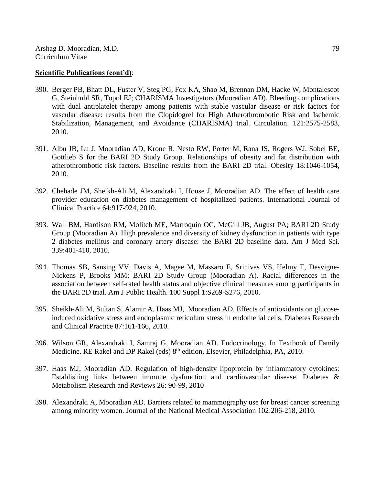- 390. Berger PB, Bhatt DL, Fuster V, Steg PG, Fox KA, Shao M, Brennan DM, Hacke W, Montalescot G, Steinhubl SR, Topol EJ; CHARISMA Investigators (Mooradian AD). Bleeding complications with dual antiplatelet therapy among patients with stable vascular disease or risk factors for vascular disease: results from the Clopidogrel for High Atherothrombotic Risk and Ischemic Stabilization, Management, and Avoidance (CHARISMA) trial. Circulation. 121:2575-2583, 2010.
- 391. Albu JB, Lu J, Mooradian AD, Krone R, Nesto RW, Porter M, Rana JS, Rogers WJ, Sobel BE, Gottlieb S for the BARI 2D Study Group. Relationships of obesity and fat distribution with atherothrombotic risk factors. Baseline results from the BARI 2D trial. Obesity 18:1046-1054, 2010.
- 392. Chehade JM, Sheikh-Ali M, Alexandraki I, House J, Mooradian AD. The effect of health care provider education on diabetes management of hospitalized patients. International Journal of Clinical Practice 64:917-924, 2010.
- 393. Wall BM, Hardison RM, Molitch ME, Marroquin OC, McGill JB, August PA; BARI 2D Study Group (Mooradian A). High prevalence and diversity of kidney dysfunction in patients with type 2 diabetes mellitus and coronary artery disease: the BARI 2D baseline data. Am J Med Sci. 339:401-410, 2010.
- 394. Thomas SB, Sansing VV, Davis A, Magee M, Massaro E, Srinivas VS, Helmy T, Desvigne-Nickens P, Brooks MM; BARI 2D Study Group (Mooradian A). Racial differences in the association between self-rated health status and objective clinical measures among participants in the BARI 2D trial. Am J Public Health. 100 Suppl 1:S269-S276, 2010.
- 395. Sheikh-Ali M, Sultan S, Alamir A, Haas MJ, Mooradian AD. Effects of antioxidants on glucoseinduced oxidative stress and endoplasmic reticulum stress in endothelial cells. Diabetes Research and Clinical Practice 87:161-166, 2010.
- 396. Wilson GR, Alexandraki I, Samraj G, Mooradian AD. Endocrinology. In Textbook of Family Medicine. RE Rakel and DP Rakel (eds)  $8<sup>th</sup>$  edition, Elsevier, Philadelphia, PA, 2010.
- 397. Haas MJ, Mooradian AD. Regulation of high-density lipoprotein by inflammatory cytokines: Establishing links between immune dysfunction and cardiovascular disease. Diabetes & Metabolism Research and Reviews 26: 90-99, 2010
- 398. Alexandraki A, Mooradian AD. Barriers related to mammography use for breast cancer screening among minority women. Journal of the National Medical Association 102:206-218, 2010.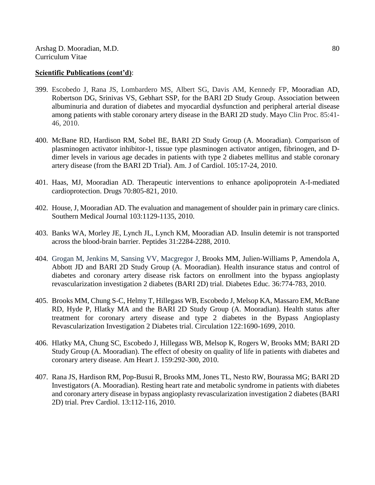- 399. Escobedo J, Rana JS, Lombardero MS, Albert SG, Davis AM, Kennedy FP, Mooradian AD, Robertson DG, Srinivas VS, Gebhart SSP, for the BARI 2D Study Group. Association between albuminuria and duration of diabetes and myocardial dysfunction and peripheral arterial disease among patients with stable coronary artery disease in the BARI 2D study. Mayo Clin Proc. 85:41- 46, 2010.
- 400. McBane RD, Hardison RM, Sobel BE, BARI 2D Study Group (A. Mooradian). Comparison of plasminogen activator inhibitor-1, tissue type plasminogen activator antigen, fibrinogen, and Ddimer levels in various age decades in patients with type 2 diabetes mellitus and stable coronary artery disease (from the BARI 2D Trial). Am. J of Cardiol. 105:17-24, 2010.
- 401. Haas, MJ, Mooradian AD. Therapeutic interventions to enhance apolipoprotein A-I-mediated cardioprotection. Drugs 70:805-821, 2010.
- 402. House, J, Mooradian AD. The evaluation and management of shoulder pain in primary care clinics. Southern Medical Journal 103:1129-1135, 2010.
- 403. Banks WA, Morley JE, Lynch JL, Lynch KM, Mooradian AD. Insulin detemir is not transported across the blood-brain barrier. Peptides 31:2284-2288, 2010.
- 404. Grogan M, Jenkins M, Sansing VV, Macgregor J, Brooks MM, Julien-Williams P, Amendola A, Abbott JD and BARI 2D Study Group (A. Mooradian). Health insurance status and control of diabetes and coronary artery disease risk factors on enrollment into the bypass angioplasty revascularization investigation 2 diabetes (BARI 2D) trial. Diabetes Educ*.* 36:774-783, 2010.
- 405. Brooks MM, Chung S-C, Helmy T, Hillegass WB, Escobedo J, Melsop KA, Massaro EM, McBane RD, Hyde P, Hlatky MA and the BARI 2D Study Group (A. Mooradian). Health status after treatment for coronary artery disease and type 2 diabetes in the Bypass Angioplasty Revascularization Investigation 2 Diabetes trial. Circulation 122:1690-1699, 2010.
- 406. Hlatky MA, Chung SC, Escobedo J, Hillegass WB, Melsop K, Rogers W, Brooks MM; BARI 2D Study Group (A. Mooradian). The effect of obesity on quality of life in patients with diabetes and coronary artery disease. Am Heart J. 159:292-300, 2010.
- 407. Rana JS, Hardison RM, Pop-Busui R, Brooks MM, Jones TL, Nesto RW, Bourassa MG; BARI 2D Investigators (A. Mooradian). Resting heart rate and metabolic syndrome in patients with diabetes and coronary artery disease in bypass angioplasty revascularization investigation 2 diabetes (BARI 2D) trial. Prev Cardiol. 13:112-116, 2010.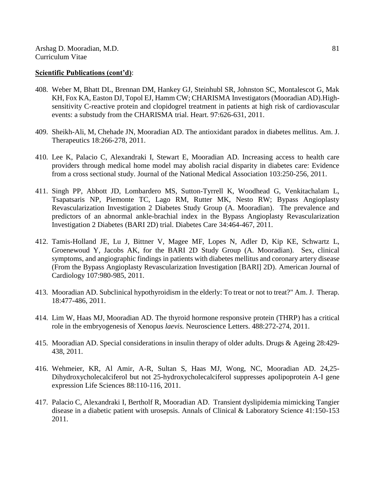- 408. Weber M, Bhatt DL, Brennan DM, Hankey GJ, Steinhubl SR, Johnston SC, Montalescot G, Mak KH, Fox KA, Easton DJ, Topol EJ, Hamm CW; CHARISMA Investigators (Mooradian AD).Highsensitivity C-reactive protein and clopidogrel treatment in patients at high risk of cardiovascular events: a substudy from the CHARISMA trial. Heart. 97:626-631, 2011.
- 409. Sheikh-Ali, M, Chehade JN, Mooradian AD. The antioxidant paradox in diabetes mellitus. Am. J. Therapeutics 18:266-278, 2011.
- 410. Lee K, Palacio C, Alexandraki I, Stewart E, Mooradian AD. Increasing access to health care providers through medical home model may abolish racial disparity in diabetes care: Evidence from a cross sectional study. Journal of the National Medical Association 103:250-256, 2011.
- 411. Singh PP, Abbott JD, Lombardero MS, Sutton-Tyrrell K, Woodhead G, Venkitachalam L, Tsapatsaris NP, Piemonte TC, Lago RM, Rutter MK, Nesto RW; Bypass Angioplasty Revascularization Investigation 2 Diabetes Study Group (A. Mooradian). The prevalence and predictors of an abnormal ankle-brachial index in the Bypass Angioplasty Revascularization Investigation 2 Diabetes (BARI 2D) trial. Diabetes Care 34:464-467, 2011.
- 412. Tamis-Holland JE, Lu J, Bittner V, Magee MF, Lopes N, Adler D, Kip KE, Schwartz L, Groenewoud Y, Jacobs AK, for the BARI 2D Study Group (A. Mooradian). Sex, clinical symptoms, and angiographic findings in patients with diabetes mellitus and coronary artery disease (From the Bypass Angioplasty Revascularization Investigation [BARI] 2D). American Journal of Cardiology 107:980-985, 2011.
- 413. Mooradian AD. Subclinical hypothyroidism in the elderly: To treat or not to treat?" Am. J. Therap. 18:477-486, 2011.
- 414. Lim W, Haas MJ, Mooradian AD. The thyroid hormone responsive protein (THRP) has a critical role in the embryogenesis of Xenopus *laevis.* Neuroscience Letters. 488:272-274, 2011.
- 415. Mooradian AD. Special considerations in insulin therapy of older adults. Drugs & Ageing 28:429- 438, 2011.
- 416. Wehmeier, KR, Al Amir, A-R, Sultan S, Haas MJ, Wong, NC, Mooradian AD. 24,25- Dihydroxycholecalciferol but not 25-hydroxycholecalciferol suppresses apolipoprotein A-I gene expression Life Sciences 88:110-116, 2011.
- 417. Palacio C, Alexandraki I, Bertholf R, Mooradian AD. Transient dyslipidemia mimicking Tangier disease in a diabetic patient with urosepsis. Annals of Clinical & Laboratory Science 41:150-153 2011.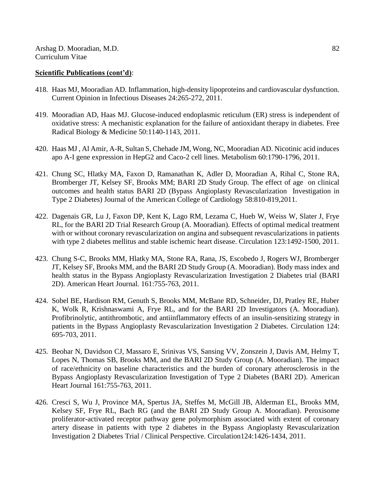- 418. Haas MJ, Mooradian AD. Inflammation, high-density lipoproteins and cardiovascular dysfunction. Current Opinion in Infectious Diseases 24:265-272, 2011.
- 419. Mooradian AD, Haas MJ. Glucose-induced endoplasmic reticulum (ER) stress is independent of oxidative stress: A mechanistic explanation for the failure of antioxidant therapy in diabetes. Free Radical Biology & Medicine 50:1140-1143, 2011.
- 420. Haas MJ , Al Amir, A-R, Sultan S, Chehade JM, Wong, NC, Mooradian AD. Nicotinic acid induces apo A-I gene expression in HepG2 and Caco-2 cell lines. Metabolism 60:1790-1796, 2011.
- 421. Chung SC, Hlatky MA, Faxon D, Ramanathan K, Adler D, Mooradian A, Rihal C, Stone RA, Bromberger JT, Kelsey SF, Brooks MM; BARI 2D Study Group. The effect of age on clinical outcomes and health status BARI 2D (Bypass Angioplasty Revascularization Investigation in Type 2 Diabetes) Journal of the American College of Cardiology 58:810-819,2011.
- 422. Dagenais GR, Lu J, Faxon DP, Kent K, Lago RM, Lezama C, Hueb W, Weiss W, Slater J, Frye RL, for the BARI 2D Trial Research Group (A. Mooradian). Effects of optimal medical treatment with or without coronary revascularization on angina and subsequent revascularizations in patients with type 2 diabetes mellitus and stable ischemic heart disease. Circulation 123:1492-1500, 2011.
- 423. Chung S-C, Brooks MM, Hlatky MA, Stone RA, Rana, JS, Escobedo J, Rogers WJ, Bromberger JT, Kelsey SF, Brooks MM, and the BARI 2D Study Group (A. Mooradian). Body mass index and health status in the Bypass Angioplasty Revascularization Investigation 2 Diabetes trial (BARI 2D). American Heart Journal*.* 161:755-763, 2011.
- 424. Sobel BE, Hardison RM, Genuth S, Brooks MM, McBane RD, Schneider, DJ, Pratley RE, Huber K, Wolk R, Krishnaswami A, Frye RL, and for the BARI 2D Investigators (A. Mooradian). Profibrinolytic, antithrombotic, and antiinflammatory effects of an insulin-sensitizing strategy in patients in the Bypass Angioplasty Revascularization Investigation 2 Diabetes. Circulation 124: 695-703, 2011.
- 425. Beohar N, Davidson CJ, Massaro E, Srinivas VS, Sansing VV, Zonszein J, Davis AM, Helmy T, Lopes N, Thomas SB, Brooks MM, and the BARI 2D Study Group (A. Mooradian). The impact of race/ethnicity on baseline characteristics and the burden of coronary atherosclerosis in the Bypass Angioplasty Revascularization Investigation of Type 2 Diabetes (BARI 2D). American Heart Journal 161:755-763, 2011.
- 426. Cresci S, Wu J, Province MA, Spertus JA, Steffes M, McGill JB, Alderman EL, Brooks MM, Kelsey SF, Frye RL, Bach RG (and the BARI 2D Study Group A. Mooradian). Peroxisome proliferator-activated receptor pathway gene polymorphism associated with extent of coronary artery disease in patients with type 2 diabetes in the Bypass Angioplasty Revascularization Investigation 2 Diabetes Trial / Clinical Perspective. Circulation124:1426-1434, 2011.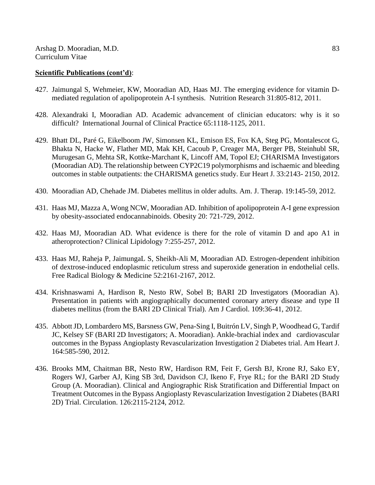- 427. Jaimungal S, Wehmeier, KW, Mooradian AD, Haas MJ. The emerging evidence for vitamin Dmediated regulation of apolipoprotein A-I synthesis. Nutrition Research 31:805-812, 2011.
- 428. Alexandraki I, Mooradian AD. Academic advancement of clinician educators: why is it so difficult? International Journal of Clinical Practice 65:1118-1125, 2011.
- 429. Bhatt DL, Paré G, Eikelboom JW, Simonsen KL, Emison ES, Fox KA, Steg PG, Montalescot G, Bhakta N, Hacke W, Flather MD, Mak KH, Cacoub P, Creager MA, Berger PB, Steinhubl SR, Murugesan G, Mehta SR, Kottke-Marchant K, Lincoff AM, Topol EJ; CHARISMA Investigators (Mooradian AD). The relationship between CYP2C19 polymorphisms and ischaemic and bleeding outcomes in stable outpatients: the CHARISMA genetics study. Eur Heart J. 33:2143- 2150, 2012.
- 430. Mooradian AD, Chehade JM. Diabetes mellitus in older adults. Am. J. Therap. 19:145-59, 2012.
- 431. Haas MJ, Mazza A, Wong NCW, Mooradian AD. Inhibition of apolipoprotein A-I gene expression by obesity-associated endocannabinoids. Obesity 20: 721-729, 2012.
- 432. Haas MJ, Mooradian AD. What evidence is there for the role of vitamin D and apo A1 in atheroprotection? Clinical Lipidology 7:255-257, 2012.
- 433. Haas MJ, Raheja P, JaimungaL S, Sheikh-Ali M, Mooradian AD. Estrogen-dependent inhibition of dextrose-induced endoplasmic reticulum stress and superoxide generation in endothelial cells. Free Radical Biology & Medicine 52:2161-2167, 2012.
- 434. Krishnaswami A, Hardison R, Nesto RW, Sobel B; BARI 2D Investigators (Mooradian A). Presentation in patients with angiographically documented coronary artery disease and type II diabetes mellitus (from the BARI 2D Clinical Trial). Am J Cardiol. 109:36-41, 2012.
- 435. Abbott JD, Lombardero MS, Barsness GW, Pena-Sing I, Buitrón LV, Singh P, Woodhead G, Tardif JC, Kelsey SF (BARI 2D Investigators; A. Mooradian). Ankle-brachial index and cardiovascular outcomes in the Bypass Angioplasty Revascularization Investigation 2 Diabetes trial. Am Heart J. 164:585-590, 2012.
- 436. Brooks MM, Chaitman BR, Nesto RW, Hardison RM, Feit F, Gersh BJ, Krone RJ, Sako EY, Rogers WJ, Garber AJ, King SB 3rd, Davidson CJ, Ikeno F, Frye RL; for the BARI 2D Study Group (A. Mooradian). Clinical and Angiographic Risk Stratification and Differential Impact on Treatment Outcomes in the Bypass Angioplasty Revascularization Investigation 2 Diabetes (BARI 2D) Trial. Circulation. 126:2115-2124, 2012.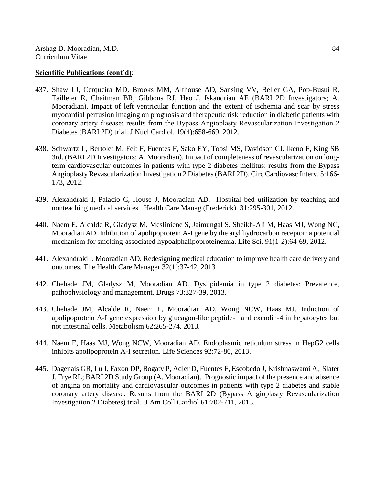- 437. Shaw LJ, Cerqueira MD, Brooks MM, Althouse AD, Sansing VV, Beller GA, Pop-Busui R, Taillefer R, Chaitman BR, Gibbons RJ, Heo J, Iskandrian AE (BARI 2D Investigators; A. Mooradian). Impact of left ventricular function and the extent of ischemia and scar by stress myocardial perfusion imaging on prognosis and therapeutic risk reduction in diabetic patients with coronary artery disease: results from the Bypass Angioplasty Revascularization Investigation 2 Diabetes (BARI 2D) trial. J Nucl Cardiol. 19(4):658-669, 2012.
- 438. Schwartz L, Bertolet M, Feit F, Fuentes F, Sako EY, Toosi MS, Davidson CJ, Ikeno F, King SB 3rd. (BARI 2D Investigators; A. Mooradian). Impact of completeness of revascularization on longterm cardiovascular outcomes in patients with type 2 diabetes mellitus: results from the Bypass Angioplasty Revascularization Investigation 2 Diabetes (BARI 2D). Circ Cardiovasc Interv. 5:166- 173, 2012.
- 439. Alexandraki I, Palacio C, House J, Mooradian AD. [Hospital bed utilization by teaching and](http://www.ncbi.nlm.nih.gov/pubmed/23111480)  [nonteaching medical services.](http://www.ncbi.nlm.nih.gov/pubmed/23111480) Health Care Manag (Frederick). 31:295-301, 2012.
- 440. Naem E, Alcalde R, Gladysz M, Mesliniene S, Jaimungal S, Sheikh-Ali M, Haas MJ, Wong NC, Mooradian AD. Inhibition of apolipoprotein A-I gene by the aryl hydrocarbon receptor: a potential mechanism for smoking-associated hypoalphalipoproteinemia. Life Sci. 91(1-2):64-69, 2012.
- 441. Alexandraki I, Mooradian AD. Redesigning medical education to improve health care delivery and outcomes. The Health Care Manager 32(1):37-42, 2013
- 442. Chehade JM, Gladysz M, Mooradian AD. Dyslipidemia in type 2 diabetes: Prevalence, pathophysiology and management. Drugs 73:327-39, 2013.
- 443. Chehade JM, Alcalde R, Naem E, Mooradian AD, Wong NCW, Haas MJ. Induction of apolipoprotein A-I gene expression by glucagon-like peptide-1 and exendin-4 in hepatocytes but not intestinal cells. Metabolism 62:265-274, 2013.
- 444. Naem E, Haas MJ, Wong NCW, Mooradian AD. Endoplasmic reticulum stress in HepG2 cells inhibits apolipoprotein A-I secretion. Life Sciences 92:72-80, 2013.
- 445. Dagenais GR, Lu J, Faxon DP, Bogaty P, Adler D, Fuentes F, Escobedo J, Krishnaswami A, Slater J, Frye RL; BARI 2D Study Group (A. Mooradian). Prognostic impact of the presence and absence of angina on mortality and cardiovascular outcomes in patients with type 2 diabetes and stable coronary artery disease: Results from the BARI 2D (Bypass Angioplasty Revascularization Investigation 2 Diabetes) trial. J Am Coll Cardiol 61:702-711, 2013.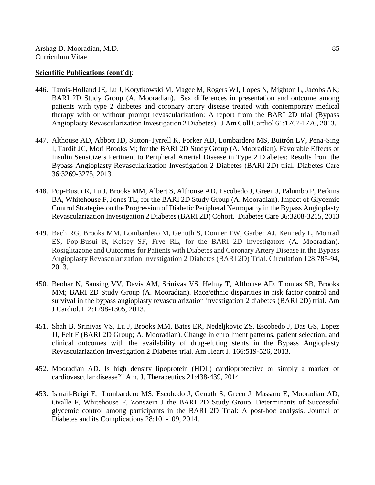- 446. Tamis-Holland JE, Lu J, Korytkowski M, Magee M, Rogers WJ, Lopes N, Mighton L, Jacobs AK; BARI 2D Study Group (A. Mooradian). Sex differences in presentation and outcome among patients with type 2 diabetes and coronary artery disease treated with contemporary medical therapy with or without prompt revascularization: A report from the BARI 2D trial (Bypass Angioplasty Revascularization Investigation 2 Diabetes). J Am Coll Cardiol 61:1767-1776, 2013.
- 447. Althouse AD, Abbott JD, Sutton-Tyrrell K, Forker AD, Lombardero MS, Buitrón LV, Pena-Sing I, Tardif JC, Mori Brooks M; for the BARI 2D Study Group (A. Mooradian). Favorable Effects of Insulin Sensitizers Pertinent to Peripheral Arterial Disease in Type 2 Diabetes: Results from the Bypass Angioplasty Revascularization Investigation 2 Diabetes (BARI 2D) trial. Diabetes Care 36:3269-3275, 2013.
- 448. Pop-Busui R, [Lu J,](http://www.ncbi.nlm.nih.gov/pubmed?term=Lu%20J%5BAuthor%5D&cauthor=true&cauthor_uid=23757426) Brooks MM, Albert S, Althouse AD, Escobedo J, Green J, Palumbo P, Perkins BA, Whitehouse F, Jones TL; for the BARI 2D Study Group (A. Mooradian). Impact of Glycemic Control Strategies on the Progression of Diabetic Peripheral Neuropathy in the Bypass Angioplasty Revascularization Investigation 2 Diabetes (BARI 2D) Cohort. Diabetes Care 36:3208-3215, 2013
- 449. Bach RG, Brooks MM, Lombardero M, Genuth S, Donner TW, Garber AJ, Kennedy L, Monrad ES, Pop-Busui R, Kelsey SF, Frye RL, for the BARI 2D Investigators (A. Mooradian). Rosiglitazone and Outcomes for Patients with Diabetes and Coronary Artery Disease in the Bypass Angioplasty Revascularization Investigation 2 Diabetes (BARI 2D) Trial. Circulation 128:785-94, 2013.
- 450. Beohar N, Sansing VV, Davis AM, Srinivas VS, Helmy T, Althouse AD, Thomas SB, Brooks MM; BARI 2D Study Group (A. Mooradian). Race/ethnic disparities in risk factor control and survival in the bypass angioplasty revascularization investigation 2 diabetes (BARI 2D) trial. Am J Cardiol.112:1298-1305, 2013.
- 451. Shah B, Srinivas VS, Lu J, Brooks MM, Bates ER, Nedeljkovic ZS, Escobedo J, Das GS, Lopez JJ, Feit F (BARI 2D Group; A. Mooradian). Change in enrollment patterns, patient selection, and clinical outcomes with the availability of drug-eluting stents in the Bypass Angioplasty Revascularization Investigation 2 Diabetes trial. Am Heart J. 166:519-526, 2013.
- 452. Mooradian AD. Is high density lipoprotein (HDL) cardioprotective or simply a marker of cardiovascular disease?" Am. J. Therapeutics 21:438-439, 2014.
- 453. Ismail-Beigi F, Lombardero MS, Escobedo J, Genuth S, Green J, Massaro E, Mooradian AD, Ovalle F, Whitehouse F, Zonszein J the BARI 2D Study Group. Determinants of Successful glycemic control among participants in the BARI 2D Trial: A post-hoc analysis. Journal of Diabetes and its Complications 28:101-109, 2014.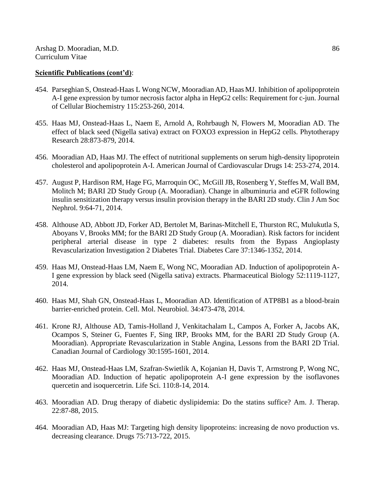- 454. Parseghian S, Onstead-Haas L Wong NCW, Mooradian AD, Haas MJ. Inhibition of apolipoprotein A-I gene expression by tumor necrosis factor alpha in HepG2 cells: Requirement for c-jun. Journal of Cellular Biochemistry 115:253-260, 2014.
- 455. Haas MJ, Onstead-Haas L, Naem E, Arnold A, Rohrbaugh N, Flowers M, Mooradian AD. The effect of black seed (Nigella sativa) extract on FOXO3 expression in HepG2 cells. Phytotherapy Research 28:873-879, 2014.
- 456. Mooradian AD, Haas MJ. The effect of nutritional supplements on serum high-density lipoprotein cholesterol and apolipoprotein A-I. American Journal of Cardiovascular Drugs 14: 253-274, 2014.
- 457. August P, Hardison RM, Hage FG, Marroquin OC, McGill JB, Rosenberg Y, Steffes M, Wall BM, Molitch M; BARI 2D Study Group (A. Mooradian). Change in albuminuria and eGFR following insulin sensitization therapy versus insulin provision therapy in the BARI 2D study. Clin J Am Soc Nephrol. 9:64-71, 2014.
- 458. Althouse AD, Abbott JD, Forker AD, Bertolet M, Barinas-Mitchell E, Thurston RC, Mulukutla S, Aboyans V, Brooks MM; for the BARI 2D Study Group (A. Mooradian). Risk factors for incident peripheral arterial disease in type 2 diabetes: results from the Bypass Angioplasty Revascularization Investigation 2 Diabetes Trial. Diabetes Care 37:1346-1352, 2014.
- 459. Haas MJ, Onstead-Haas LM, Naem E, Wong NC, Mooradian AD. Induction of apolipoprotein A-I gene expression by black seed (Nigella sativa) extracts. Pharmaceutical Biology 52:1119-1127, 2014.
- 460. Haas MJ, Shah GN, Onstead-Haas L, Mooradian AD. Identification of ATP8B1 as a blood-brain barrier-enriched protein. Cell. Mol. Neurobiol. 34:473-478, 2014.
- 461. Krone RJ, Althouse AD, Tamis-Holland J, Venkitachalam L, Campos A, Forker A, Jacobs AK, Ocampos S, Steiner G, Fuentes F, Sing IRP, Brooks MM, for the BARI 2D Study Group (A. Mooradian). Appropriate Revascularization in Stable Angina, Lessons from the BARI 2D Trial. Canadian Journal of Cardiology 30:1595-1601, 2014.
- 462. Haas MJ, Onstead-Haas LM, Szafran-Swietlik A, Kojanian H, Davis T, Armstrong P, Wong NC, Mooradian AD. Induction of hepatic apolipoprotein A-I gene expression by the isoflavones quercetin and isoquercetrin. Life Sci. 110:8-14, 2014.
- 463. Mooradian AD. Drug therapy of diabetic dyslipidemia: Do the statins suffice? Am. J. Therap. 22:87-88, 2015.
- 464. Mooradian AD, Haas MJ: Targeting high density lipoproteins: increasing de novo production vs. decreasing clearance. Drugs 75:713-722, 2015.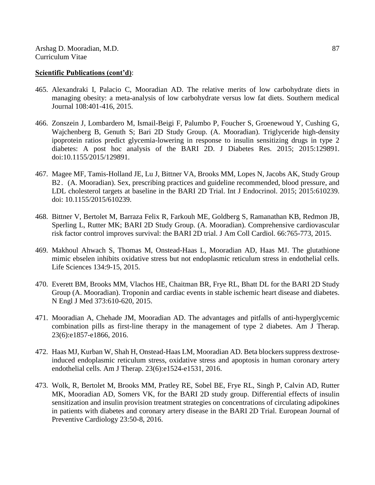- 465. Alexandraki I, Palacio C, Mooradian AD. The relative merits of low carbohydrate diets in managing obesity: a meta-analysis of low carbohydrate versus low fat diets. Southern medical Journal 108:401-416, 2015.
- 466. Zonszein J, Lombardero M, Ismail-Beigi F, Palumbo P, Foucher S, Groenewoud Y, Cushing G, Wajchenberg B, Genuth S; Bari 2D Study Group. (A. Mooradian). Triglyceride high-density ipoprotein ratios predict glycemia-lowering in response to insulin sensitizing drugs in type 2 diabetes: A post hoc analysis of the BARI 2D. J Diabetes Res. 2015; 2015:129891. doi:10.1155/2015/129891.
- 467. Magee MF, Tamis-Holland JE, Lu J, Bittner VA, Brooks MM, Lopes N, Jacobs AK, Study Group B2. (A. Mooradian). Sex, prescribing practices and guideline recommended, blood pressure, and LDL cholesterol targets at baseline in the BARI 2D Trial. Int J Endocrinol. 2015; 2015:610239. doi: 10.1155/2015/610239.
- 468. Bittner V, Bertolet M, Barraza Felix R, Farkouh ME, Goldberg S, Ramanathan KB, Redmon JB, Sperling L, Rutter MK; BARI 2D Study Group. (A. Mooradian). Comprehensive cardiovascular risk factor control improves survival: the BARI 2D trial. J Am Coll Cardiol. 66:765-773, 2015.
- 469. Makhoul Ahwach S, Thomas M, Onstead-Haas L, Mooradian AD, Haas MJ. The glutathione mimic ebselen inhibits oxidative stress but not endoplasmic reticulum stress in endothelial cells. Life Sciences 134:9-15, 2015.
- 470. Everett BM, Brooks MM, Vlachos HE, Chaitman BR, Frye RL, Bhatt DL for the BARI 2D Study Group (A. Mooradian). Troponin and cardiac events in stable ischemic heart disease and diabetes. N Engl J Med 373:610-620, 2015.
- 471. Mooradian A, Chehade JM, Mooradian AD. The advantages and pitfalls of anti-hyperglycemic combination pills as first-line therapy in the management of type 2 diabetes. Am J Therap. 23(6):e1857-e1866, 2016.
- 472. Haas MJ, Kurban W, Shah H, Onstead-Haas LM, Mooradian AD. Beta blockers suppress dextroseinduced endoplasmic reticulum stress, oxidative stress and apoptosis in human coronary artery endothelial cells. Am J Therap. 23(6):e1524-e1531, 2016.
- 473. Wolk, R, Bertolet M, Brooks MM, Pratley RE, Sobel BE, Frye RL, Singh P, Calvin AD, Rutter MK, Mooradian AD, Somers VK, for the BARI 2D study group. Differential effects of insulin sensitization and insulin provision treatment strategies on concentrations of circulating adipokines in patients with diabetes and coronary artery disease in the BARI 2D Trial. European Journal of Preventive Cardiology 23:50-8, 2016.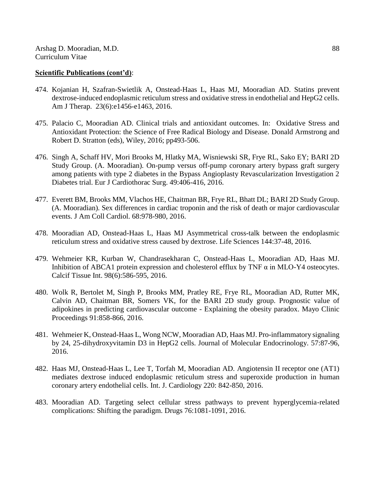- 474. Kojanian H, Szafran-Swietlik A, Onstead-Haas L, Haas MJ, Mooradian AD. Statins prevent dextrose-induced endoplasmic reticulum stress and oxidative stress in endothelial and HepG2 cells. Am J Therap. 23(6):e1456-e1463, 2016.
- 475. Palacio C, Mooradian AD. Clinical trials and antioxidant outcomes. In: Oxidative Stress and Antioxidant Protection: the Science of Free Radical Biology and Disease. Donald Armstrong and Robert D. Stratton (eds), Wiley, 2016; pp493-506.
- 476. Singh A, Schaff HV, Mori Brooks M, Hlatky MA, Wisniewski SR, Frye RL, Sako EY; BARI 2D Study Group. (A. Mooradian). On-pump versus off-pump coronary artery bypass graft surgery among patients with type 2 diabetes in the Bypass Angioplasty Revascularization Investigation 2 Diabetes trial. Eur J Cardiothorac Surg. 49:406-416, 2016.
- 477. Everett BM, Brooks MM, Vlachos HE, Chaitman BR, Frye RL, Bhatt DL; BARI 2D Study Group. (A. Mooradian). Sex differences in cardiac troponin and the risk of death or major cardiovascular events. J Am Coll Cardiol. 68:978-980, 2016.
- 478. Mooradian AD, Onstead-Haas L, Haas MJ Asymmetrical cross-talk between the endoplasmic reticulum stress and oxidative stress caused by dextrose. Life Sciences 144:37-48, 2016.
- 479. Wehmeier KR, Kurban W, Chandrasekharan C, Onstead-Haas L, Mooradian AD, Haas MJ. Inhibition of ABCA1 protein expression and cholesterol efflux by TNF  $\alpha$  in MLO-Y4 osteocytes. Calcif Tissue Int. 98(6):586-595, 2016.
- 480. Wolk R, Bertolet M, Singh P, Brooks MM, Pratley RE, Frye RL, Mooradian AD, Rutter MK, Calvin AD, Chaitman BR, Somers VK, for the BARI 2D study group. Prognostic value of adipokines in predicting cardiovascular outcome - Explaining the obesity paradox. Mayo Clinic Proceedings 91:858-866, 2016.
- 481. Wehmeier K, Onstead-Haas L, Wong NCW, Mooradian AD, Haas MJ. Pro-inflammatory signaling by 24, 25-dihydroxyvitamin D3 in HepG2 cells. Journal of Molecular Endocrinology. 57:87-96, 2016.
- 482. Haas MJ, Onstead-Haas L, Lee T, Torfah M, Mooradian AD. Angiotensin II receptor one (AT1) mediates dextrose induced endoplasmic reticulum stress and superoxide production in human coronary artery endothelial cells. Int. J. Cardiology 220: 842-850, 2016.
- 483. Mooradian AD. Targeting select cellular stress pathways to prevent hyperglycemia-related complications: Shifting the paradigm. Drugs 76:1081-1091, 2016.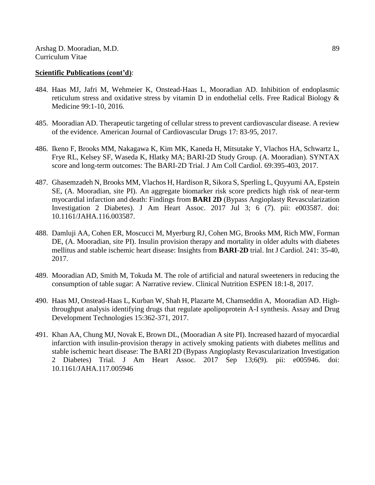- 484. Haas MJ, Jafri M, Wehmeier K, Onstead-Haas L, Mooradian AD. Inhibition of endoplasmic reticulum stress and oxidative stress by vitamin D in endothelial cells. Free Radical Biology & Medicine 99:1-10, 2016.
- 485. Mooradian AD. Therapeutic targeting of cellular stress to prevent cardiovascular disease. A review of the evidence. American Journal of Cardiovascular Drugs 17: 83-95, 2017.
- 486. Ikeno F, Brooks MM, Nakagawa K, Kim MK, Kaneda H, Mitsutake Y, Vlachos HA, Schwartz L, Frye RL, Kelsey SF, Waseda K, Hlatky MA; BARI-2D Study Group. (A. Mooradian). SYNTAX score and long-term outcomes: The BARI-2D Trial. J Am Coll Cardiol. 69:395-403, 2017.
- 487. Ghasemzadeh N, Brooks MM, Vlachos H, Hardison R, Sikora S, Sperling L, Quyyumi AA, Epstein SE, (A. Mooradian, site PI). An aggregate biomarker risk score predicts high risk of near-term myocardial infarction and death: Findings from **BARI 2D** (Bypass Angioplasty Revascularization Investigation 2 Diabetes). J Am Heart Assoc. 2017 Jul 3; 6 (7). pii: e003587. doi: 10.1161/JAHA.116.003587.
- 488. Damluji AA, Cohen ER, Moscucci M, Myerburg RJ, Cohen MG, Brooks MM, Rich MW, Forman DE, (A. Mooradian, site PI). Insulin provision therapy and mortality in older adults with diabetes mellitus and stable ischemic heart disease: Insights from **BARI**-**2D** trial. Int J Cardiol. 241: 35-40, 2017.
- 489. Mooradian AD, Smith M, Tokuda M. The role of artificial and natural sweeteners in reducing the consumption of table sugar: A Narrative review. Clinical Nutrition ESPEN 18:1-8, 2017.
- 490. Haas MJ, Onstead-Haas L, Kurban W, Shah H, Plazarte M, Chamseddin A, Mooradian AD. Highthroughput analysis identifying drugs that regulate apolipoprotein A-I synthesis. Assay and Drug Development Technologies 15:362-371, 2017.
- 491. Khan AA, Chung MJ, Novak E, Brown DL, (Mooradian A site PI). Increased hazard of myocardial infarction with insulin-provision therapy in actively smoking patients with diabetes mellitus and stable ischemic heart disease: The BARI 2D (Bypass Angioplasty Revascularization Investigation 2 Diabetes) Trial. J Am Heart Assoc. 2017 Sep 13;6(9). pii: e005946. doi: 10.1161/JAHA.117.005946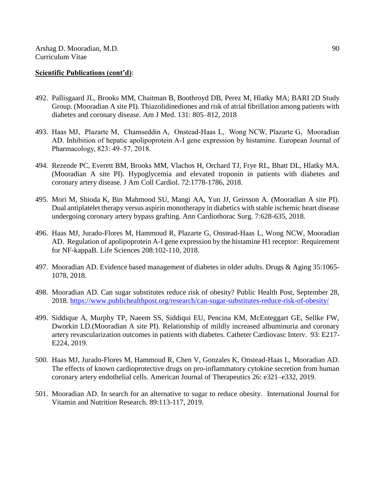- 492. Pallisgaard JL, Brooks MM, Chaitman B, Boothroyd DB, Perez M, Hlatky MA; BARI 2D Study Group. (Mooradian A site PI). Thiazolidinediones and risk of atrial fibrillation among patients with diabetes and coronary disease. Am J Med. 131: 805–812, 2018
- 493. Haas MJ, Plazarte M, Chamseddin A, Onstead-Haas L, Wong NCW, Plazarte G, Mooradian AD. Inhibition of hepatic apolipoprotein A-I gene expression by histamine. European Journal of Pharmacology, 823: 49–57, 2018.
- 494. Rezende PC, Everett BM, Brooks MM, Vlachos H, Orchard TJ, Frye RL, Bhatt DL, Hlatky MA. (Mooradian A site PI). Hypoglycemia and elevated troponin in patients with diabetes and coronary artery disease. J Am Coll Cardiol. 72:1778-1786, 2018.
- 495. Mori M, Shioda K, Bin Mahmood SU, Mangi AA, Yun JJ, Geirsson A. (Mooradian A site PI). Dual antiplatelet therapy versus aspirin monotherapy in diabetics with stable ischemic heart disease undergoing coronary artery bypass grafting. Ann Cardiothorac Surg. 7:628-635, 2018.
- 496. Haas MJ, Jurado-Flores M, Hammoud R, Plazarte G, Onstead-Haas L, Wong NCW, Mooradian AD. Regulation of apolipoprotein A-I gene expression by the histamine H1 receptor: Requirement for NF-kappaB. Life Sciences 208:102-110, 2018.
- 497. Mooradian AD. Evidence based management of diabetes in older adults. Drugs & Aging 35:1065- 1078, 2018.
- 498. Mooradian AD. Can sugar substitutes reduce risk of obesity? Public Health Post, September 28, 2018.<https://www.publichealthpost.org/research/can-sugar-substitutes-reduce-risk-of-obesity/>
- 499. Siddique A, Murphy TP, Naeem SS, Siddiqui EU, Pencina KM, McEnteggart GE, Sellke FW, Dworkin LD.(Mooradian A site PI). Relationship of mildly increased albuminuria and coronary artery revascularization outcomes in patients with diabetes. Catheter Cardiovasc Interv. 93: E217- E224, 2019.
- 500. Haas MJ, Jurado-Flores M, Hammoud R, Chen V, Gonzales K, Onstead-Haas L, Mooradian AD. The effects of known cardioprotective drugs on pro-inflammatory cytokine secretion from human coronary artery endothelial cells. American Journal of Therapeutics 26: e321–e332, 2019.
- 501. Mooradian AD. In search for an alternative to sugar to reduce obesity. International Journal for Vitamin and Nutrition Research. 89:113-117, 2019.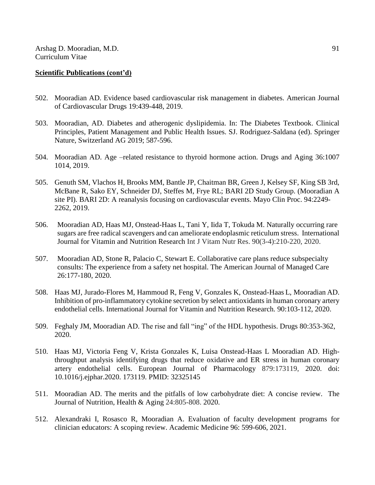- 502. Mooradian AD. Evidence based cardiovascular risk management in diabetes. American Journal of Cardiovascular Drugs 19:439-448, 2019.
- 503. Mooradian, AD. Diabetes and atherogenic dyslipidemia. In: The Diabetes Textbook. Clinical Principles, Patient Management and Public Health Issues. SJ. Rodriguez-Saldana (ed). Springer Nature, Switzerland AG 2019; 587-596.
- 504. Mooradian AD. Age –related resistance to thyroid hormone action. Drugs and Aging 36:1007 1014, 2019.
- 505. Genuth SM, Vlachos H, Brooks MM, Bantle JP, Chaitman BR, Green J, Kelsey SF, King SB 3rd, McBane R, Sako EY, Schneider DJ, Steffes M, Frye RL; BARI 2D Study Group. (Mooradian A site PI). BARI 2D: A reanalysis focusing on cardiovascular events. Mayo Clin Proc. 94:2249- 2262, 2019.
- 506. Mooradian AD, Haas MJ, Onstead-Haas L, Tani Y, Iida T, Tokuda M. Naturally occurring rare sugars are free radical scavengers and can ameliorate endoplasmic reticulum stress. International Journal for Vitamin and Nutrition Research Int J Vitam Nutr Res. 90(3-4):210-220, 2020.
- 507. Mooradian AD, Stone R, Palacio C, Stewart E. Collaborative care plans reduce subspecialty consults: The experience from a safety net hospital. The American Journal of Managed Care 26:177-180, 2020.
- 508. Haas MJ, Jurado-Flores M, Hammoud R, Feng V, Gonzales K, Onstead-Haas L, Mooradian AD. Inhibition of pro-inflammatory cytokine secretion by select antioxidants in human coronary artery endothelial cells. International Journal for Vitamin and Nutrition Research. 90:103-112, 2020.
- 509. Feghaly JM, Mooradian AD. The rise and fall "ing" of the HDL hypothesis. Drugs 80:353-362, 2020.
- 510. Haas MJ, Victoria Feng V, Krista Gonzales K, Luisa Onstead-Haas L Mooradian AD. Highthroughput analysis identifying drugs that reduce oxidative and ER stress in human coronary artery endothelial cells. European Journal of Pharmacology 879:173119, 2020. doi: 10.1016/j.ejphar.2020. 173119. PMID: 32325145
- 511. Mooradian AD. The merits and the pitfalls of low carbohydrate diet: A concise review. The Journal of Nutrition, Health & Aging 24:805-808. 2020.
- 512. Alexandraki I, Rosasco R, Mooradian A. Evaluation of faculty development programs for clinician educators: A scoping review. Academic Medicine 96: 599-606, 2021.